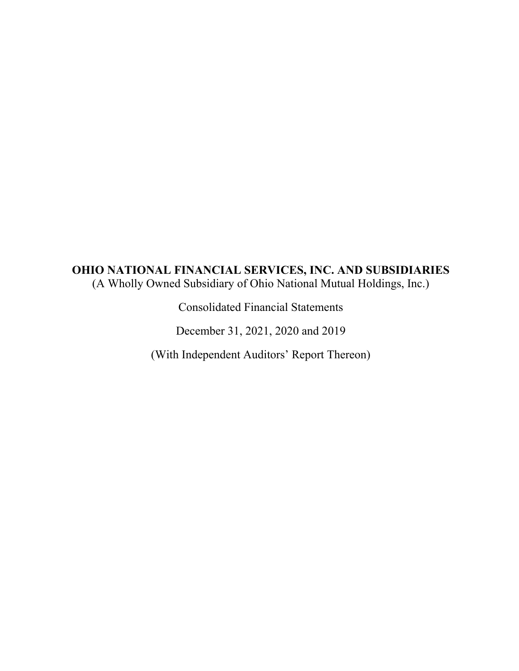# **OHIO NATIONAL FINANCIAL SERVICES, INC. AND SUBSIDIARIES**  (A Wholly Owned Subsidiary of Ohio National Mutual Holdings, Inc.)

Consolidated Financial Statements

December 31, 2021, 2020 and 2019

(With Independent Auditors' Report Thereon)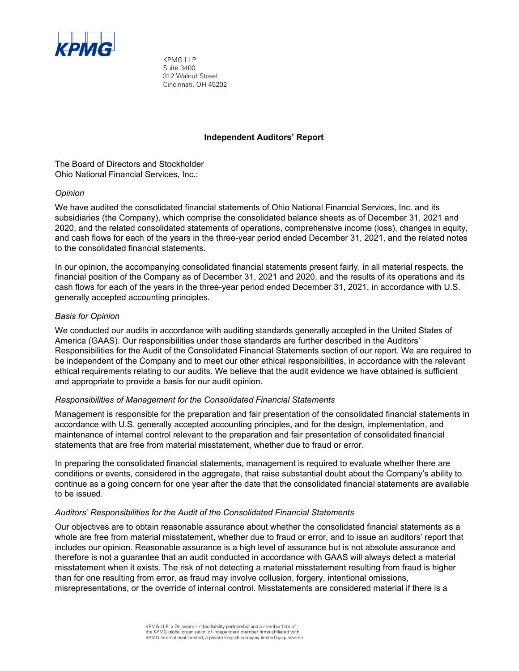

KPMG LLP Suite 3400 312 Walnut Street Cincinnati, OH 45202

### **Independent Auditors' Report**

The Board of Directors and Stockholder Ohio National Financial Services, Inc.:

### *Opinion*

We have audited the consolidated financial statements of Ohio National Financial Services, Inc. and its subsidiaries (the Company), which comprise the consolidated balance sheets as of December 31, 2021 and 2020, and the related consolidated statements of operations, comprehensive income (loss), changes in equity, and cash flows for each of the years in the three-year period ended December 31, 2021, and the related notes to the consolidated financial statements.

In our opinion, the accompanying consolidated financial statements present fairly, in all material respects, the financial position of the Company as of December 31, 2021 and 2020, and the results of its operations and its cash flows for each of the years in the three-year period ended December 31, 2021, in accordance with U.S. generally accepted accounting principles.

### *Basis for Opinion*

We conducted our audits in accordance with auditing standards generally accepted in the United States of America (GAAS). Our responsibilities under those standards are further described in the Auditors' Responsibilities for the Audit of the Consolidated Financial Statements section of our report. We are required to be independent of the Company and to meet our other ethical responsibilities, in accordance with the relevant ethical requirements relating to our audits. We believe that the audit evidence we have obtained is sufficient and appropriate to provide a basis for our audit opinion.

#### *Responsibilities of Management for the Consolidated Financial Statements*

Management is responsible for the preparation and fair presentation of the consolidated financial statements in accordance with U.S. generally accepted accounting principles, and for the design, implementation, and maintenance of internal control relevant to the preparation and fair presentation of consolidated financial statements that are free from material misstatement, whether due to fraud or error.

In preparing the consolidated financial statements, management is required to evaluate whether there are conditions or events, considered in the aggregate, that raise substantial doubt about the Company's ability to continue as a going concern for one year after the date that the consolidated financial statements are available to be issued.

### *Auditors' Responsibilities for the Audit of the Consolidated Financial Statements*

Our objectives are to obtain reasonable assurance about whether the consolidated financial statements as a whole are free from material misstatement, whether due to fraud or error, and to issue an auditors' report that includes our opinion. Reasonable assurance is a high level of assurance but is not absolute assurance and therefore is not a guarantee that an audit conducted in accordance with GAAS will always detect a material misstatement when it exists. The risk of not detecting a material misstatement resulting from fraud is higher than for one resulting from error, as fraud may involve collusion, forgery, intentional omissions, misrepresentations, or the override of internal control. Misstatements are considered material if there is a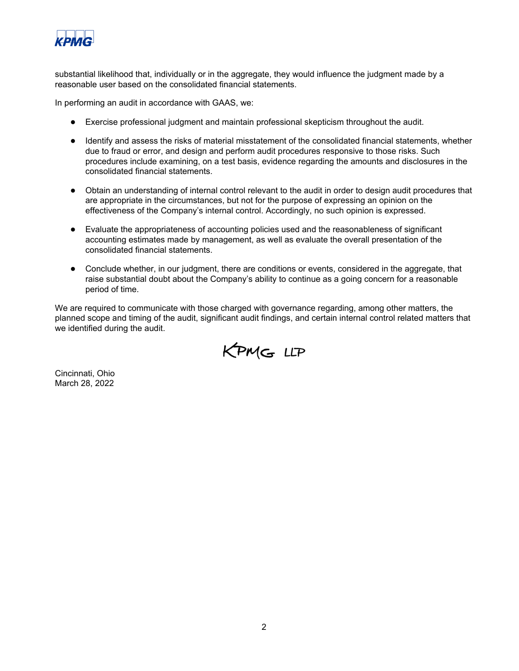

substantial likelihood that, individually or in the aggregate, they would influence the judgment made by a reasonable user based on the consolidated financial statements.

In performing an audit in accordance with GAAS, we:

- Exercise professional judgment and maintain professional skepticism throughout the audit.
- Identify and assess the risks of material misstatement of the consolidated financial statements, whether due to fraud or error, and design and perform audit procedures responsive to those risks. Such procedures include examining, on a test basis, evidence regarding the amounts and disclosures in the consolidated financial statements.
- Obtain an understanding of internal control relevant to the audit in order to design audit procedures that are appropriate in the circumstances, but not for the purpose of expressing an opinion on the effectiveness of the Company's internal control. Accordingly, no such opinion is expressed.
- Evaluate the appropriateness of accounting policies used and the reasonableness of significant accounting estimates made by management, as well as evaluate the overall presentation of the consolidated financial statements.
- Conclude whether, in our judgment, there are conditions or events, considered in the aggregate, that raise substantial doubt about the Company's ability to continue as a going concern for a reasonable period of time.

We are required to communicate with those charged with governance regarding, among other matters, the planned scope and timing of the audit, significant audit findings, and certain internal control related matters that we identified during the audit.



Cincinnati, Ohio March 28, 2022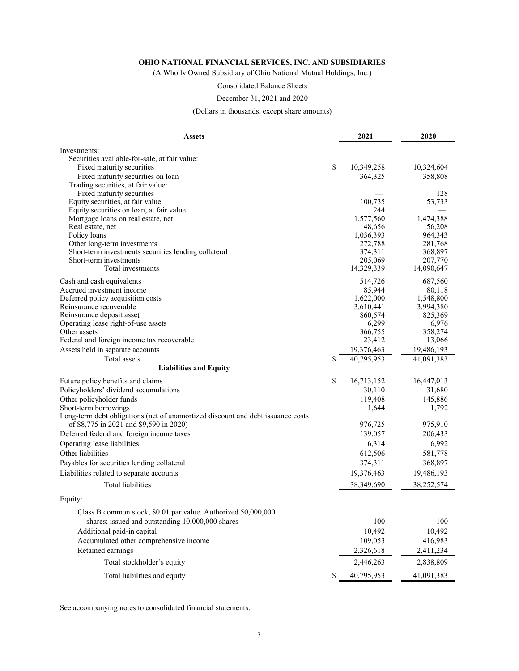(A Wholly Owned Subsidiary of Ohio National Mutual Holdings, Inc.)

### Consolidated Balance Sheets

### December 31, 2021 and 2020

### (Dollars in thousands, except share amounts)

| <b>Assets</b>                                                                       | 2021               | 2020               |
|-------------------------------------------------------------------------------------|--------------------|--------------------|
| Investments:                                                                        |                    |                    |
| Securities available-for-sale, at fair value:                                       |                    |                    |
| Fixed maturity securities                                                           | \$<br>10,349,258   | 10,324,604         |
| Fixed maturity securities on loan                                                   | 364,325            | 358,808            |
| Trading securities, at fair value:                                                  |                    |                    |
| Fixed maturity securities                                                           |                    | 128                |
| Equity securities, at fair value                                                    | 100,735            | 53,733             |
| Equity securities on loan, at fair value                                            | 244                |                    |
| Mortgage loans on real estate, net                                                  | 1,577,560          | 1,474,388          |
| Real estate, net                                                                    | 48,656             | 56,208             |
| Policy loans                                                                        | 1,036,393          | 964,343<br>281,768 |
| Other long-term investments<br>Short-term investments securities lending collateral | 272,788<br>374,311 |                    |
| Short-term investments                                                              | 205,069            | 368,897<br>207,770 |
| Total investments                                                                   | 14,329,339         | 14,090,647         |
| Cash and cash equivalents                                                           | 514,726            | 687,560            |
| Accrued investment income                                                           | 85,944             | 80,118             |
| Deferred policy acquisition costs                                                   | 1,622,000          | 1,548,800          |
| Reinsurance recoverable                                                             | 3,610,441          | 3,994,380          |
| Reinsurance deposit asset                                                           | 860,574            | 825,369            |
| Operating lease right-of-use assets                                                 | 6,299              | 6,976              |
| Other assets                                                                        | 366,755            | 358,274            |
| Federal and foreign income tax recoverable                                          | 23,412             | 13,066             |
| Assets held in separate accounts                                                    | 19,376,463         | 19,486,193         |
| Total assets                                                                        | \$<br>40,795,953   | 41,091,383         |
| <b>Liabilities and Equity</b>                                                       |                    |                    |
| Future policy benefits and claims                                                   | \$<br>16,713,152   | 16,447,013         |
| Policyholders' dividend accumulations                                               | 30,110             | 31,680             |
| Other policyholder funds                                                            | 119,408            | 145,886            |
| Short-term borrowings                                                               | 1,644              | 1,792              |
| Long-term debt obligations (net of unamortized discount and debt issuance costs     |                    |                    |
| of \$8,775 in 2021 and \$9,590 in 2020)                                             | 976,725            | 975,910            |
| Deferred federal and foreign income taxes                                           | 139,057            | 206,433            |
| Operating lease liabilities                                                         | 6,314              | 6,992              |
| Other liabilities                                                                   | 612,506            | 581,778            |
| Payables for securities lending collateral                                          | 374,311            | 368,897            |
| Liabilities related to separate accounts                                            | 19,376,463         | 19,486,193         |
| <b>Total liabilities</b>                                                            | 38,349,690         | 38,252,574         |
|                                                                                     |                    |                    |
| Equity:                                                                             |                    |                    |
| Class B common stock, \$0.01 par value. Authorized 50,000,000                       |                    |                    |
| shares; issued and outstanding 10,000,000 shares                                    | 100                | 100                |
| Additional paid-in capital                                                          | 10,492             | 10,492             |
| Accumulated other comprehensive income                                              | 109,053            | 416,983            |
| Retained earnings                                                                   | 2,326,618          | 2,411,234          |
| Total stockholder's equity                                                          | 2,446,263          | 2,838,809          |
| Total liabilities and equity                                                        | \$<br>40,795,953   | 41,091,383         |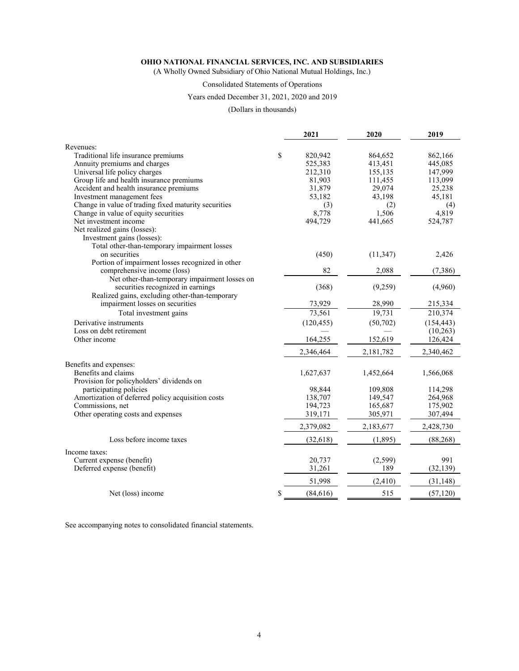(A Wholly Owned Subsidiary of Ohio National Mutual Holdings, Inc.)

### Consolidated Statements of Operations

#### Years ended December 31, 2021, 2020 and 2019

(Dollars in thousands)

|                                                      | 2021            | 2020      | 2019       |
|------------------------------------------------------|-----------------|-----------|------------|
| Revenues:                                            |                 |           |            |
| Traditional life insurance premiums                  | \$<br>820,942   | 864,652   | 862,166    |
| Annuity premiums and charges                         | 525,383         | 413,451   | 445,085    |
| Universal life policy charges                        | 212,310         | 155,135   | 147,999    |
| Group life and health insurance premiums             | 81,903          | 111,455   | 113,099    |
| Accident and health insurance premiums               | 31,879          | 29,074    | 25,238     |
| Investment management fees                           | 53,182          | 43,198    | 45,181     |
| Change in value of trading fixed maturity securities | (3)             | (2)       | (4)        |
| Change in value of equity securities                 | 8,778           | 1,506     | 4,819      |
| Net investment income                                | 494,729         | 441,665   | 524,787    |
| Net realized gains (losses):                         |                 |           |            |
| Investment gains (losses):                           |                 |           |            |
| Total other-than-temporary impairment losses         |                 |           |            |
| on securities                                        | (450)           | (11, 347) | 2,426      |
| Portion of impairment losses recognized in other     |                 |           |            |
| comprehensive income (loss)                          | 82              | 2,088     | (7, 386)   |
| Net other-than-temporary impairment losses on        |                 |           |            |
| securities recognized in earnings                    | (368)           | (9,259)   | (4,960)    |
| Realized gains, excluding other-than-temporary       |                 |           |            |
| impairment losses on securities                      | 73,929          | 28,990    | 215,334    |
| Total investment gains                               | 73,561          | 19,731    | 210,374    |
| Derivative instruments                               | (120, 455)      | (50, 702) | (154, 443) |
| Loss on debt retirement                              |                 |           | (10, 263)  |
| Other income                                         | 164,255         | 152,619   | 126,424    |
|                                                      | 2,346,464       | 2,181,782 | 2,340,462  |
| Benefits and expenses:                               |                 |           |            |
| Benefits and claims                                  | 1,627,637       | 1,452,664 | 1,566,068  |
| Provision for policyholders' dividends on            |                 |           |            |
| participating policies                               | 98,844          | 109,808   | 114,298    |
| Amortization of deferred policy acquisition costs    | 138,707         | 149,547   | 264,968    |
| Commissions, net                                     | 194,723         | 165,687   | 175,902    |
| Other operating costs and expenses                   | 319,171         | 305,971   | 307,494    |
|                                                      | 2,379,082       | 2,183,677 | 2,428,730  |
|                                                      |                 |           |            |
| Loss before income taxes                             | (32, 618)       | (1,895)   | (88, 268)  |
| Income taxes:                                        |                 |           |            |
| Current expense (benefit)                            | 20,737          | (2, 599)  | 991        |
| Deferred expense (benefit)                           | 31,261          | 189       | (32, 139)  |
|                                                      | 51,998          | (2,410)   | (31, 148)  |
| Net (loss) income                                    | \$<br>(84, 616) | 515       | (57, 120)  |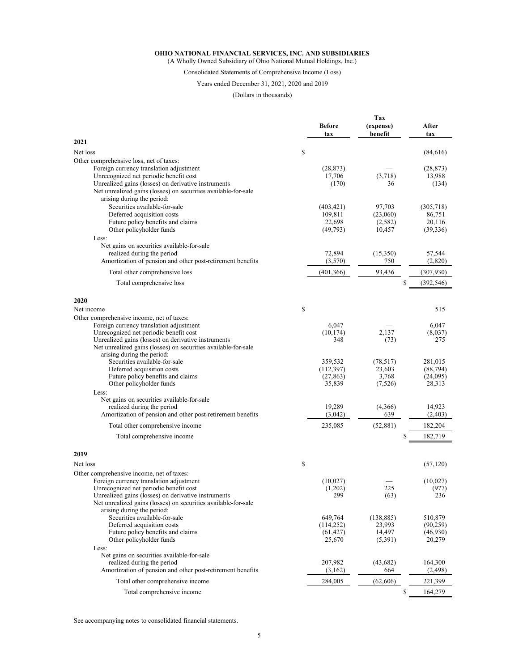(A Wholly Owned Subsidiary of Ohio National Mutual Holdings, Inc.)

Consolidated Statements of Comprehensive Income (Loss)

Years ended December 31, 2021, 2020 and 2019

(Dollars in thousands)

|                                                                                                                                                                                                                                                                                     | <b>Before</b><br>tax                                   | Tax<br>(expense)<br>benefit                          | After<br>tax                                         |
|-------------------------------------------------------------------------------------------------------------------------------------------------------------------------------------------------------------------------------------------------------------------------------------|--------------------------------------------------------|------------------------------------------------------|------------------------------------------------------|
| 2021                                                                                                                                                                                                                                                                                |                                                        |                                                      |                                                      |
| Net loss                                                                                                                                                                                                                                                                            | \$                                                     |                                                      | (84,616)                                             |
| Other comprehensive loss, net of taxes:<br>Foreign currency translation adjustment<br>Unrecognized net periodic benefit cost<br>Unrealized gains (losses) on derivative instruments<br>Net unrealized gains (losses) on securities available-for-sale<br>arising during the period: | (28, 873)<br>17,706<br>(170)                           | (3,718)<br>36                                        | (28, 873)<br>13,988<br>(134)                         |
| Securities available-for-sale<br>Deferred acquisition costs<br>Future policy benefits and claims<br>Other policyholder funds<br>Less:<br>Net gains on securities available-for-sale<br>realized during the period                                                                   | (403, 421)<br>109,811<br>22,698<br>(49, 793)<br>72,894 | 97,703<br>(23,060)<br>(2, 582)<br>10,457<br>(15,350) | (305,718)<br>86,751<br>20,116<br>(39, 336)<br>57,544 |
| Amortization of pension and other post-retirement benefits                                                                                                                                                                                                                          | (3,570)                                                | 750                                                  | (2,820)                                              |
| Total other comprehensive loss                                                                                                                                                                                                                                                      | (401, 366)                                             | 93,436                                               | (307,930)                                            |
| Total comprehensive loss                                                                                                                                                                                                                                                            |                                                        |                                                      | \$<br>(392, 546)                                     |
| 2020                                                                                                                                                                                                                                                                                |                                                        |                                                      |                                                      |
| Net income                                                                                                                                                                                                                                                                          | \$                                                     |                                                      | 515                                                  |
| Other comprehensive income, net of taxes:<br>Foreign currency translation adjustment<br>Unrecognized net periodic benefit cost<br>Unrealized gains (losses) on derivative instruments<br>Net unrealized gains (losses) on securities available-for-sale                             | 6,047<br>(10, 174)<br>348                              | 2,137<br>(73)                                        | 6,047<br>(8,037)<br>275                              |
| arising during the period:<br>Securities available-for-sale<br>Deferred acquisition costs<br>Future policy benefits and claims<br>Other policyholder funds                                                                                                                          | 359,532<br>(112, 397)<br>(27, 863)<br>35,839           | (78, 517)<br>23,603<br>3,768<br>(7,526)              | 281,015<br>(88, 794)<br>(24,095)<br>28,313           |
| Less:<br>Net gains on securities available-for-sale                                                                                                                                                                                                                                 |                                                        |                                                      |                                                      |
| realized during the period<br>Amortization of pension and other post-retirement benefits                                                                                                                                                                                            | 19,289<br>(3,042)                                      | (4,366)<br>639                                       | 14,923<br>(2, 403)                                   |
| Total other comprehensive income                                                                                                                                                                                                                                                    | 235,085                                                | (52, 881)                                            | 182,204                                              |
| Total comprehensive income                                                                                                                                                                                                                                                          |                                                        |                                                      | \$<br>182,719                                        |
| 2019                                                                                                                                                                                                                                                                                |                                                        |                                                      |                                                      |
| Net loss                                                                                                                                                                                                                                                                            | \$                                                     |                                                      | (57, 120)                                            |
| Other comprehensive income, net of taxes:<br>Foreign currency translation adjustment<br>Unrecognized net periodic benefit cost<br>Unrealized gains (losses) on derivative instruments<br>Net unrealized gains (losses) on securities available-for-sale                             | (10,027)<br>(1,202)<br>299                             | 225<br>(63)                                          | (10,027)<br>(977)<br>236                             |
| arising during the period:<br>Securities available-for-sale<br>Deferred acquisition costs<br>Future policy benefits and claims<br>Other policyholder funds                                                                                                                          | 649,764<br>(114, 252)<br>(61, 427)<br>25,670           | (138, 885)<br>23,993<br>14,497<br>(5,391)            | 510,879<br>(90,259)<br>(46,930)<br>20,279            |
| Less:<br>Net gains on securities available-for-sale<br>realized during the period<br>Amortization of pension and other post-retirement benefits                                                                                                                                     | 207,982<br>(3,162)                                     | (43, 682)<br>664                                     | 164,300<br>(2, 498)                                  |
| Total other comprehensive income                                                                                                                                                                                                                                                    | 284,005                                                | (62, 606)                                            | 221,399                                              |
| Total comprehensive income                                                                                                                                                                                                                                                          |                                                        |                                                      | \$<br>164,279                                        |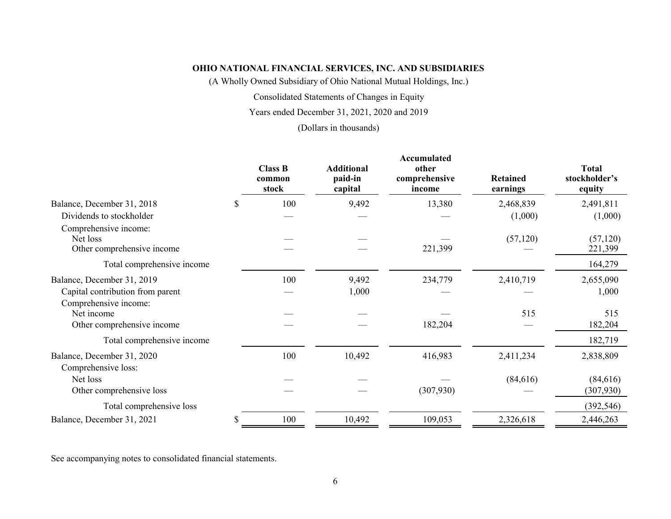(A Wholly Owned Subsidiary of Ohio National Mutual Holdings, Inc.)

Consolidated Statements of Changes in Equity

Years ended December 31, 2021, 2020 and 2019

(Dollars in thousands)

|                                                                 | <b>Class B</b><br>common<br>stock | <b>Additional</b><br>paid-in<br>capital | <b>Accumulated</b><br>other<br>comprehensive<br>income | <b>Retained</b><br>earnings | <b>Total</b><br>stockholder's<br>equity |
|-----------------------------------------------------------------|-----------------------------------|-----------------------------------------|--------------------------------------------------------|-----------------------------|-----------------------------------------|
| Balance, December 31, 2018                                      | \$<br>100                         | 9,492                                   | 13,380                                                 | 2,468,839                   | 2,491,811                               |
| Dividends to stockholder                                        |                                   |                                         |                                                        | (1,000)                     | (1,000)                                 |
| Comprehensive income:<br>Net loss<br>Other comprehensive income |                                   |                                         | 221,399                                                | (57, 120)                   | (57, 120)<br>221,399                    |
| Total comprehensive income                                      |                                   |                                         |                                                        |                             | 164,279                                 |
| Balance, December 31, 2019                                      | 100                               | 9,492                                   | 234,779                                                | 2,410,719                   | 2,655,090                               |
| Capital contribution from parent                                |                                   | 1,000                                   |                                                        |                             | 1,000                                   |
| Comprehensive income:                                           |                                   |                                         |                                                        |                             |                                         |
| Net income                                                      |                                   |                                         |                                                        | 515                         | 515                                     |
| Other comprehensive income                                      |                                   |                                         | 182,204                                                |                             | 182,204                                 |
| Total comprehensive income                                      |                                   |                                         |                                                        |                             | 182,719                                 |
| Balance, December 31, 2020                                      | 100                               | 10,492                                  | 416,983                                                | 2,411,234                   | 2,838,809                               |
| Comprehensive loss:                                             |                                   |                                         |                                                        |                             |                                         |
| Net loss                                                        |                                   |                                         |                                                        | (84, 616)                   | (84,616)                                |
| Other comprehensive loss                                        |                                   |                                         | (307, 930)                                             |                             | (307, 930)                              |
| Total comprehensive loss                                        |                                   |                                         |                                                        |                             | (392, 546)                              |
| Balance, December 31, 2021                                      | 100                               | 10,492                                  | 109,053                                                | 2,326,618                   | 2,446,263                               |
|                                                                 |                                   |                                         |                                                        |                             |                                         |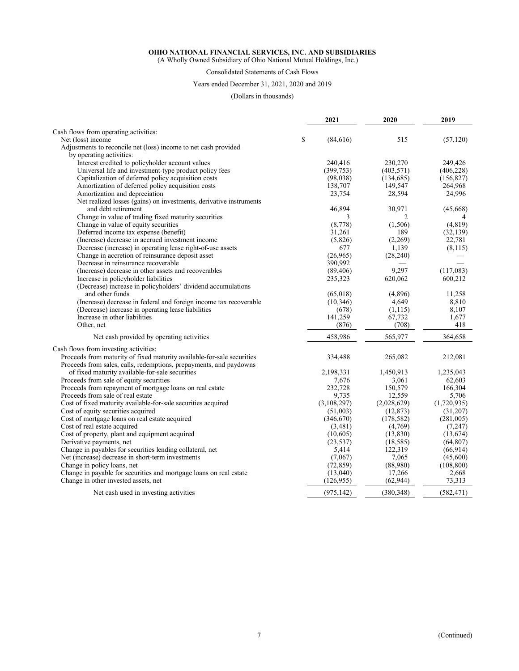(A Wholly Owned Subsidiary of Ohio National Mutual Holdings, Inc.)

#### Consolidated Statements of Cash Flows

### Years ended December 31, 2021, 2020 and 2019

(Dollars in thousands)

|                                                                                         | 2021            | 2020        | 2019        |
|-----------------------------------------------------------------------------------------|-----------------|-------------|-------------|
| Cash flows from operating activities:                                                   |                 |             |             |
| Net (loss) income                                                                       | \$<br>(84, 616) | 515         | (57, 120)   |
| Adjustments to reconcile net (loss) income to net cash provided                         |                 |             |             |
| by operating activities:                                                                |                 |             |             |
| Interest credited to policyholder account values                                        | 240,416         | 230,270     | 249,426     |
| Universal life and investment-type product policy fees                                  | (399,753)       | (403, 571)  | (406, 228)  |
| Capitalization of deferred policy acquisition costs                                     | (98,038)        | (134, 685)  | (156, 827)  |
| Amortization of deferred policy acquisition costs                                       | 138,707         | 149,547     | 264,968     |
| Amortization and depreciation                                                           | 23,754          | 28,594      | 24,996      |
| Net realized losses (gains) on investments, derivative instruments                      |                 |             |             |
| and debt retirement                                                                     | 46,894          | 30,971      | (45, 668)   |
| Change in value of trading fixed maturity securities                                    | 3               | 2           | 4           |
| Change in value of equity securities                                                    | (8,778)         | (1,506)     | (4, 819)    |
| Deferred income tax expense (benefit)                                                   | 31,261          | 189         | (32, 139)   |
| (Increase) decrease in accrued investment income                                        | (5,826)         | (2,269)     | 22,781      |
| Decrease (increase) in operating lease right-of-use assets                              | 677             | 1,139       | (8, 115)    |
|                                                                                         | (26,965)        |             |             |
| Change in accretion of reinsurance deposit asset<br>Decrease in reinsurance recoverable | 390,992         | (28, 240)   |             |
| (Increase) decrease in other assets and recoverables                                    |                 | 9.297       | (117,083)   |
|                                                                                         | (89, 406)       |             |             |
| Increase in policyholder liabilities                                                    | 235,323         | 620,062     | 600,212     |
| (Decrease) increase in policyholders' dividend accumulations                            |                 |             |             |
| and other funds                                                                         | (65,018)        | (4,896)     | 11,258      |
| (Increase) decrease in federal and foreign income tax recoverable                       | (10, 346)       | 4,649       | 8,810       |
| (Decrease) increase in operating lease liabilities                                      | (678)           | (1, 115)    | 8,107       |
| Increase in other liabilities                                                           | 141,259         | 67,732      | 1,677       |
| Other, net                                                                              | (876)           | (708)       | 418         |
| Net cash provided by operating activities                                               | 458,986         | 565,977     | 364,658     |
| Cash flows from investing activities:                                                   |                 |             |             |
| Proceeds from maturity of fixed maturity available-for-sale securities                  | 334,488         | 265,082     | 212,081     |
| Proceeds from sales, calls, redemptions, prepayments, and paydowns                      |                 |             |             |
| of fixed maturity available-for-sale securities                                         | 2,198,331       | 1,450,913   | 1,235,043   |
| Proceeds from sale of equity securities                                                 | 7,676           | 3,061       | 62,603      |
| Proceeds from repayment of mortgage loans on real estate                                | 232,728         | 150,579     | 166,304     |
| Proceeds from sale of real estate                                                       | 9,735           | 12,559      | 5,706       |
| Cost of fixed maturity available-for-sale securities acquired                           | (3,108,297)     | (2,028,629) | (1,720,935) |
| Cost of equity securities acquired                                                      | (51,003)        | (12, 873)   | (31,207)    |
| Cost of mortgage loans on real estate acquired                                          | (346,670)       | (178, 582)  | (281,005)   |
| Cost of real estate acquired                                                            | (3,481)         | (4,769)     | (7, 247)    |
| Cost of property, plant and equipment acquired                                          | (10,605)        | (13,830)    | (13, 674)   |
| Derivative payments, net                                                                | (23, 537)       | (18, 585)   | (64, 807)   |
| Change in payables for securities lending collateral, net                               | 5,414           | 122,319     | (66, 914)   |
| Net (increase) decrease in short-term investments                                       | (7,067)         | 7,065       | (45,600)    |
| Change in policy loans, net                                                             | (72, 859)       | (88,980)    | (108, 800)  |
| Change in payable for securities and mortgage loans on real estate                      | (13,040)        | 17,266      | 2,668       |
| Change in other invested assets, net                                                    | (126, 955)      | (62, 944)   | 73,313      |
|                                                                                         |                 |             |             |
| Net cash used in investing activities                                                   | (975, 142)      | (380, 348)  | (582, 471)  |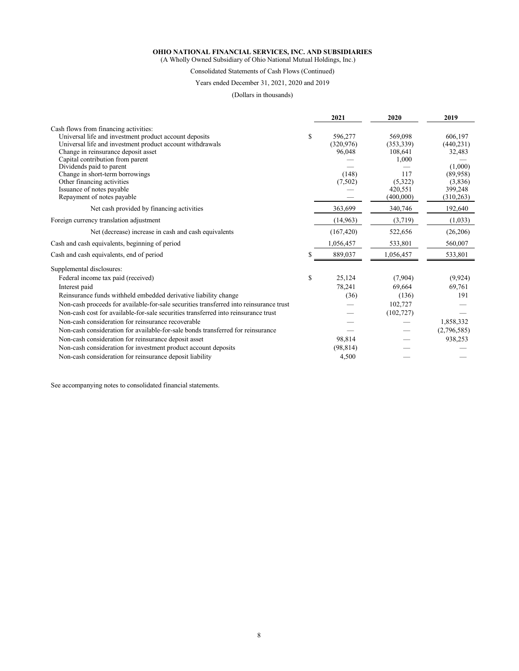(A Wholly Owned Subsidiary of Ohio National Mutual Holdings, Inc.)

#### Consolidated Statements of Cash Flows (Continued)

Years ended December 31, 2021, 2020 and 2019

(Dollars in thousands)

|                                                                                        |    | 2021       | 2020               | 2019               |
|----------------------------------------------------------------------------------------|----|------------|--------------------|--------------------|
| Cash flows from financing activities:                                                  |    |            |                    |                    |
| Universal life and investment product account deposits                                 | \$ | 596,277    | 569,098            | 606,197            |
| Universal life and investment product account withdrawals                              |    | (320, 976) | (353, 339)         | (440, 231)         |
| Change in reinsurance deposit asset                                                    |    | 96,048     | 108,641            | 32,483             |
| Capital contribution from parent                                                       |    |            | 1,000              |                    |
| Dividends paid to parent                                                               |    |            |                    | (1,000)            |
| Change in short-term borrowings                                                        |    | (148)      | 117                | (89,958)           |
| Other financing activities<br>Issuance of notes payable                                |    | (7,502)    | (5,322)<br>420,551 | (3,836)<br>399,248 |
| Repayment of notes payable                                                             |    |            | (400,000)          | (310, 263)         |
| Net cash provided by financing activities                                              |    | 363,699    | 340,746            | 192,640            |
| Foreign currency translation adjustment                                                |    | (14,963)   | (3,719)            | (1,033)            |
| Net (decrease) increase in cash and cash equivalents                                   |    | (167, 420) | 522,656            | (26,206)           |
| Cash and cash equivalents, beginning of period                                         |    | 1,056,457  | 533,801            | 560,007            |
| Cash and cash equivalents, end of period                                               | S  | 889,037    | 1,056,457          | 533,801            |
| Supplemental disclosures:                                                              |    |            |                    |                    |
| Federal income tax paid (received)                                                     | \$ | 25,124     | (7,904)            | (9, 924)           |
| Interest paid                                                                          |    | 78,241     | 69,664             | 69,761             |
| Reinsurance funds withheld embedded derivative liability change                        |    | (36)       | (136)              | 191                |
| Non-cash proceeds for available-for-sale securities transferred into reinsurance trust |    |            | 102,727            |                    |
| Non-cash cost for available-for-sale securities transferred into reinsurance trust     |    |            | (102, 727)         |                    |
| Non-cash consideration for reinsurance recoverable                                     |    |            |                    | 1,858,332          |
| Non-cash consideration for available-for-sale bonds transferred for reinsurance        |    |            |                    | (2,796,585)        |
| Non-cash consideration for reinsurance deposit asset                                   |    | 98,814     |                    | 938,253            |
| Non-cash consideration for investment product account deposits                         |    | (98, 814)  |                    |                    |
| Non-cash consideration for reinsurance deposit liability                               |    | 4,500      |                    |                    |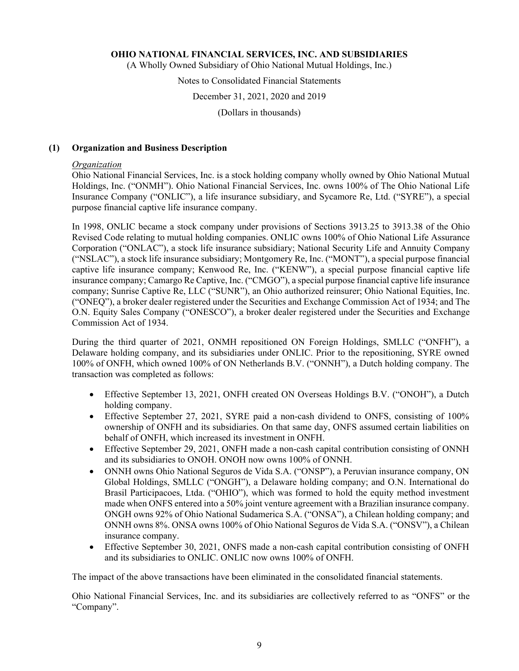(A Wholly Owned Subsidiary of Ohio National Mutual Holdings, Inc.)

### Notes to Consolidated Financial Statements

### December 31, 2021, 2020 and 2019

(Dollars in thousands)

### **(1) Organization and Business Description**

### *Organization*

Ohio National Financial Services, Inc. is a stock holding company wholly owned by Ohio National Mutual Holdings, Inc. ("ONMH"). Ohio National Financial Services, Inc. owns 100% of The Ohio National Life Insurance Company ("ONLIC"), a life insurance subsidiary, and Sycamore Re, Ltd. ("SYRE"), a special purpose financial captive life insurance company.

In 1998, ONLIC became a stock company under provisions of Sections 3913.25 to 3913.38 of the Ohio Revised Code relating to mutual holding companies. ONLIC owns 100% of Ohio National Life Assurance Corporation ("ONLAC"), a stock life insurance subsidiary; National Security Life and Annuity Company ("NSLAC"), a stock life insurance subsidiary; Montgomery Re, Inc. ("MONT"), a special purpose financial captive life insurance company; Kenwood Re, Inc. ("KENW"), a special purpose financial captive life insurance company; Camargo Re Captive, Inc. ("CMGO"), a special purpose financial captive life insurance company; Sunrise Captive Re, LLC ("SUNR"), an Ohio authorized reinsurer; Ohio National Equities, Inc. ("ONEQ"), a broker dealer registered under the Securities and Exchange Commission Act of 1934; and The O.N. Equity Sales Company ("ONESCO"), a broker dealer registered under the Securities and Exchange Commission Act of 1934.

During the third quarter of 2021, ONMH repositioned ON Foreign Holdings, SMLLC ("ONFH"), a Delaware holding company, and its subsidiaries under ONLIC. Prior to the repositioning, SYRE owned 100% of ONFH, which owned 100% of ON Netherlands B.V. ("ONNH"), a Dutch holding company. The transaction was completed as follows:

- Effective September 13, 2021, ONFH created ON Overseas Holdings B.V. ("ONOH"), a Dutch holding company.
- Effective September 27, 2021, SYRE paid a non-cash dividend to ONFS, consisting of 100% ownership of ONFH and its subsidiaries. On that same day, ONFS assumed certain liabilities on behalf of ONFH, which increased its investment in ONFH.
- Effective September 29, 2021, ONFH made a non-cash capital contribution consisting of ONNH and its subsidiaries to ONOH. ONOH now owns 100% of ONNH.
- ONNH owns Ohio National Seguros de Vida S.A. ("ONSP"), a Peruvian insurance company, ON Global Holdings, SMLLC ("ONGH"), a Delaware holding company; and O.N. International do Brasil Participacoes, Ltda. ("OHIO"), which was formed to hold the equity method investment made when ONFS entered into a 50% joint venture agreement with a Brazilian insurance company. ONGH owns 92% of Ohio National Sudamerica S.A. ("ONSA"), a Chilean holding company; and ONNH owns 8%. ONSA owns 100% of Ohio National Seguros de Vida S.A. ("ONSV"), a Chilean insurance company.
- Effective September 30, 2021, ONFS made a non-cash capital contribution consisting of ONFH and its subsidiaries to ONLIC. ONLIC now owns 100% of ONFH.

The impact of the above transactions have been eliminated in the consolidated financial statements.

Ohio National Financial Services, Inc. and its subsidiaries are collectively referred to as "ONFS" or the "Company".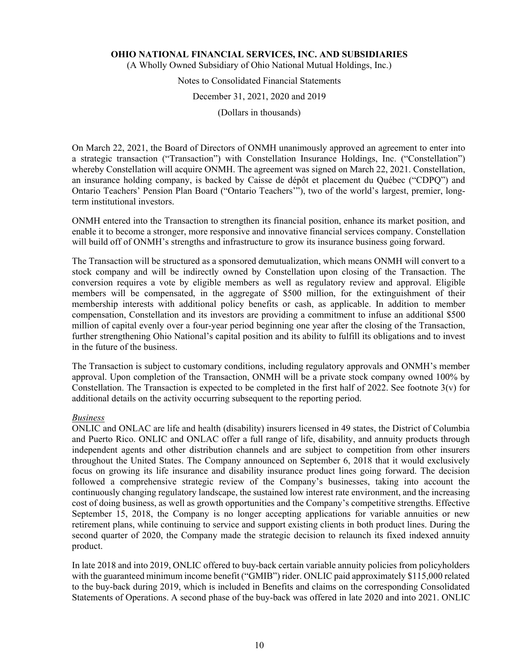(A Wholly Owned Subsidiary of Ohio National Mutual Holdings, Inc.)

### Notes to Consolidated Financial Statements

### December 31, 2021, 2020 and 2019

(Dollars in thousands)

On March 22, 2021, the Board of Directors of ONMH unanimously approved an agreement to enter into a strategic transaction ("Transaction") with Constellation Insurance Holdings, Inc. ("Constellation") whereby Constellation will acquire ONMH. The agreement was signed on March 22, 2021. Constellation, an insurance holding company, is backed by Caisse de dépôt et placement du Québec ("CDPQ") and Ontario Teachers' Pension Plan Board ("Ontario Teachers'"), two of the world's largest, premier, longterm institutional investors.

ONMH entered into the Transaction to strengthen its financial position, enhance its market position, and enable it to become a stronger, more responsive and innovative financial services company. Constellation will build off of ONMH's strengths and infrastructure to grow its insurance business going forward.

The Transaction will be structured as a sponsored demutualization, which means ONMH will convert to a stock company and will be indirectly owned by Constellation upon closing of the Transaction. The conversion requires a vote by eligible members as well as regulatory review and approval. Eligible members will be compensated, in the aggregate of \$500 million, for the extinguishment of their membership interests with additional policy benefits or cash, as applicable. In addition to member compensation, Constellation and its investors are providing a commitment to infuse an additional \$500 million of capital evenly over a four-year period beginning one year after the closing of the Transaction, further strengthening Ohio National's capital position and its ability to fulfill its obligations and to invest in the future of the business.

The Transaction is subject to customary conditions, including regulatory approvals and ONMH's member approval. Upon completion of the Transaction, ONMH will be a private stock company owned 100% by Constellation. The Transaction is expected to be completed in the first half of 2022. See footnote  $3(v)$  for additional details on the activity occurring subsequent to the reporting period.

#### *Business*

ONLIC and ONLAC are life and health (disability) insurers licensed in 49 states, the District of Columbia and Puerto Rico. ONLIC and ONLAC offer a full range of life, disability, and annuity products through independent agents and other distribution channels and are subject to competition from other insurers throughout the United States. The Company announced on September 6, 2018 that it would exclusively focus on growing its life insurance and disability insurance product lines going forward. The decision followed a comprehensive strategic review of the Company's businesses, taking into account the continuously changing regulatory landscape, the sustained low interest rate environment, and the increasing cost of doing business, as well as growth opportunities and the Company's competitive strengths. Effective September 15, 2018, the Company is no longer accepting applications for variable annuities or new retirement plans, while continuing to service and support existing clients in both product lines. During the second quarter of 2020, the Company made the strategic decision to relaunch its fixed indexed annuity product.

In late 2018 and into 2019, ONLIC offered to buy-back certain variable annuity policies from policyholders with the guaranteed minimum income benefit ("GMIB") rider. ONLIC paid approximately \$115,000 related to the buy-back during 2019, which is included in Benefits and claims on the corresponding Consolidated Statements of Operations. A second phase of the buy-back was offered in late 2020 and into 2021. ONLIC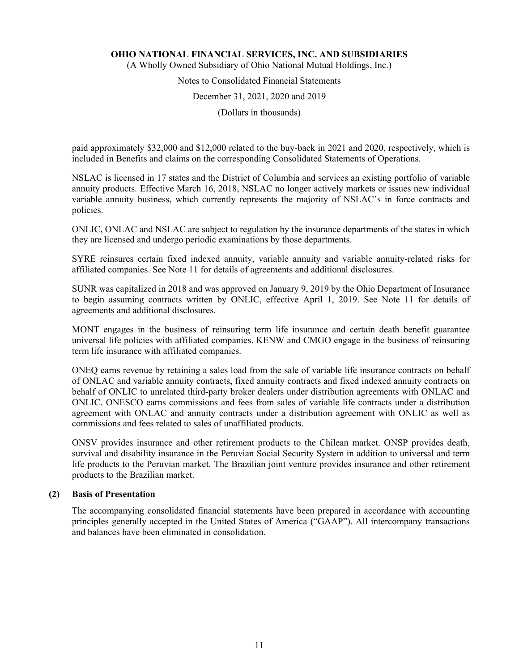(A Wholly Owned Subsidiary of Ohio National Mutual Holdings, Inc.)

### Notes to Consolidated Financial Statements

### December 31, 2021, 2020 and 2019

(Dollars in thousands)

paid approximately \$32,000 and \$12,000 related to the buy-back in 2021 and 2020, respectively, which is included in Benefits and claims on the corresponding Consolidated Statements of Operations.

NSLAC is licensed in 17 states and the District of Columbia and services an existing portfolio of variable annuity products. Effective March 16, 2018, NSLAC no longer actively markets or issues new individual variable annuity business, which currently represents the majority of NSLAC's in force contracts and policies.

ONLIC, ONLAC and NSLAC are subject to regulation by the insurance departments of the states in which they are licensed and undergo periodic examinations by those departments.

SYRE reinsures certain fixed indexed annuity, variable annuity and variable annuity-related risks for affiliated companies. See Note 11 for details of agreements and additional disclosures.

SUNR was capitalized in 2018 and was approved on January 9, 2019 by the Ohio Department of Insurance to begin assuming contracts written by ONLIC, effective April 1, 2019. See Note 11 for details of agreements and additional disclosures.

MONT engages in the business of reinsuring term life insurance and certain death benefit guarantee universal life policies with affiliated companies. KENW and CMGO engage in the business of reinsuring term life insurance with affiliated companies.

ONEQ earns revenue by retaining a sales load from the sale of variable life insurance contracts on behalf of ONLAC and variable annuity contracts, fixed annuity contracts and fixed indexed annuity contracts on behalf of ONLIC to unrelated third-party broker dealers under distribution agreements with ONLAC and ONLIC. ONESCO earns commissions and fees from sales of variable life contracts under a distribution agreement with ONLAC and annuity contracts under a distribution agreement with ONLIC as well as commissions and fees related to sales of unaffiliated products.

ONSV provides insurance and other retirement products to the Chilean market. ONSP provides death, survival and disability insurance in the Peruvian Social Security System in addition to universal and term life products to the Peruvian market. The Brazilian joint venture provides insurance and other retirement products to the Brazilian market.

#### **(2) Basis of Presentation**

The accompanying consolidated financial statements have been prepared in accordance with accounting principles generally accepted in the United States of America ("GAAP"). All intercompany transactions and balances have been eliminated in consolidation.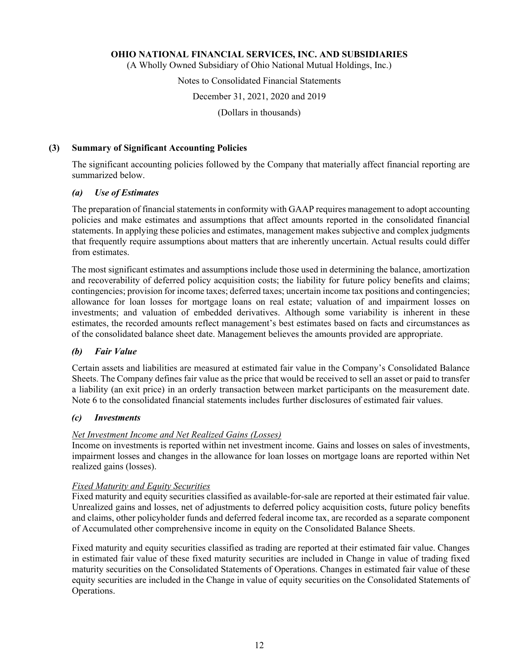(A Wholly Owned Subsidiary of Ohio National Mutual Holdings, Inc.)

### Notes to Consolidated Financial Statements

#### December 31, 2021, 2020 and 2019

(Dollars in thousands)

### **(3) Summary of Significant Accounting Policies**

The significant accounting policies followed by the Company that materially affect financial reporting are summarized below.

### *(a) Use of Estimates*

The preparation of financial statements in conformity with GAAP requires management to adopt accounting policies and make estimates and assumptions that affect amounts reported in the consolidated financial statements. In applying these policies and estimates, management makes subjective and complex judgments that frequently require assumptions about matters that are inherently uncertain. Actual results could differ from estimates.

The most significant estimates and assumptions include those used in determining the balance, amortization and recoverability of deferred policy acquisition costs; the liability for future policy benefits and claims; contingencies; provision for income taxes; deferred taxes; uncertain income tax positions and contingencies; allowance for loan losses for mortgage loans on real estate; valuation of and impairment losses on investments; and valuation of embedded derivatives. Although some variability is inherent in these estimates, the recorded amounts reflect management's best estimates based on facts and circumstances as of the consolidated balance sheet date. Management believes the amounts provided are appropriate.

### *(b) Fair Value*

Certain assets and liabilities are measured at estimated fair value in the Company's Consolidated Balance Sheets. The Company defines fair value as the price that would be received to sell an asset or paid to transfer a liability (an exit price) in an orderly transaction between market participants on the measurement date. Note 6 to the consolidated financial statements includes further disclosures of estimated fair values.

#### *(c) Investments*

### *Net Investment Income and Net Realized Gains (Losses)*

Income on investments is reported within net investment income. Gains and losses on sales of investments, impairment losses and changes in the allowance for loan losses on mortgage loans are reported within Net realized gains (losses).

### *Fixed Maturity and Equity Securities*

Fixed maturity and equity securities classified as available-for-sale are reported at their estimated fair value. Unrealized gains and losses, net of adjustments to deferred policy acquisition costs, future policy benefits and claims, other policyholder funds and deferred federal income tax, are recorded as a separate component of Accumulated other comprehensive income in equity on the Consolidated Balance Sheets.

Fixed maturity and equity securities classified as trading are reported at their estimated fair value. Changes in estimated fair value of these fixed maturity securities are included in Change in value of trading fixed maturity securities on the Consolidated Statements of Operations. Changes in estimated fair value of these equity securities are included in the Change in value of equity securities on the Consolidated Statements of Operations.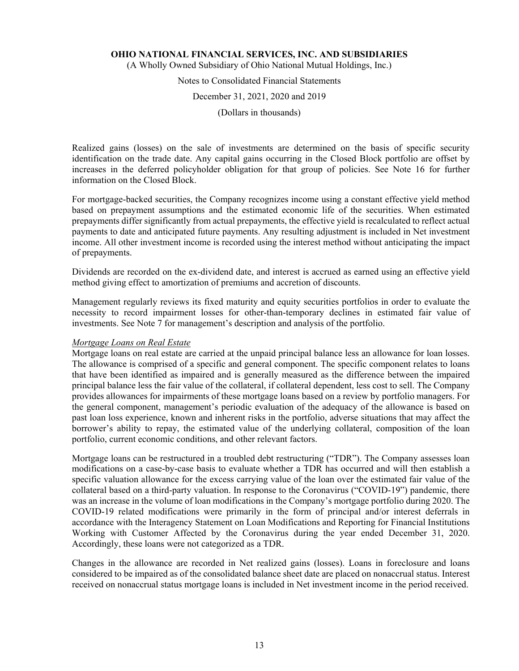(A Wholly Owned Subsidiary of Ohio National Mutual Holdings, Inc.)

## Notes to Consolidated Financial Statements

### December 31, 2021, 2020 and 2019

(Dollars in thousands)

Realized gains (losses) on the sale of investments are determined on the basis of specific security identification on the trade date. Any capital gains occurring in the Closed Block portfolio are offset by increases in the deferred policyholder obligation for that group of policies. See Note 16 for further information on the Closed Block.

For mortgage-backed securities, the Company recognizes income using a constant effective yield method based on prepayment assumptions and the estimated economic life of the securities. When estimated prepayments differ significantly from actual prepayments, the effective yield is recalculated to reflect actual payments to date and anticipated future payments. Any resulting adjustment is included in Net investment income. All other investment income is recorded using the interest method without anticipating the impact of prepayments.

Dividends are recorded on the ex-dividend date, and interest is accrued as earned using an effective yield method giving effect to amortization of premiums and accretion of discounts.

Management regularly reviews its fixed maturity and equity securities portfolios in order to evaluate the necessity to record impairment losses for other-than-temporary declines in estimated fair value of investments. See Note 7 for management's description and analysis of the portfolio.

#### *Mortgage Loans on Real Estate*

Mortgage loans on real estate are carried at the unpaid principal balance less an allowance for loan losses. The allowance is comprised of a specific and general component. The specific component relates to loans that have been identified as impaired and is generally measured as the difference between the impaired principal balance less the fair value of the collateral, if collateral dependent, less cost to sell. The Company provides allowances for impairments of these mortgage loans based on a review by portfolio managers. For the general component, management's periodic evaluation of the adequacy of the allowance is based on past loan loss experience, known and inherent risks in the portfolio, adverse situations that may affect the borrower's ability to repay, the estimated value of the underlying collateral, composition of the loan portfolio, current economic conditions, and other relevant factors.

Mortgage loans can be restructured in a troubled debt restructuring ("TDR"). The Company assesses loan modifications on a case-by-case basis to evaluate whether a TDR has occurred and will then establish a specific valuation allowance for the excess carrying value of the loan over the estimated fair value of the collateral based on a third-party valuation. In response to the Coronavirus ("COVID-19") pandemic, there was an increase in the volume of loan modifications in the Company's mortgage portfolio during 2020. The COVID-19 related modifications were primarily in the form of principal and/or interest deferrals in accordance with the Interagency Statement on Loan Modifications and Reporting for Financial Institutions Working with Customer Affected by the Coronavirus during the year ended December 31, 2020. Accordingly, these loans were not categorized as a TDR.

Changes in the allowance are recorded in Net realized gains (losses). Loans in foreclosure and loans considered to be impaired as of the consolidated balance sheet date are placed on nonaccrual status. Interest received on nonaccrual status mortgage loans is included in Net investment income in the period received.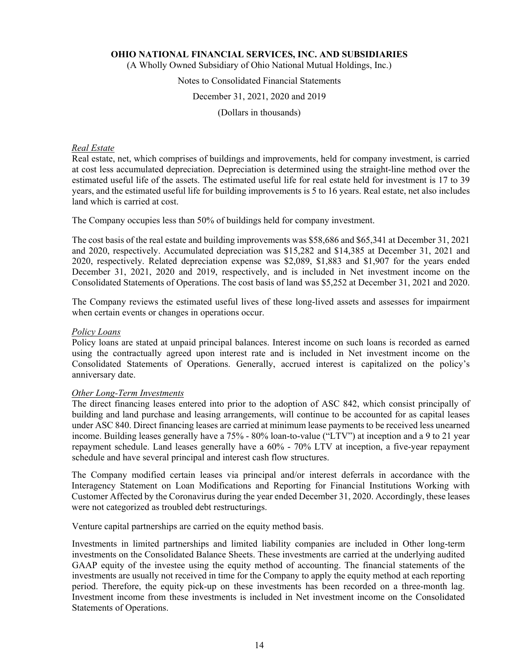(A Wholly Owned Subsidiary of Ohio National Mutual Holdings, Inc.)

### Notes to Consolidated Financial Statements

### December 31, 2021, 2020 and 2019

(Dollars in thousands)

### *Real Estate*

Real estate, net, which comprises of buildings and improvements, held for company investment, is carried at cost less accumulated depreciation. Depreciation is determined using the straight-line method over the estimated useful life of the assets. The estimated useful life for real estate held for investment is 17 to 39 years, and the estimated useful life for building improvements is 5 to 16 years. Real estate, net also includes land which is carried at cost.

The Company occupies less than 50% of buildings held for company investment.

The cost basis of the real estate and building improvements was \$58,686 and \$65,341 at December 31, 2021 and 2020, respectively. Accumulated depreciation was \$15,282 and \$14,385 at December 31, 2021 and 2020, respectively. Related depreciation expense was \$2,089, \$1,883 and \$1,907 for the years ended December 31, 2021, 2020 and 2019, respectively, and is included in Net investment income on the Consolidated Statements of Operations. The cost basis of land was \$5,252 at December 31, 2021 and 2020.

The Company reviews the estimated useful lives of these long-lived assets and assesses for impairment when certain events or changes in operations occur.

#### *Policy Loans*

Policy loans are stated at unpaid principal balances. Interest income on such loans is recorded as earned using the contractually agreed upon interest rate and is included in Net investment income on the Consolidated Statements of Operations. Generally, accrued interest is capitalized on the policy's anniversary date.

#### *Other Long-Term Investments*

The direct financing leases entered into prior to the adoption of ASC 842, which consist principally of building and land purchase and leasing arrangements, will continue to be accounted for as capital leases under ASC 840. Direct financing leases are carried at minimum lease payments to be received less unearned income. Building leases generally have a 75% - 80% loan-to-value ("LTV") at inception and a 9 to 21 year repayment schedule. Land leases generally have a 60% - 70% LTV at inception, a five-year repayment schedule and have several principal and interest cash flow structures.

The Company modified certain leases via principal and/or interest deferrals in accordance with the Interagency Statement on Loan Modifications and Reporting for Financial Institutions Working with Customer Affected by the Coronavirus during the year ended December 31, 2020. Accordingly, these leases were not categorized as troubled debt restructurings.

Venture capital partnerships are carried on the equity method basis.

Investments in limited partnerships and limited liability companies are included in Other long-term investments on the Consolidated Balance Sheets. These investments are carried at the underlying audited GAAP equity of the investee using the equity method of accounting. The financial statements of the investments are usually not received in time for the Company to apply the equity method at each reporting period. Therefore, the equity pick-up on these investments has been recorded on a three-month lag. Investment income from these investments is included in Net investment income on the Consolidated Statements of Operations.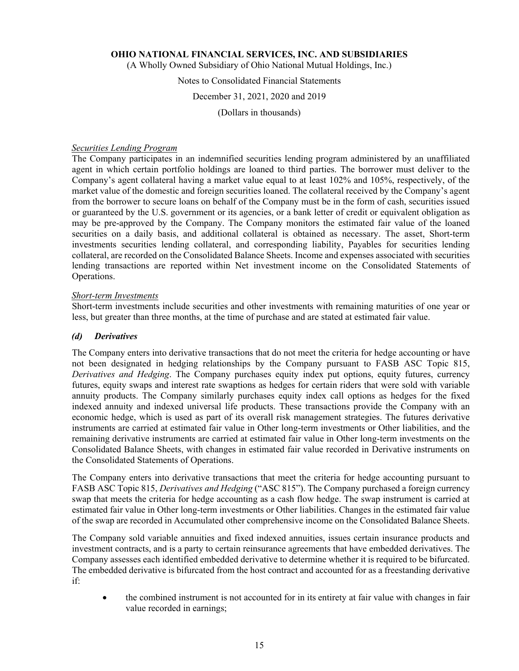(A Wholly Owned Subsidiary of Ohio National Mutual Holdings, Inc.)

### Notes to Consolidated Financial Statements

### December 31, 2021, 2020 and 2019

(Dollars in thousands)

### *Securities Lending Program*

The Company participates in an indemnified securities lending program administered by an unaffiliated agent in which certain portfolio holdings are loaned to third parties. The borrower must deliver to the Company's agent collateral having a market value equal to at least 102% and 105%, respectively, of the market value of the domestic and foreign securities loaned. The collateral received by the Company's agent from the borrower to secure loans on behalf of the Company must be in the form of cash, securities issued or guaranteed by the U.S. government or its agencies, or a bank letter of credit or equivalent obligation as may be pre-approved by the Company. The Company monitors the estimated fair value of the loaned securities on a daily basis, and additional collateral is obtained as necessary. The asset, Short-term investments securities lending collateral, and corresponding liability, Payables for securities lending collateral, are recorded on the Consolidated Balance Sheets. Income and expenses associated with securities lending transactions are reported within Net investment income on the Consolidated Statements of Operations.

### *Short-term Investments*

Short-term investments include securities and other investments with remaining maturities of one year or less, but greater than three months, at the time of purchase and are stated at estimated fair value.

### *(d) Derivatives*

The Company enters into derivative transactions that do not meet the criteria for hedge accounting or have not been designated in hedging relationships by the Company pursuant to FASB ASC Topic 815, *Derivatives and Hedging*. The Company purchases equity index put options, equity futures, currency futures, equity swaps and interest rate swaptions as hedges for certain riders that were sold with variable annuity products. The Company similarly purchases equity index call options as hedges for the fixed indexed annuity and indexed universal life products. These transactions provide the Company with an economic hedge, which is used as part of its overall risk management strategies. The futures derivative instruments are carried at estimated fair value in Other long-term investments or Other liabilities, and the remaining derivative instruments are carried at estimated fair value in Other long-term investments on the Consolidated Balance Sheets, with changes in estimated fair value recorded in Derivative instruments on the Consolidated Statements of Operations.

The Company enters into derivative transactions that meet the criteria for hedge accounting pursuant to FASB ASC Topic 815, *Derivatives and Hedging* ("ASC 815"). The Company purchased a foreign currency swap that meets the criteria for hedge accounting as a cash flow hedge. The swap instrument is carried at estimated fair value in Other long-term investments or Other liabilities. Changes in the estimated fair value of the swap are recorded in Accumulated other comprehensive income on the Consolidated Balance Sheets.

The Company sold variable annuities and fixed indexed annuities, issues certain insurance products and investment contracts, and is a party to certain reinsurance agreements that have embedded derivatives. The Company assesses each identified embedded derivative to determine whether it is required to be bifurcated. The embedded derivative is bifurcated from the host contract and accounted for as a freestanding derivative if:

• the combined instrument is not accounted for in its entirety at fair value with changes in fair value recorded in earnings;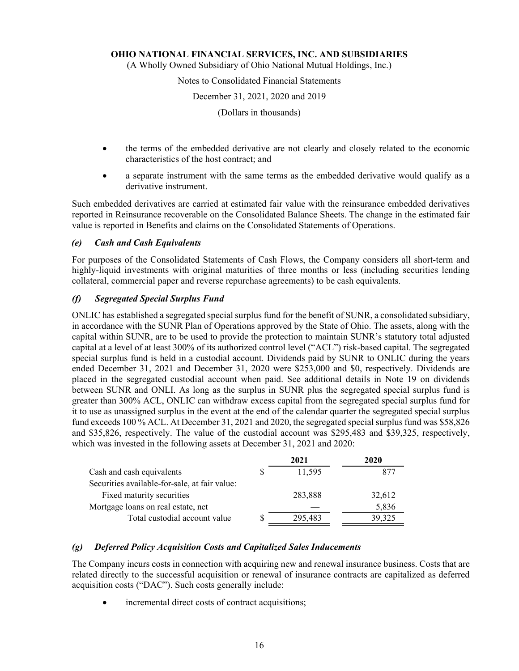(A Wholly Owned Subsidiary of Ohio National Mutual Holdings, Inc.)

### Notes to Consolidated Financial Statements

December 31, 2021, 2020 and 2019

(Dollars in thousands)

- the terms of the embedded derivative are not clearly and closely related to the economic characteristics of the host contract; and
- a separate instrument with the same terms as the embedded derivative would qualify as a derivative instrument.

Such embedded derivatives are carried at estimated fair value with the reinsurance embedded derivatives reported in Reinsurance recoverable on the Consolidated Balance Sheets. The change in the estimated fair value is reported in Benefits and claims on the Consolidated Statements of Operations.

### *(e) Cash and Cash Equivalents*

For purposes of the Consolidated Statements of Cash Flows, the Company considers all short-term and highly-liquid investments with original maturities of three months or less (including securities lending collateral, commercial paper and reverse repurchase agreements) to be cash equivalents.

### *(f) Segregated Special Surplus Fund*

ONLIC has established a segregated special surplus fund for the benefit of SUNR, a consolidated subsidiary, in accordance with the SUNR Plan of Operations approved by the State of Ohio. The assets, along with the capital within SUNR, are to be used to provide the protection to maintain SUNR's statutory total adjusted capital at a level of at least 300% of its authorized control level ("ACL") risk-based capital. The segregated special surplus fund is held in a custodial account. Dividends paid by SUNR to ONLIC during the years ended December 31, 2021 and December 31, 2020 were \$253,000 and \$0, respectively. Dividends are placed in the segregated custodial account when paid. See additional details in Note 19 on dividends between SUNR and ONLI. As long as the surplus in SUNR plus the segregated special surplus fund is greater than 300% ACL, ONLIC can withdraw excess capital from the segregated special surplus fund for it to use as unassigned surplus in the event at the end of the calendar quarter the segregated special surplus fund exceeds 100 % ACL. At December 31, 2021 and 2020, the segregated special surplus fund was \$58,826 and \$35,826, respectively. The value of the custodial account was \$295,483 and \$39,325, respectively, which was invested in the following assets at December 31, 2021 and 2020:

| 2021    | 2020   |
|---------|--------|
| 11,595  | 877    |
|         |        |
| 283,888 | 32,612 |
|         | 5,836  |
| 295,483 | 39,325 |
|         |        |

### *(g) Deferred Policy Acquisition Costs and Capitalized Sales Inducements*

The Company incurs costs in connection with acquiring new and renewal insurance business. Costs that are related directly to the successful acquisition or renewal of insurance contracts are capitalized as deferred acquisition costs ("DAC"). Such costs generally include:

incremental direct costs of contract acquisitions;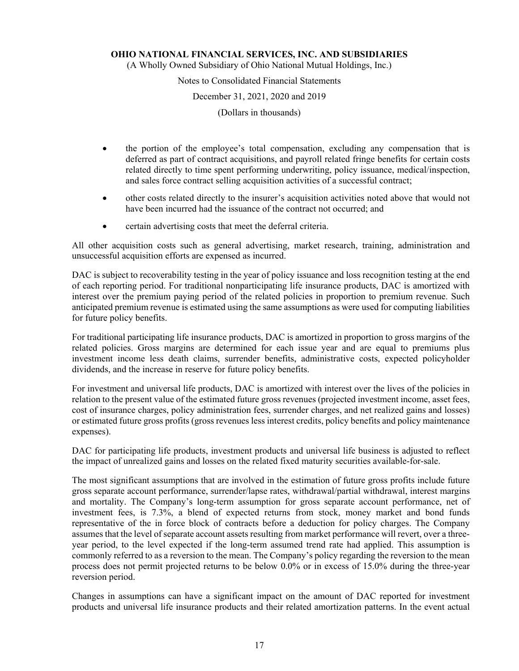(A Wholly Owned Subsidiary of Ohio National Mutual Holdings, Inc.)

### Notes to Consolidated Financial Statements

#### December 31, 2021, 2020 and 2019

(Dollars in thousands)

- the portion of the employee's total compensation, excluding any compensation that is deferred as part of contract acquisitions, and payroll related fringe benefits for certain costs related directly to time spent performing underwriting, policy issuance, medical/inspection, and sales force contract selling acquisition activities of a successful contract;
- other costs related directly to the insurer's acquisition activities noted above that would not have been incurred had the issuance of the contract not occurred; and
- certain advertising costs that meet the deferral criteria.

All other acquisition costs such as general advertising, market research, training, administration and unsuccessful acquisition efforts are expensed as incurred.

DAC is subject to recoverability testing in the year of policy issuance and loss recognition testing at the end of each reporting period. For traditional nonparticipating life insurance products, DAC is amortized with interest over the premium paying period of the related policies in proportion to premium revenue. Such anticipated premium revenue is estimated using the same assumptions as were used for computing liabilities for future policy benefits.

For traditional participating life insurance products, DAC is amortized in proportion to gross margins of the related policies. Gross margins are determined for each issue year and are equal to premiums plus investment income less death claims, surrender benefits, administrative costs, expected policyholder dividends, and the increase in reserve for future policy benefits.

For investment and universal life products, DAC is amortized with interest over the lives of the policies in relation to the present value of the estimated future gross revenues (projected investment income, asset fees, cost of insurance charges, policy administration fees, surrender charges, and net realized gains and losses) or estimated future gross profits (gross revenues less interest credits, policy benefits and policy maintenance expenses).

DAC for participating life products, investment products and universal life business is adjusted to reflect the impact of unrealized gains and losses on the related fixed maturity securities available-for-sale.

The most significant assumptions that are involved in the estimation of future gross profits include future gross separate account performance, surrender/lapse rates, withdrawal/partial withdrawal, interest margins and mortality. The Company's long-term assumption for gross separate account performance, net of investment fees, is 7.3%, a blend of expected returns from stock, money market and bond funds representative of the in force block of contracts before a deduction for policy charges. The Company assumes that the level of separate account assets resulting from market performance will revert, over a threeyear period, to the level expected if the long-term assumed trend rate had applied. This assumption is commonly referred to as a reversion to the mean. The Company's policy regarding the reversion to the mean process does not permit projected returns to be below 0.0% or in excess of 15.0% during the three-year reversion period.

Changes in assumptions can have a significant impact on the amount of DAC reported for investment products and universal life insurance products and their related amortization patterns. In the event actual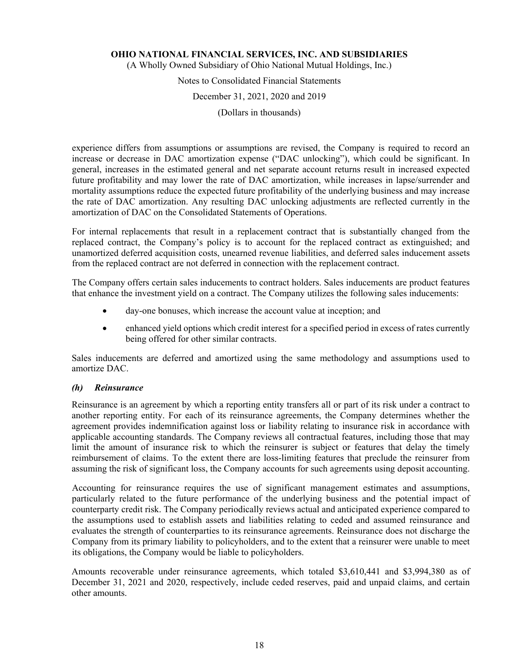(A Wholly Owned Subsidiary of Ohio National Mutual Holdings, Inc.)

### Notes to Consolidated Financial Statements

### December 31, 2021, 2020 and 2019

(Dollars in thousands)

experience differs from assumptions or assumptions are revised, the Company is required to record an increase or decrease in DAC amortization expense ("DAC unlocking"), which could be significant. In general, increases in the estimated general and net separate account returns result in increased expected future profitability and may lower the rate of DAC amortization, while increases in lapse/surrender and mortality assumptions reduce the expected future profitability of the underlying business and may increase the rate of DAC amortization. Any resulting DAC unlocking adjustments are reflected currently in the amortization of DAC on the Consolidated Statements of Operations.

For internal replacements that result in a replacement contract that is substantially changed from the replaced contract, the Company's policy is to account for the replaced contract as extinguished; and unamortized deferred acquisition costs, unearned revenue liabilities, and deferred sales inducement assets from the replaced contract are not deferred in connection with the replacement contract.

The Company offers certain sales inducements to contract holders. Sales inducements are product features that enhance the investment yield on a contract. The Company utilizes the following sales inducements:

- day-one bonuses, which increase the account value at inception; and
- enhanced yield options which credit interest for a specified period in excess of rates currently being offered for other similar contracts.

Sales inducements are deferred and amortized using the same methodology and assumptions used to amortize DAC.

### *(h) Reinsurance*

Reinsurance is an agreement by which a reporting entity transfers all or part of its risk under a contract to another reporting entity. For each of its reinsurance agreements, the Company determines whether the agreement provides indemnification against loss or liability relating to insurance risk in accordance with applicable accounting standards. The Company reviews all contractual features, including those that may limit the amount of insurance risk to which the reinsurer is subject or features that delay the timely reimbursement of claims. To the extent there are loss-limiting features that preclude the reinsurer from assuming the risk of significant loss, the Company accounts for such agreements using deposit accounting.

Accounting for reinsurance requires the use of significant management estimates and assumptions, particularly related to the future performance of the underlying business and the potential impact of counterparty credit risk. The Company periodically reviews actual and anticipated experience compared to the assumptions used to establish assets and liabilities relating to ceded and assumed reinsurance and evaluates the strength of counterparties to its reinsurance agreements. Reinsurance does not discharge the Company from its primary liability to policyholders, and to the extent that a reinsurer were unable to meet its obligations, the Company would be liable to policyholders.

Amounts recoverable under reinsurance agreements, which totaled \$3,610,441 and \$3,994,380 as of December 31, 2021 and 2020, respectively, include ceded reserves, paid and unpaid claims, and certain other amounts.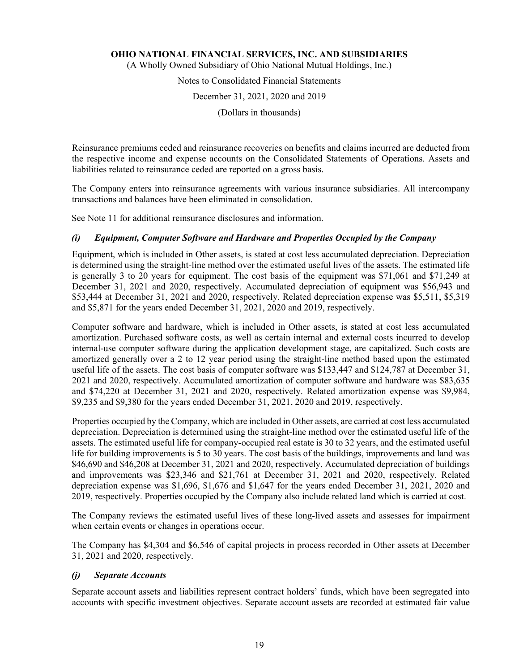(A Wholly Owned Subsidiary of Ohio National Mutual Holdings, Inc.)

### Notes to Consolidated Financial Statements

December 31, 2021, 2020 and 2019

(Dollars in thousands)

Reinsurance premiums ceded and reinsurance recoveries on benefits and claims incurred are deducted from the respective income and expense accounts on the Consolidated Statements of Operations. Assets and liabilities related to reinsurance ceded are reported on a gross basis.

The Company enters into reinsurance agreements with various insurance subsidiaries. All intercompany transactions and balances have been eliminated in consolidation.

See Note 11 for additional reinsurance disclosures and information.

### *(i) Equipment, Computer Software and Hardware and Properties Occupied by the Company*

Equipment, which is included in Other assets, is stated at cost less accumulated depreciation. Depreciation is determined using the straight-line method over the estimated useful lives of the assets. The estimated life is generally 3 to 20 years for equipment. The cost basis of the equipment was \$71,061 and \$71,249 at December 31, 2021 and 2020, respectively. Accumulated depreciation of equipment was \$56,943 and \$53,444 at December 31, 2021 and 2020, respectively. Related depreciation expense was \$5,511, \$5,319 and \$5,871 for the years ended December 31, 2021, 2020 and 2019, respectively.

Computer software and hardware, which is included in Other assets, is stated at cost less accumulated amortization. Purchased software costs, as well as certain internal and external costs incurred to develop internal-use computer software during the application development stage, are capitalized. Such costs are amortized generally over a 2 to 12 year period using the straight-line method based upon the estimated useful life of the assets. The cost basis of computer software was \$133,447 and \$124,787 at December 31, 2021 and 2020, respectively. Accumulated amortization of computer software and hardware was \$83,635 and \$74,220 at December 31, 2021 and 2020, respectively. Related amortization expense was \$9,984, \$9,235 and \$9,380 for the years ended December 31, 2021, 2020 and 2019, respectively.

Properties occupied by the Company, which are included in Other assets, are carried at cost less accumulated depreciation. Depreciation is determined using the straight-line method over the estimated useful life of the assets. The estimated useful life for company-occupied real estate is 30 to 32 years, and the estimated useful life for building improvements is 5 to 30 years. The cost basis of the buildings, improvements and land was \$46,690 and \$46,208 at December 31, 2021 and 2020, respectively. Accumulated depreciation of buildings and improvements was \$23,346 and \$21,761 at December 31, 2021 and 2020, respectively. Related depreciation expense was \$1,696, \$1,676 and \$1,647 for the years ended December 31, 2021, 2020 and 2019, respectively. Properties occupied by the Company also include related land which is carried at cost.

The Company reviews the estimated useful lives of these long-lived assets and assesses for impairment when certain events or changes in operations occur.

The Company has \$4,304 and \$6,546 of capital projects in process recorded in Other assets at December 31, 2021 and 2020, respectively.

### *(j) Separate Accounts*

Separate account assets and liabilities represent contract holders' funds, which have been segregated into accounts with specific investment objectives. Separate account assets are recorded at estimated fair value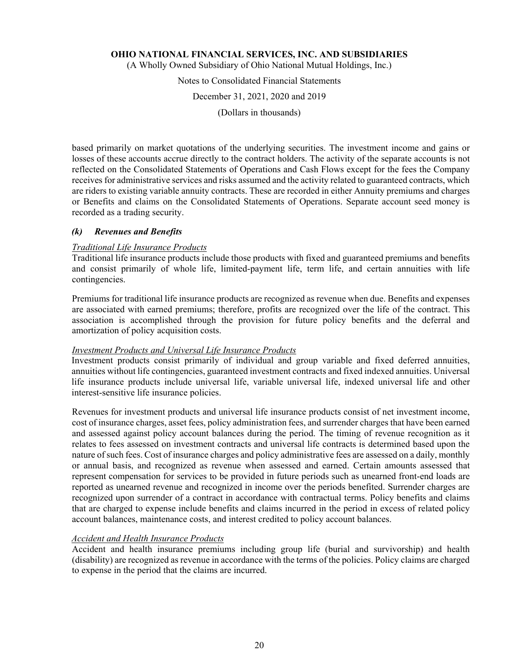(A Wholly Owned Subsidiary of Ohio National Mutual Holdings, Inc.)

Notes to Consolidated Financial Statements

December 31, 2021, 2020 and 2019

(Dollars in thousands)

based primarily on market quotations of the underlying securities. The investment income and gains or losses of these accounts accrue directly to the contract holders. The activity of the separate accounts is not reflected on the Consolidated Statements of Operations and Cash Flows except for the fees the Company receives for administrative services and risks assumed and the activity related to guaranteed contracts, which are riders to existing variable annuity contracts. These are recorded in either Annuity premiums and charges or Benefits and claims on the Consolidated Statements of Operations. Separate account seed money is recorded as a trading security.

#### *(k) Revenues and Benefits*

### *Traditional Life Insurance Products*

Traditional life insurance products include those products with fixed and guaranteed premiums and benefits and consist primarily of whole life, limited-payment life, term life, and certain annuities with life contingencies.

Premiums for traditional life insurance products are recognized as revenue when due. Benefits and expenses are associated with earned premiums; therefore, profits are recognized over the life of the contract. This association is accomplished through the provision for future policy benefits and the deferral and amortization of policy acquisition costs.

#### *Investment Products and Universal Life Insurance Products*

Investment products consist primarily of individual and group variable and fixed deferred annuities, annuities without life contingencies, guaranteed investment contracts and fixed indexed annuities. Universal life insurance products include universal life, variable universal life, indexed universal life and other interest-sensitive life insurance policies.

Revenues for investment products and universal life insurance products consist of net investment income, cost of insurance charges, asset fees, policy administration fees, and surrender charges that have been earned and assessed against policy account balances during the period. The timing of revenue recognition as it relates to fees assessed on investment contracts and universal life contracts is determined based upon the nature of such fees. Cost of insurance charges and policy administrative fees are assessed on a daily, monthly or annual basis, and recognized as revenue when assessed and earned. Certain amounts assessed that represent compensation for services to be provided in future periods such as unearned front-end loads are reported as unearned revenue and recognized in income over the periods benefited. Surrender charges are recognized upon surrender of a contract in accordance with contractual terms. Policy benefits and claims that are charged to expense include benefits and claims incurred in the period in excess of related policy account balances, maintenance costs, and interest credited to policy account balances.

### *Accident and Health Insurance Products*

Accident and health insurance premiums including group life (burial and survivorship) and health (disability) are recognized as revenue in accordance with the terms of the policies. Policy claims are charged to expense in the period that the claims are incurred.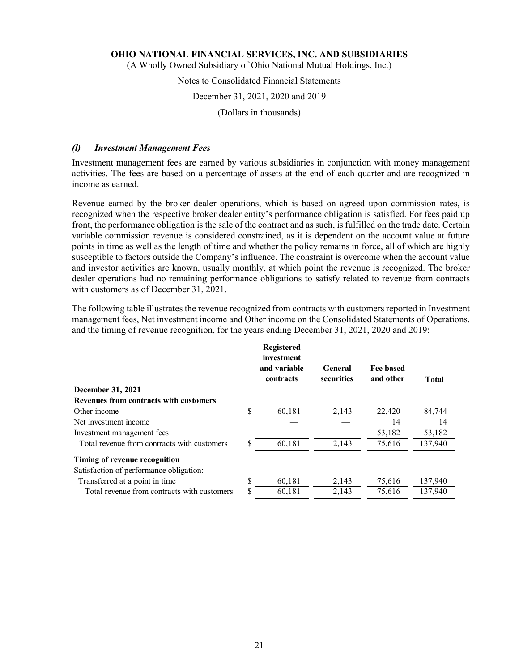(A Wholly Owned Subsidiary of Ohio National Mutual Holdings, Inc.)

### Notes to Consolidated Financial Statements

### December 31, 2021, 2020 and 2019

(Dollars in thousands)

#### *(l) Investment Management Fees*

Investment management fees are earned by various subsidiaries in conjunction with money management activities. The fees are based on a percentage of assets at the end of each quarter and are recognized in income as earned.

Revenue earned by the broker dealer operations, which is based on agreed upon commission rates, is recognized when the respective broker dealer entity's performance obligation is satisfied. For fees paid up front, the performance obligation is the sale of the contract and as such, is fulfilled on the trade date. Certain variable commission revenue is considered constrained, as it is dependent on the account value at future points in time as well as the length of time and whether the policy remains in force, all of which are highly susceptible to factors outside the Company's influence. The constraint is overcome when the account value and investor activities are known, usually monthly, at which point the revenue is recognized. The broker dealer operations had no remaining performance obligations to satisfy related to revenue from contracts with customers as of December 31, 2021.

The following table illustrates the revenue recognized from contracts with customers reported in Investment management fees, Net investment income and Other income on the Consolidated Statements of Operations, and the timing of revenue recognition, for the years ending December 31, 2021, 2020 and 2019:

|                                             |    | <b>Registered</b><br>investment<br>and variable<br>contracts | General<br>securities | <b>Fee based</b><br>and other | <b>Total</b> |
|---------------------------------------------|----|--------------------------------------------------------------|-----------------------|-------------------------------|--------------|
| December 31, 2021                           |    |                                                              |                       |                               |              |
| Revenues from contracts with customers      |    |                                                              |                       |                               |              |
| Other income                                | \$ | 60,181                                                       | 2,143                 | 22,420                        | 84,744       |
| Net investment income                       |    |                                                              |                       | 14                            | 14           |
| Investment management fees                  |    |                                                              |                       | 53,182                        | 53,182       |
| Total revenue from contracts with customers | \$ | 60,181                                                       | 2,143                 | 75,616                        | 137,940      |
| Timing of revenue recognition               |    |                                                              |                       |                               |              |
| Satisfaction of performance obligation:     |    |                                                              |                       |                               |              |
| Transferred at a point in time              | \$ | 60,181                                                       | 2,143                 | 75,616                        | 137,940      |
| Total revenue from contracts with customers | S  | 60,181                                                       | 2,143                 | 75,616                        | 137,940      |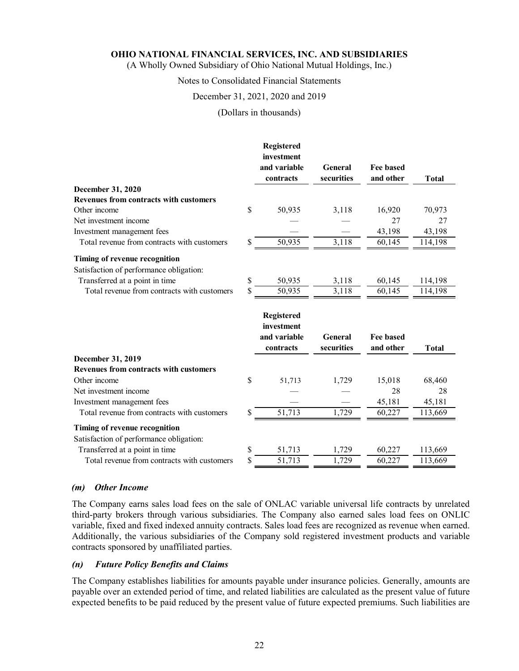(A Wholly Owned Subsidiary of Ohio National Mutual Holdings, Inc.)

### Notes to Consolidated Financial Statements

#### December 31, 2021, 2020 and 2019

#### (Dollars in thousands)

|                                                                               | <b>Registered</b><br>investment<br>and variable<br>contracts | General<br>securities | <b>Fee based</b><br>and other | <b>Total</b> |
|-------------------------------------------------------------------------------|--------------------------------------------------------------|-----------------------|-------------------------------|--------------|
| December 31, 2020                                                             |                                                              |                       |                               |              |
| <b>Revenues from contracts with customers</b>                                 |                                                              |                       |                               |              |
| Other income                                                                  | \$<br>50,935                                                 | 3,118                 | 16,920                        | 70,973       |
| Net investment income                                                         |                                                              |                       | 27                            | 27           |
| Investment management fees                                                    |                                                              |                       | 43,198                        | 43,198       |
| Total revenue from contracts with customers                                   | \$<br>50,935                                                 | 3,118                 | 60,145                        | 114,198      |
| <b>Timing of revenue recognition</b>                                          |                                                              |                       |                               |              |
| Satisfaction of performance obligation:                                       |                                                              |                       |                               |              |
| Transferred at a point in time                                                | \$<br>50,935                                                 | 3,118                 | 60,145                        | 114,198      |
| Total revenue from contracts with customers                                   | \$<br>50,935                                                 | 3,118                 | 60,145                        | 114,198      |
|                                                                               |                                                              |                       |                               |              |
|                                                                               | <b>Registered</b><br>investment<br>and variable<br>contracts | General<br>securities | <b>Fee based</b><br>and other | <b>Total</b> |
| December 31, 2019                                                             |                                                              |                       |                               |              |
| <b>Revenues from contracts with customers</b>                                 |                                                              |                       |                               |              |
| Other income                                                                  | \$<br>51,713                                                 | 1,729                 | 15,018                        | 68,460       |
| Net investment income                                                         |                                                              |                       | 28                            | 28           |
| Investment management fees                                                    |                                                              |                       | 45,181                        | 45,181       |
| Total revenue from contracts with customers                                   | \$<br>51,713                                                 | 1,729                 | 60,227                        | 113,669      |
| Timing of revenue recognition                                                 |                                                              |                       |                               |              |
| Satisfaction of performance obligation:                                       |                                                              |                       |                               |              |
| Transferred at a point in time<br>Total revenue from contracts with customers | \$<br>51,713                                                 | 1,729                 | 60,227<br>60,227              | 113,669      |

#### *(m) Other Income*

The Company earns sales load fees on the sale of ONLAC variable universal life contracts by unrelated third-party brokers through various subsidiaries. The Company also earned sales load fees on ONLIC variable, fixed and fixed indexed annuity contracts. Sales load fees are recognized as revenue when earned. Additionally, the various subsidiaries of the Company sold registered investment products and variable contracts sponsored by unaffiliated parties.

### *(n) Future Policy Benefits and Claims*

The Company establishes liabilities for amounts payable under insurance policies. Generally, amounts are payable over an extended period of time, and related liabilities are calculated as the present value of future expected benefits to be paid reduced by the present value of future expected premiums. Such liabilities are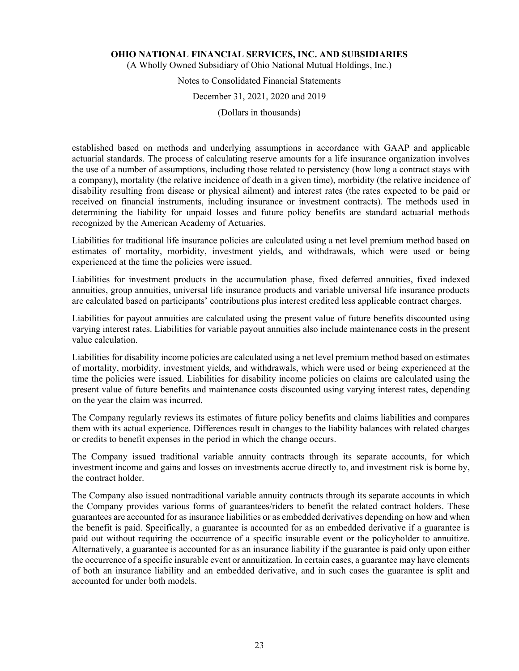(A Wholly Owned Subsidiary of Ohio National Mutual Holdings, Inc.)

### Notes to Consolidated Financial Statements

### December 31, 2021, 2020 and 2019

(Dollars in thousands)

established based on methods and underlying assumptions in accordance with GAAP and applicable actuarial standards. The process of calculating reserve amounts for a life insurance organization involves the use of a number of assumptions, including those related to persistency (how long a contract stays with a company), mortality (the relative incidence of death in a given time), morbidity (the relative incidence of disability resulting from disease or physical ailment) and interest rates (the rates expected to be paid or received on financial instruments, including insurance or investment contracts). The methods used in determining the liability for unpaid losses and future policy benefits are standard actuarial methods recognized by the American Academy of Actuaries.

Liabilities for traditional life insurance policies are calculated using a net level premium method based on estimates of mortality, morbidity, investment yields, and withdrawals, which were used or being experienced at the time the policies were issued.

Liabilities for investment products in the accumulation phase, fixed deferred annuities, fixed indexed annuities, group annuities, universal life insurance products and variable universal life insurance products are calculated based on participants' contributions plus interest credited less applicable contract charges.

Liabilities for payout annuities are calculated using the present value of future benefits discounted using varying interest rates. Liabilities for variable payout annuities also include maintenance costs in the present value calculation.

Liabilities for disability income policies are calculated using a net level premium method based on estimates of mortality, morbidity, investment yields, and withdrawals, which were used or being experienced at the time the policies were issued. Liabilities for disability income policies on claims are calculated using the present value of future benefits and maintenance costs discounted using varying interest rates, depending on the year the claim was incurred.

The Company regularly reviews its estimates of future policy benefits and claims liabilities and compares them with its actual experience. Differences result in changes to the liability balances with related charges or credits to benefit expenses in the period in which the change occurs.

The Company issued traditional variable annuity contracts through its separate accounts, for which investment income and gains and losses on investments accrue directly to, and investment risk is borne by, the contract holder.

The Company also issued nontraditional variable annuity contracts through its separate accounts in which the Company provides various forms of guarantees/riders to benefit the related contract holders. These guarantees are accounted for as insurance liabilities or as embedded derivatives depending on how and when the benefit is paid. Specifically, a guarantee is accounted for as an embedded derivative if a guarantee is paid out without requiring the occurrence of a specific insurable event or the policyholder to annuitize. Alternatively, a guarantee is accounted for as an insurance liability if the guarantee is paid only upon either the occurrence of a specific insurable event or annuitization. In certain cases, a guarantee may have elements of both an insurance liability and an embedded derivative, and in such cases the guarantee is split and accounted for under both models.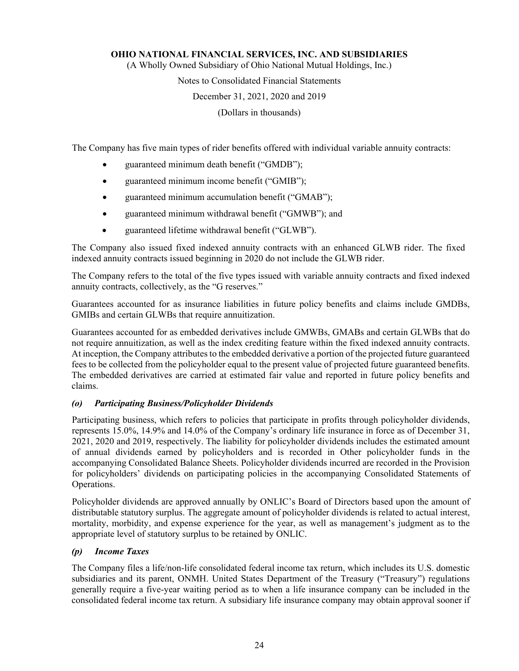(A Wholly Owned Subsidiary of Ohio National Mutual Holdings, Inc.)

### Notes to Consolidated Financial Statements

### December 31, 2021, 2020 and 2019

(Dollars in thousands)

The Company has five main types of rider benefits offered with individual variable annuity contracts:

- guaranteed minimum death benefit ("GMDB");
- guaranteed minimum income benefit ("GMIB");
- guaranteed minimum accumulation benefit ("GMAB");
- guaranteed minimum withdrawal benefit ("GMWB"); and
- guaranteed lifetime withdrawal benefit ("GLWB").

The Company also issued fixed indexed annuity contracts with an enhanced GLWB rider. The fixed indexed annuity contracts issued beginning in 2020 do not include the GLWB rider.

The Company refers to the total of the five types issued with variable annuity contracts and fixed indexed annuity contracts, collectively, as the "G reserves."

Guarantees accounted for as insurance liabilities in future policy benefits and claims include GMDBs, GMIBs and certain GLWBs that require annuitization.

Guarantees accounted for as embedded derivatives include GMWBs, GMABs and certain GLWBs that do not require annuitization, as well as the index crediting feature within the fixed indexed annuity contracts. At inception, the Company attributes to the embedded derivative a portion of the projected future guaranteed fees to be collected from the policyholder equal to the present value of projected future guaranteed benefits. The embedded derivatives are carried at estimated fair value and reported in future policy benefits and claims.

### *(o) Participating Business/Policyholder Dividends*

Participating business, which refers to policies that participate in profits through policyholder dividends, represents 15.0%, 14.9% and 14.0% of the Company's ordinary life insurance in force as of December 31, 2021, 2020 and 2019, respectively. The liability for policyholder dividends includes the estimated amount of annual dividends earned by policyholders and is recorded in Other policyholder funds in the accompanying Consolidated Balance Sheets. Policyholder dividends incurred are recorded in the Provision for policyholders' dividends on participating policies in the accompanying Consolidated Statements of Operations.

Policyholder dividends are approved annually by ONLIC's Board of Directors based upon the amount of distributable statutory surplus. The aggregate amount of policyholder dividends is related to actual interest, mortality, morbidity, and expense experience for the year, as well as management's judgment as to the appropriate level of statutory surplus to be retained by ONLIC.

### *(p) Income Taxes*

The Company files a life/non-life consolidated federal income tax return, which includes its U.S. domestic subsidiaries and its parent, ONMH. United States Department of the Treasury ("Treasury") regulations generally require a five-year waiting period as to when a life insurance company can be included in the consolidated federal income tax return. A subsidiary life insurance company may obtain approval sooner if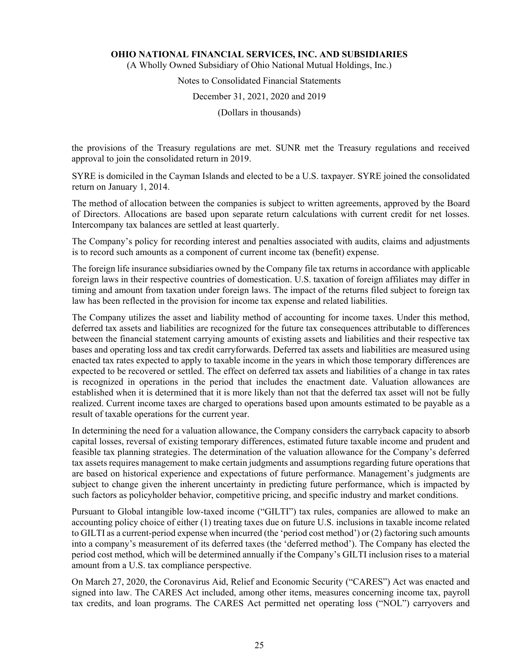(A Wholly Owned Subsidiary of Ohio National Mutual Holdings, Inc.)

### Notes to Consolidated Financial Statements

#### December 31, 2021, 2020 and 2019

(Dollars in thousands)

the provisions of the Treasury regulations are met. SUNR met the Treasury regulations and received approval to join the consolidated return in 2019.

SYRE is domiciled in the Cayman Islands and elected to be a U.S. taxpayer. SYRE joined the consolidated return on January 1, 2014.

The method of allocation between the companies is subject to written agreements, approved by the Board of Directors. Allocations are based upon separate return calculations with current credit for net losses. Intercompany tax balances are settled at least quarterly.

The Company's policy for recording interest and penalties associated with audits, claims and adjustments is to record such amounts as a component of current income tax (benefit) expense.

The foreign life insurance subsidiaries owned by the Company file tax returns in accordance with applicable foreign laws in their respective countries of domestication. U.S. taxation of foreign affiliates may differ in timing and amount from taxation under foreign laws. The impact of the returns filed subject to foreign tax law has been reflected in the provision for income tax expense and related liabilities.

The Company utilizes the asset and liability method of accounting for income taxes. Under this method, deferred tax assets and liabilities are recognized for the future tax consequences attributable to differences between the financial statement carrying amounts of existing assets and liabilities and their respective tax bases and operating loss and tax credit carryforwards. Deferred tax assets and liabilities are measured using enacted tax rates expected to apply to taxable income in the years in which those temporary differences are expected to be recovered or settled. The effect on deferred tax assets and liabilities of a change in tax rates is recognized in operations in the period that includes the enactment date. Valuation allowances are established when it is determined that it is more likely than not that the deferred tax asset will not be fully realized. Current income taxes are charged to operations based upon amounts estimated to be payable as a result of taxable operations for the current year.

In determining the need for a valuation allowance, the Company considers the carryback capacity to absorb capital losses, reversal of existing temporary differences, estimated future taxable income and prudent and feasible tax planning strategies. The determination of the valuation allowance for the Company's deferred tax assets requires management to make certain judgments and assumptions regarding future operations that are based on historical experience and expectations of future performance. Management's judgments are subject to change given the inherent uncertainty in predicting future performance, which is impacted by such factors as policyholder behavior, competitive pricing, and specific industry and market conditions.

Pursuant to Global intangible low-taxed income ("GILTI") tax rules, companies are allowed to make an accounting policy choice of either (1) treating taxes due on future U.S. inclusions in taxable income related to GILTI as a current-period expense when incurred (the 'period cost method') or (2) factoring such amounts into a company's measurement of its deferred taxes (the 'deferred method'). The Company has elected the period cost method, which will be determined annually if the Company's GILTI inclusion rises to a material amount from a U.S. tax compliance perspective.

On March 27, 2020, the Coronavirus Aid, Relief and Economic Security ("CARES") Act was enacted and signed into law. The CARES Act included, among other items, measures concerning income tax, payroll tax credits, and loan programs. The CARES Act permitted net operating loss ("NOL") carryovers and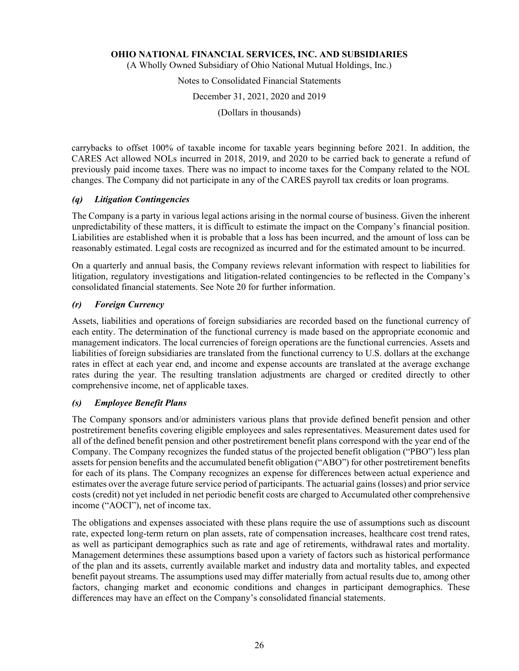(A Wholly Owned Subsidiary of Ohio National Mutual Holdings, Inc.)

Notes to Consolidated Financial Statements

December 31, 2021, 2020 and 2019

(Dollars in thousands)

carrybacks to offset 100% of taxable income for taxable years beginning before 2021. In addition, the CARES Act allowed NOLs incurred in 2018, 2019, and 2020 to be carried back to generate a refund of previously paid income taxes. There was no impact to income taxes for the Company related to the NOL changes. The Company did not participate in any of the CARES payroll tax credits or loan programs.

### *(q) Litigation Contingencies*

The Company is a party in various legal actions arising in the normal course of business. Given the inherent unpredictability of these matters, it is difficult to estimate the impact on the Company's financial position. Liabilities are established when it is probable that a loss has been incurred, and the amount of loss can be reasonably estimated. Legal costs are recognized as incurred and for the estimated amount to be incurred.

On a quarterly and annual basis, the Company reviews relevant information with respect to liabilities for litigation, regulatory investigations and litigation-related contingencies to be reflected in the Company's consolidated financial statements. See Note 20 for further information.

### *(r) Foreign Currency*

Assets, liabilities and operations of foreign subsidiaries are recorded based on the functional currency of each entity. The determination of the functional currency is made based on the appropriate economic and management indicators. The local currencies of foreign operations are the functional currencies. Assets and liabilities of foreign subsidiaries are translated from the functional currency to U.S. dollars at the exchange rates in effect at each year end, and income and expense accounts are translated at the average exchange rates during the year. The resulting translation adjustments are charged or credited directly to other comprehensive income, net of applicable taxes.

### *(s) Employee Benefit Plans*

The Company sponsors and/or administers various plans that provide defined benefit pension and other postretirement benefits covering eligible employees and sales representatives. Measurement dates used for all of the defined benefit pension and other postretirement benefit plans correspond with the year end of the Company. The Company recognizes the funded status of the projected benefit obligation ("PBO") less plan assets for pension benefits and the accumulated benefit obligation ("ABO") for other postretirement benefits for each of its plans. The Company recognizes an expense for differences between actual experience and estimates over the average future service period of participants. The actuarial gains (losses) and prior service costs (credit) not yet included in net periodic benefit costs are charged to Accumulated other comprehensive income ("AOCI"), net of income tax.

The obligations and expenses associated with these plans require the use of assumptions such as discount rate, expected long-term return on plan assets, rate of compensation increases, healthcare cost trend rates, as well as participant demographics such as rate and age of retirements, withdrawal rates and mortality. Management determines these assumptions based upon a variety of factors such as historical performance of the plan and its assets, currently available market and industry data and mortality tables, and expected benefit payout streams. The assumptions used may differ materially from actual results due to, among other factors, changing market and economic conditions and changes in participant demographics. These differences may have an effect on the Company's consolidated financial statements.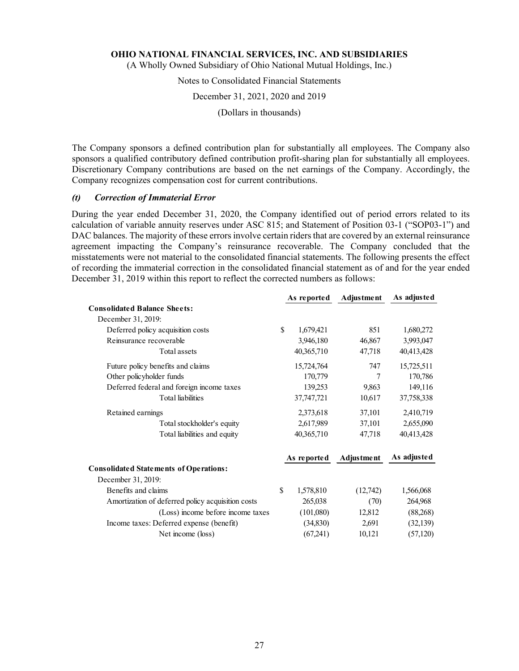(A Wholly Owned Subsidiary of Ohio National Mutual Holdings, Inc.)

### Notes to Consolidated Financial Statements

December 31, 2021, 2020 and 2019

(Dollars in thousands)

The Company sponsors a defined contribution plan for substantially all employees. The Company also sponsors a qualified contributory defined contribution profit-sharing plan for substantially all employees. Discretionary Company contributions are based on the net earnings of the Company. Accordingly, the Company recognizes compensation cost for current contributions.

### *(t) Correction of Immaterial Error*

During the year ended December 31, 2020, the Company identified out of period errors related to its calculation of variable annuity reserves under ASC 815; and Statement of Position 03-1 ("SOP03-1") and DAC balances. The majority of these errors involve certain riders that are covered by an external reinsurance agreement impacting the Company's reinsurance recoverable. The Company concluded that the misstatements were not material to the consolidated financial statements. The following presents the effect of recording the immaterial correction in the consolidated financial statement as of and for the year ended December 31, 2019 within this report to reflect the corrected numbers as follows:

|                                                   | As reported     | <b>Adjustment</b> | As adjusted |
|---------------------------------------------------|-----------------|-------------------|-------------|
| <b>Consolidated Balance Sheets:</b>               |                 |                   |             |
| December 31, 2019:                                |                 |                   |             |
| Deferred policy acquisition costs                 | \$<br>1,679,421 | 851               | 1,680,272   |
| Reinsurance recoverable                           | 3,946,180       | 46,867            | 3,993,047   |
| Total assets                                      | 40,365,710      | 47,718            | 40,413,428  |
| Future policy benefits and claims                 | 15,724,764      | 747               | 15,725,511  |
| Other policyholder funds                          | 170,779         | 7                 | 170,786     |
| Deferred federal and foreign income taxes         | 139,253         | 9,863             | 149,116     |
| <b>Total liabilities</b>                          | 37,747,721      | 10,617            | 37,758,338  |
| Retained earnings                                 | 2,373,618       | 37,101            | 2,410,719   |
| Total stockholder's equity                        | 2,617,989       | 37,101            | 2,655,090   |
| Total liabilities and equity                      | 40,365,710      | 47,718            | 40,413,428  |
|                                                   | As reported     | <b>Adjustment</b> | As adjusted |
| <b>Consolidated Statements of Operations:</b>     |                 |                   |             |
| December 31, 2019:                                |                 |                   |             |
| Benefits and claims                               | \$<br>1,578,810 | (12,742)          | 1,566,068   |
| Amortization of deferred policy acquisition costs | 265,038         | (70)              | 264,968     |
| (Loss) income before income taxes                 | (101,080)       | 12,812            | (88,268)    |
| Income taxes: Deferred expense (benefit)          | (34, 830)       | 2,691             | (32, 139)   |
| Net income (loss)                                 | (67,241)        | 10,121            | (57, 120)   |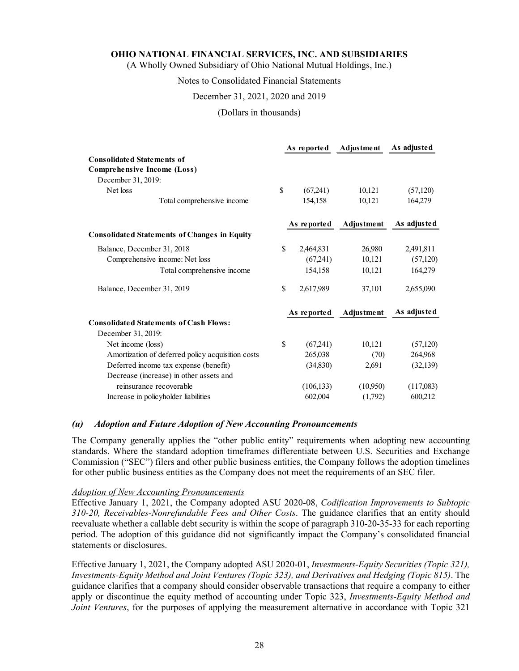(A Wholly Owned Subsidiary of Ohio National Mutual Holdings, Inc.)

#### Notes to Consolidated Financial Statements

#### December 31, 2021, 2020 and 2019

#### (Dollars in thousands)

|                                                     |             | As reported | <b>Adjustment</b> | As adjusted |
|-----------------------------------------------------|-------------|-------------|-------------------|-------------|
| <b>Consolidated Statements of</b>                   |             |             |                   |             |
| Comprehensive Income (Loss)                         |             |             |                   |             |
| December 31, 2019:                                  |             |             |                   |             |
| Net loss                                            | $\mathbf S$ | (67,241)    | 10,121            | (57,120)    |
| Total comprehensive income                          |             | 154,158     | 10,121            | 164,279     |
|                                                     |             | As reported | <b>Adjustment</b> | As adjusted |
| <b>Consolidated Statements of Changes in Equity</b> |             |             |                   |             |
| Balance, December 31, 2018                          | \$          | 2,464,831   | 26,980            | 2,491,811   |
| Comprehensive income: Net loss                      |             | (67,241)    | 10,121            | (57, 120)   |
| Total comprehensive income                          |             | 154,158     | 10,121            | 164,279     |
| Balance, December 31, 2019                          | \$          | 2,617,989   | 37,101            | 2,655,090   |
|                                                     |             | As reported | Adjustment        | As adjusted |
| <b>Consolidated Statements of Cash Flows:</b>       |             |             |                   |             |
| December 31, 2019:                                  |             |             |                   |             |
| Net income (loss)                                   | \$          | (67,241)    | 10,121            | (57,120)    |
| Amortization of deferred policy acquisition costs   |             | 265,038     | (70)              | 264,968     |
| Deferred income tax expense (benefit)               |             | (34,830)    | 2,691             | (32, 139)   |
| Decrease (increase) in other assets and             |             |             |                   |             |
| reinsurance recoverable                             |             | (106, 133)  | (10,950)          | (117,083)   |
| Increase in policyholder liabilities                |             | 602,004     | (1,792)           | 600,212     |

#### *(u) Adoption and Future Adoption of New Accounting Pronouncements*

The Company generally applies the "other public entity" requirements when adopting new accounting standards. Where the standard adoption timeframes differentiate between U.S. Securities and Exchange Commission ("SEC") filers and other public business entities, the Company follows the adoption timelines for other public business entities as the Company does not meet the requirements of an SEC filer.

#### *Adoption of New Accounting Pronouncements*

Effective January 1, 2021, the Company adopted ASU 2020-08, *Codification Improvements to Subtopic 310-20, Receivables-Nonrefundable Fees and Other Costs*. The guidance clarifies that an entity should reevaluate whether a callable debt security is within the scope of paragraph 310-20-35-33 for each reporting period. The adoption of this guidance did not significantly impact the Company's consolidated financial statements or disclosures.

Effective January 1, 2021, the Company adopted ASU 2020-01, *Investments-Equity Securities (Topic 321), Investments-Equity Method and Joint Ventures (Topic 323), and Derivatives and Hedging (Topic 815)*. The guidance clarifies that a company should consider observable transactions that require a company to either apply or discontinue the equity method of accounting under Topic 323, *Investments-Equity Method and Joint Ventures*, for the purposes of applying the measurement alternative in accordance with Topic 321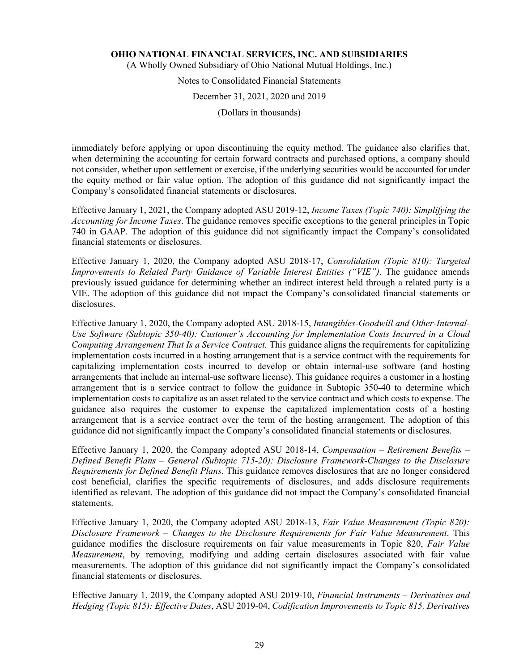(A Wholly Owned Subsidiary of Ohio National Mutual Holdings, Inc.)

## Notes to Consolidated Financial Statements December 31, 2021, 2020 and 2019

(Dollars in thousands)

immediately before applying or upon discontinuing the equity method. The guidance also clarifies that, when determining the accounting for certain forward contracts and purchased options, a company should not consider, whether upon settlement or exercise, if the underlying securities would be accounted for under the equity method or fair value option. The adoption of this guidance did not significantly impact the Company's consolidated financial statements or disclosures.

Effective January 1, 2021, the Company adopted ASU 2019-12, *Income Taxes (Topic 740): Simplifying the Accounting for Income Taxes*. The guidance removes specific exceptions to the general principles in Topic 740 in GAAP. The adoption of this guidance did not significantly impact the Company's consolidated financial statements or disclosures.

Effective January 1, 2020, the Company adopted ASU 2018-17, *Consolidation (Topic 810): Targeted Improvements to Related Party Guidance of Variable Interest Entities ("VIE")*. The guidance amends previously issued guidance for determining whether an indirect interest held through a related party is a VIE. The adoption of this guidance did not impact the Company's consolidated financial statements or disclosures.

Effective January 1, 2020, the Company adopted ASU 2018-15, *Intangibles-Goodwill and Other-Internal-Use Software (Subtopic 350-40): Customer's Accounting for Implementation Costs Incurred in a Cloud Computing Arrangement That Is a Service Contract.* This guidance aligns the requirements for capitalizing implementation costs incurred in a hosting arrangement that is a service contract with the requirements for capitalizing implementation costs incurred to develop or obtain internal-use software (and hosting arrangements that include an internal-use software license). This guidance requires a customer in a hosting arrangement that is a service contract to follow the guidance in Subtopic 350-40 to determine which implementation costs to capitalize as an asset related to the service contract and which costs to expense. The guidance also requires the customer to expense the capitalized implementation costs of a hosting arrangement that is a service contract over the term of the hosting arrangement. The adoption of this guidance did not significantly impact the Company's consolidated financial statements or disclosures.

Effective January 1, 2020, the Company adopted ASU 2018-14, *Compensation – Retirement Benefits – Defined Benefit Plans – General (Subtopic 715-20): Disclosure Framework-Changes to the Disclosure Requirements for Defined Benefit Plans*. This guidance removes disclosures that are no longer considered cost beneficial, clarifies the specific requirements of disclosures, and adds disclosure requirements identified as relevant. The adoption of this guidance did not impact the Company's consolidated financial statements.

Effective January 1, 2020, the Company adopted ASU 2018-13, *Fair Value Measurement (Topic 820): Disclosure Framework – Changes to the Disclosure Requirements for Fair Value Measurement*. This guidance modifies the disclosure requirements on fair value measurements in Topic 820, *Fair Value Measurement*, by removing, modifying and adding certain disclosures associated with fair value measurements. The adoption of this guidance did not significantly impact the Company's consolidated financial statements or disclosures.

Effective January 1, 2019, the Company adopted ASU 2019-10, *Financial Instruments – Derivatives and Hedging (Topic 815): Effective Dates*, ASU 2019-04, *Codification Improvements to Topic 815, Derivatives*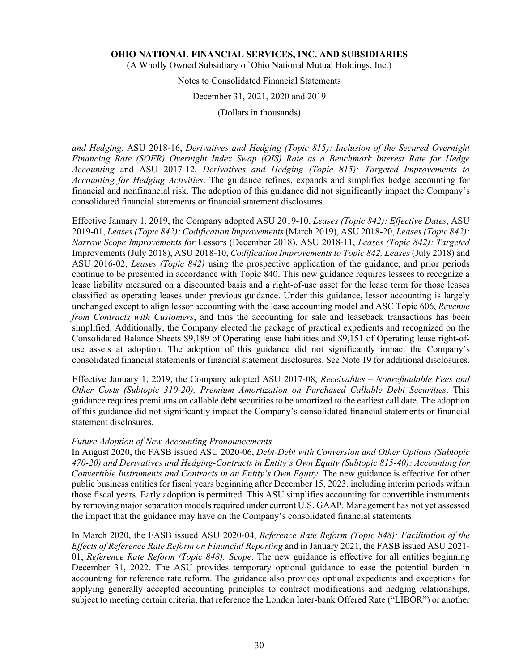(A Wholly Owned Subsidiary of Ohio National Mutual Holdings, Inc.)

Notes to Consolidated Financial Statements

#### December 31, 2021, 2020 and 2019

(Dollars in thousands)

*and Hedging*, ASU 2018-16, *Derivatives and Hedging (Topic 815): Inclusion of the Secured Overnight Financing Rate (SOFR) Overnight Index Swap (OIS) Rate as a Benchmark Interest Rate for Hedge Accounting* and ASU 2017-12, *Derivatives and Hedging (Topic 815): Targeted Improvements to Accounting for Hedging Activities*. The guidance refines, expands and simplifies hedge accounting for financial and nonfinancial risk. The adoption of this guidance did not significantly impact the Company's consolidated financial statements or financial statement disclosures.

Effective January 1, 2019, the Company adopted ASU 2019-10, *Leases (Topic 842): Effective Dates*, ASU 2019-01, *Leases (Topic 842): Codification Improvements* (March 2019), ASU 2018-20, *Leases (Topic 842): Narrow Scope Improvements for* Lessors (December 2018), ASU 2018-11, *Leases (Topic 842): Targeted*  Improvements (July 2018), ASU 2018-10, *Codification Improvements to Topic 842, Leases* (July 2018) and ASU 2016-02, *Leases (Topic 842)* using the prospective application of the guidance, and prior periods continue to be presented in accordance with Topic 840. This new guidance requires lessees to recognize a lease liability measured on a discounted basis and a right-of-use asset for the lease term for those leases classified as operating leases under previous guidance. Under this guidance, lessor accounting is largely unchanged except to align lessor accounting with the lease accounting model and ASC Topic 606, *Revenue from Contracts with Customers*, and thus the accounting for sale and leaseback transactions has been simplified. Additionally, the Company elected the package of practical expedients and recognized on the Consolidated Balance Sheets \$9,189 of Operating lease liabilities and \$9,151 of Operating lease right-ofuse assets at adoption. The adoption of this guidance did not significantly impact the Company's consolidated financial statements or financial statement disclosures. See Note 19 for additional disclosures.

Effective January 1, 2019, the Company adopted ASU 2017-08, *Receivables – Nonrefundable Fees and Other Costs (Subtopic 310-20), Premium Amortization on Purchased Callable Debt Securities*. This guidance requires premiums on callable debt securities to be amortized to the earliest call date. The adoption of this guidance did not significantly impact the Company's consolidated financial statements or financial statement disclosures.

#### *Future Adoption of New Accounting Pronouncements*

In August 2020, the FASB issued ASU 2020-06, *Debt-Debt with Conversion and Other Options (Subtopic 470-20) and Derivatives and Hedging-Contracts in Entity's Own Equity (Subtopic 815-40): Accounting for Convertible Instruments and Contracts in an Entity's Own Equity*. The new guidance is effective for other public business entities for fiscal years beginning after December 15, 2023, including interim periods within those fiscal years. Early adoption is permitted. This ASU simplifies accounting for convertible instruments by removing major separation models required under current U.S. GAAP. Management has not yet assessed the impact that the guidance may have on the Company's consolidated financial statements.

In March 2020, the FASB issued ASU 2020-04, *Reference Rate Reform (Topic 848): Facilitation of the Effects of Reference Rate Reform on Financial Reporting* and in January 2021, the FASB issued ASU 2021- 01, *Reference Rate Reform (Topic 848): Scope*. The new guidance is effective for all entities beginning December 31, 2022. The ASU provides temporary optional guidance to ease the potential burden in accounting for reference rate reform. The guidance also provides optional expedients and exceptions for applying generally accepted accounting principles to contract modifications and hedging relationships, subject to meeting certain criteria, that reference the London Inter-bank Offered Rate ("LIBOR") or another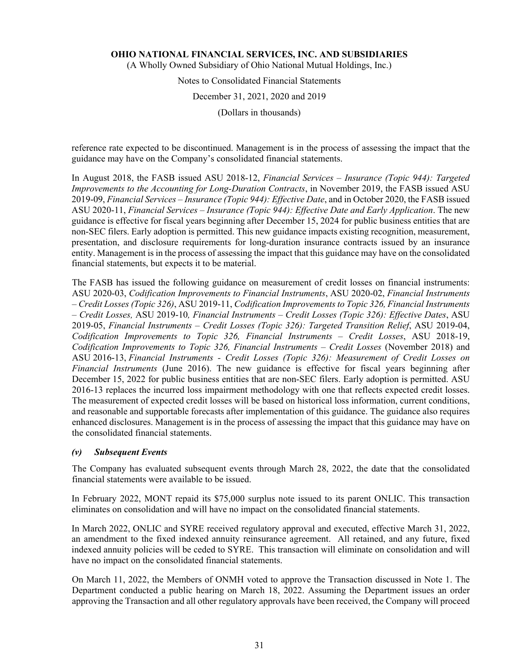(A Wholly Owned Subsidiary of Ohio National Mutual Holdings, Inc.)

# Notes to Consolidated Financial Statements December 31, 2021, 2020 and 2019 (Dollars in thousands)

reference rate expected to be discontinued. Management is in the process of assessing the impact that the guidance may have on the Company's consolidated financial statements.

In August 2018, the FASB issued ASU 2018-12, *Financial Services – Insurance (Topic 944): Targeted Improvements to the Accounting for Long-Duration Contracts*, in November 2019, the FASB issued ASU 2019-09, *Financial Services – Insurance (Topic 944): Effective Date*, and in October 2020, the FASB issued ASU 2020-11, *Financial Services – Insurance (Topic 944): Effective Date and Early Application*. The new guidance is effective for fiscal years beginning after December 15, 2024 for public business entities that are non-SEC filers. Early adoption is permitted. This new guidance impacts existing recognition, measurement, presentation, and disclosure requirements for long-duration insurance contracts issued by an insurance entity. Management is in the process of assessing the impact that this guidance may have on the consolidated financial statements, but expects it to be material.

The FASB has issued the following guidance on measurement of credit losses on financial instruments: ASU 2020-03, *Codification Improvements to Financial Instruments*, ASU 2020-02, *Financial Instruments – Credit Losses (Topic 326)*, ASU 2019-11, *Codification Improvements to Topic 326, Financial Instruments – Credit Losses,* ASU 2019-10*, Financial Instruments – Credit Losses (Topic 326): Effective Dates*, ASU 2019-05, *Financial Instruments – Credit Losses (Topic 326): Targeted Transition Relief*, ASU 2019-04, *Codification Improvements to Topic 326, Financial Instruments – Credit Losses*, ASU 2018-19, *Codification Improvements to Topic 326, Financial Instruments – Credit Losses* (November 2018) and ASU 2016-13, *Financial Instruments - Credit Losses (Topic 326): Measurement of Credit Losses on Financial Instruments* (June 2016). The new guidance is effective for fiscal years beginning after December 15, 2022 for public business entities that are non-SEC filers. Early adoption is permitted. ASU 2016-13 replaces the incurred loss impairment methodology with one that reflects expected credit losses. The measurement of expected credit losses will be based on historical loss information, current conditions, and reasonable and supportable forecasts after implementation of this guidance. The guidance also requires enhanced disclosures. Management is in the process of assessing the impact that this guidance may have on the consolidated financial statements.

#### *(v) Subsequent Events*

The Company has evaluated subsequent events through March 28, 2022, the date that the consolidated financial statements were available to be issued.

In February 2022, MONT repaid its \$75,000 surplus note issued to its parent ONLIC. This transaction eliminates on consolidation and will have no impact on the consolidated financial statements.

In March 2022, ONLIC and SYRE received regulatory approval and executed, effective March 31, 2022, an amendment to the fixed indexed annuity reinsurance agreement. All retained, and any future, fixed indexed annuity policies will be ceded to SYRE. This transaction will eliminate on consolidation and will have no impact on the consolidated financial statements.

On March 11, 2022, the Members of ONMH voted to approve the Transaction discussed in Note 1. The Department conducted a public hearing on March 18, 2022. Assuming the Department issues an order approving the Transaction and all other regulatory approvals have been received, the Company will proceed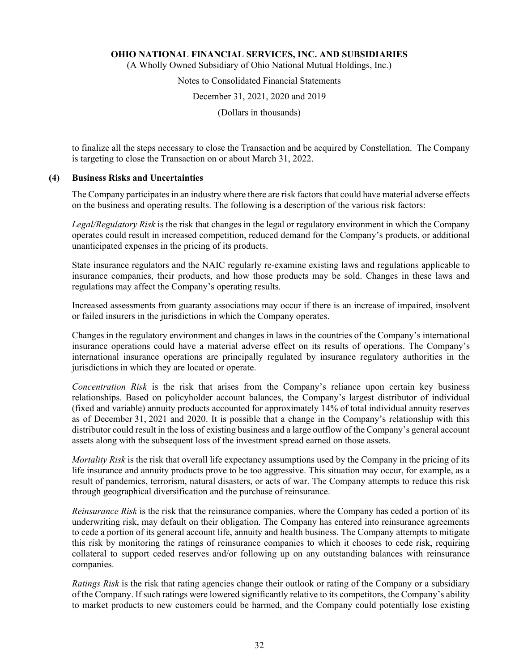(A Wholly Owned Subsidiary of Ohio National Mutual Holdings, Inc.)

### Notes to Consolidated Financial Statements

December 31, 2021, 2020 and 2019

(Dollars in thousands)

to finalize all the steps necessary to close the Transaction and be acquired by Constellation. The Company is targeting to close the Transaction on or about March 31, 2022.

### **(4) Business Risks and Uncertainties**

The Company participates in an industry where there are risk factors that could have material adverse effects on the business and operating results. The following is a description of the various risk factors:

*Legal/Regulatory Risk* is the risk that changes in the legal or regulatory environment in which the Company operates could result in increased competition, reduced demand for the Company's products, or additional unanticipated expenses in the pricing of its products.

State insurance regulators and the NAIC regularly re-examine existing laws and regulations applicable to insurance companies, their products, and how those products may be sold. Changes in these laws and regulations may affect the Company's operating results.

Increased assessments from guaranty associations may occur if there is an increase of impaired, insolvent or failed insurers in the jurisdictions in which the Company operates.

Changes in the regulatory environment and changes in laws in the countries of the Company's international insurance operations could have a material adverse effect on its results of operations. The Company's international insurance operations are principally regulated by insurance regulatory authorities in the jurisdictions in which they are located or operate.

*Concentration Risk* is the risk that arises from the Company's reliance upon certain key business relationships. Based on policyholder account balances, the Company's largest distributor of individual (fixed and variable) annuity products accounted for approximately 14% of total individual annuity reserves as of December 31, 2021 and 2020. It is possible that a change in the Company's relationship with this distributor could result in the loss of existing business and a large outflow of the Company's general account assets along with the subsequent loss of the investment spread earned on those assets.

*Mortality Risk* is the risk that overall life expectancy assumptions used by the Company in the pricing of its life insurance and annuity products prove to be too aggressive. This situation may occur, for example, as a result of pandemics, terrorism, natural disasters, or acts of war. The Company attempts to reduce this risk through geographical diversification and the purchase of reinsurance.

*Reinsurance Risk* is the risk that the reinsurance companies, where the Company has ceded a portion of its underwriting risk, may default on their obligation. The Company has entered into reinsurance agreements to cede a portion of its general account life, annuity and health business. The Company attempts to mitigate this risk by monitoring the ratings of reinsurance companies to which it chooses to cede risk, requiring collateral to support ceded reserves and/or following up on any outstanding balances with reinsurance companies.

*Ratings Risk* is the risk that rating agencies change their outlook or rating of the Company or a subsidiary of the Company. If such ratings were lowered significantly relative to its competitors, the Company's ability to market products to new customers could be harmed, and the Company could potentially lose existing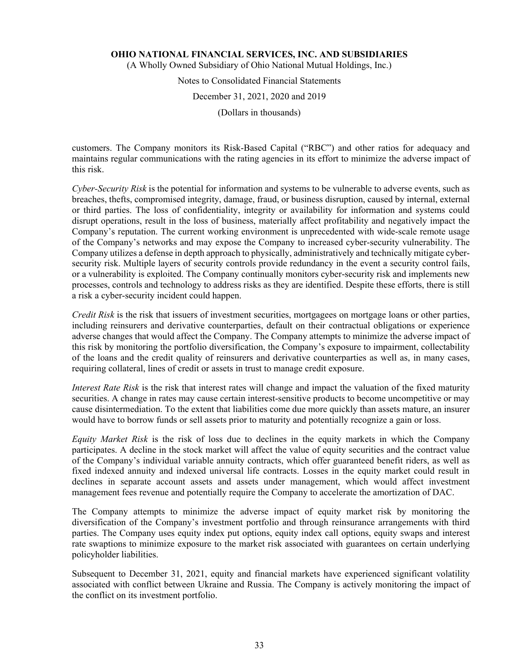(A Wholly Owned Subsidiary of Ohio National Mutual Holdings, Inc.)

## Notes to Consolidated Financial Statements

### December 31, 2021, 2020 and 2019

(Dollars in thousands)

customers. The Company monitors its Risk-Based Capital ("RBC") and other ratios for adequacy and maintains regular communications with the rating agencies in its effort to minimize the adverse impact of this risk.

*Cyber-Security Risk* is the potential for information and systems to be vulnerable to adverse events, such as breaches, thefts, compromised integrity, damage, fraud, or business disruption, caused by internal, external or third parties. The loss of confidentiality, integrity or availability for information and systems could disrupt operations, result in the loss of business, materially affect profitability and negatively impact the Company's reputation. The current working environment is unprecedented with wide-scale remote usage of the Company's networks and may expose the Company to increased cyber-security vulnerability. The Company utilizes a defense in depth approach to physically, administratively and technically mitigate cybersecurity risk. Multiple layers of security controls provide redundancy in the event a security control fails, or a vulnerability is exploited. The Company continually monitors cyber-security risk and implements new processes, controls and technology to address risks as they are identified. Despite these efforts, there is still a risk a cyber-security incident could happen.

*Credit Risk* is the risk that issuers of investment securities, mortgagees on mortgage loans or other parties, including reinsurers and derivative counterparties, default on their contractual obligations or experience adverse changes that would affect the Company. The Company attempts to minimize the adverse impact of this risk by monitoring the portfolio diversification, the Company's exposure to impairment, collectability of the loans and the credit quality of reinsurers and derivative counterparties as well as, in many cases, requiring collateral, lines of credit or assets in trust to manage credit exposure.

*Interest Rate Risk* is the risk that interest rates will change and impact the valuation of the fixed maturity securities. A change in rates may cause certain interest-sensitive products to become uncompetitive or may cause disintermediation. To the extent that liabilities come due more quickly than assets mature, an insurer would have to borrow funds or sell assets prior to maturity and potentially recognize a gain or loss.

*Equity Market Risk* is the risk of loss due to declines in the equity markets in which the Company participates. A decline in the stock market will affect the value of equity securities and the contract value of the Company's individual variable annuity contracts, which offer guaranteed benefit riders, as well as fixed indexed annuity and indexed universal life contracts. Losses in the equity market could result in declines in separate account assets and assets under management, which would affect investment management fees revenue and potentially require the Company to accelerate the amortization of DAC.

The Company attempts to minimize the adverse impact of equity market risk by monitoring the diversification of the Company's investment portfolio and through reinsurance arrangements with third parties. The Company uses equity index put options, equity index call options, equity swaps and interest rate swaptions to minimize exposure to the market risk associated with guarantees on certain underlying policyholder liabilities.

Subsequent to December 31, 2021, equity and financial markets have experienced significant volatility associated with conflict between Ukraine and Russia. The Company is actively monitoring the impact of the conflict on its investment portfolio.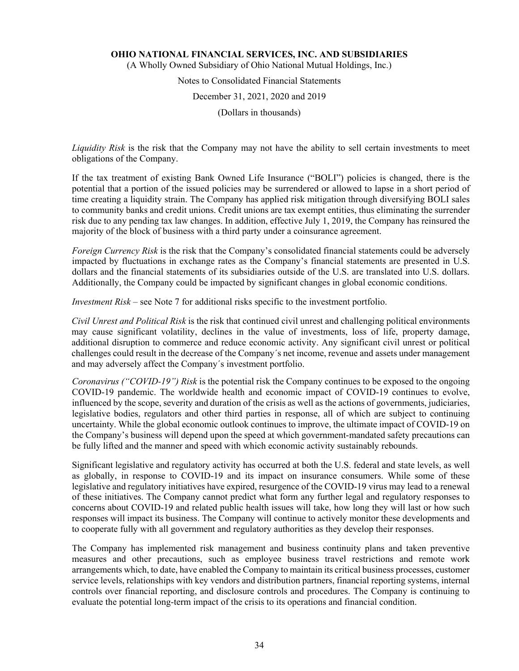(A Wholly Owned Subsidiary of Ohio National Mutual Holdings, Inc.)

# Notes to Consolidated Financial Statements

December 31, 2021, 2020 and 2019

(Dollars in thousands)

*Liquidity Risk* is the risk that the Company may not have the ability to sell certain investments to meet obligations of the Company.

If the tax treatment of existing Bank Owned Life Insurance ("BOLI") policies is changed, there is the potential that a portion of the issued policies may be surrendered or allowed to lapse in a short period of time creating a liquidity strain. The Company has applied risk mitigation through diversifying BOLI sales to community banks and credit unions. Credit unions are tax exempt entities, thus eliminating the surrender risk due to any pending tax law changes. In addition, effective July 1, 2019, the Company has reinsured the majority of the block of business with a third party under a coinsurance agreement.

*Foreign Currency Risk* is the risk that the Company's consolidated financial statements could be adversely impacted by fluctuations in exchange rates as the Company's financial statements are presented in U.S. dollars and the financial statements of its subsidiaries outside of the U.S. are translated into U.S. dollars. Additionally, the Company could be impacted by significant changes in global economic conditions.

*Investment Risk* – see Note 7 for additional risks specific to the investment portfolio.

*Civil Unrest and Political Risk* is the risk that continued civil unrest and challenging political environments may cause significant volatility, declines in the value of investments, loss of life, property damage, additional disruption to commerce and reduce economic activity. Any significant civil unrest or political challenges could result in the decrease of the Company´s net income, revenue and assets under management and may adversely affect the Company´s investment portfolio.

*Coronavirus ("COVID-19") Risk* is the potential risk the Company continues to be exposed to the ongoing COVID-19 pandemic. The worldwide health and economic impact of COVID-19 continues to evolve, influenced by the scope, severity and duration of the crisis as well as the actions of governments, judiciaries, legislative bodies, regulators and other third parties in response, all of which are subject to continuing uncertainty. While the global economic outlook continues to improve, the ultimate impact of COVID-19 on the Company's business will depend upon the speed at which government-mandated safety precautions can be fully lifted and the manner and speed with which economic activity sustainably rebounds.

Significant legislative and regulatory activity has occurred at both the U.S. federal and state levels, as well as globally, in response to COVID-19 and its impact on insurance consumers. While some of these legislative and regulatory initiatives have expired, resurgence of the COVID-19 virus may lead to a renewal of these initiatives. The Company cannot predict what form any further legal and regulatory responses to concerns about COVID-19 and related public health issues will take, how long they will last or how such responses will impact its business. The Company will continue to actively monitor these developments and to cooperate fully with all government and regulatory authorities as they develop their responses.

The Company has implemented risk management and business continuity plans and taken preventive measures and other precautions, such as employee business travel restrictions and remote work arrangements which, to date, have enabled the Company to maintain its critical business processes, customer service levels, relationships with key vendors and distribution partners, financial reporting systems, internal controls over financial reporting, and disclosure controls and procedures. The Company is continuing to evaluate the potential long-term impact of the crisis to its operations and financial condition.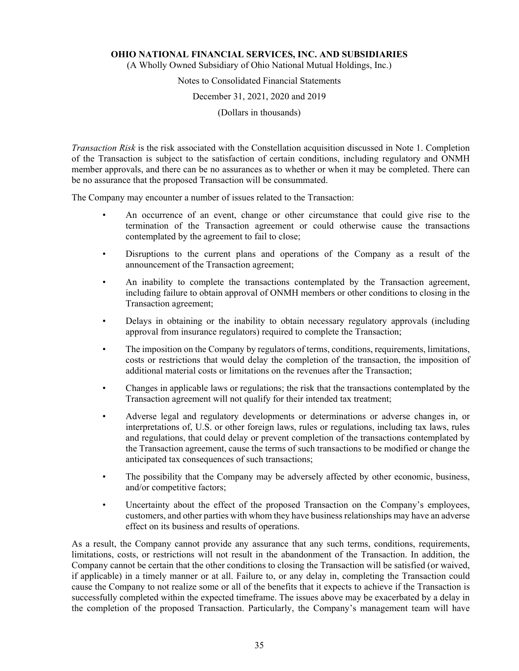(A Wholly Owned Subsidiary of Ohio National Mutual Holdings, Inc.)

### Notes to Consolidated Financial Statements

#### December 31, 2021, 2020 and 2019

(Dollars in thousands)

*Transaction Risk* is the risk associated with the Constellation acquisition discussed in Note 1. Completion of the Transaction is subject to the satisfaction of certain conditions, including regulatory and ONMH member approvals, and there can be no assurances as to whether or when it may be completed. There can be no assurance that the proposed Transaction will be consummated.

The Company may encounter a number of issues related to the Transaction:

- An occurrence of an event, change or other circumstance that could give rise to the termination of the Transaction agreement or could otherwise cause the transactions contemplated by the agreement to fail to close;
- Disruptions to the current plans and operations of the Company as a result of the announcement of the Transaction agreement;
- An inability to complete the transactions contemplated by the Transaction agreement, including failure to obtain approval of ONMH members or other conditions to closing in the Transaction agreement;
- Delays in obtaining or the inability to obtain necessary regulatory approvals (including approval from insurance regulators) required to complete the Transaction;
- The imposition on the Company by regulators of terms, conditions, requirements, limitations, costs or restrictions that would delay the completion of the transaction, the imposition of additional material costs or limitations on the revenues after the Transaction;
- Changes in applicable laws or regulations; the risk that the transactions contemplated by the Transaction agreement will not qualify for their intended tax treatment;
- Adverse legal and regulatory developments or determinations or adverse changes in, or interpretations of, U.S. or other foreign laws, rules or regulations, including tax laws, rules and regulations, that could delay or prevent completion of the transactions contemplated by the Transaction agreement, cause the terms of such transactions to be modified or change the anticipated tax consequences of such transactions;
- The possibility that the Company may be adversely affected by other economic, business, and/or competitive factors;
- Uncertainty about the effect of the proposed Transaction on the Company's employees, customers, and other parties with whom they have business relationships may have an adverse effect on its business and results of operations.

As a result, the Company cannot provide any assurance that any such terms, conditions, requirements, limitations, costs, or restrictions will not result in the abandonment of the Transaction. In addition, the Company cannot be certain that the other conditions to closing the Transaction will be satisfied (or waived, if applicable) in a timely manner or at all. Failure to, or any delay in, completing the Transaction could cause the Company to not realize some or all of the benefits that it expects to achieve if the Transaction is successfully completed within the expected timeframe. The issues above may be exacerbated by a delay in the completion of the proposed Transaction. Particularly, the Company's management team will have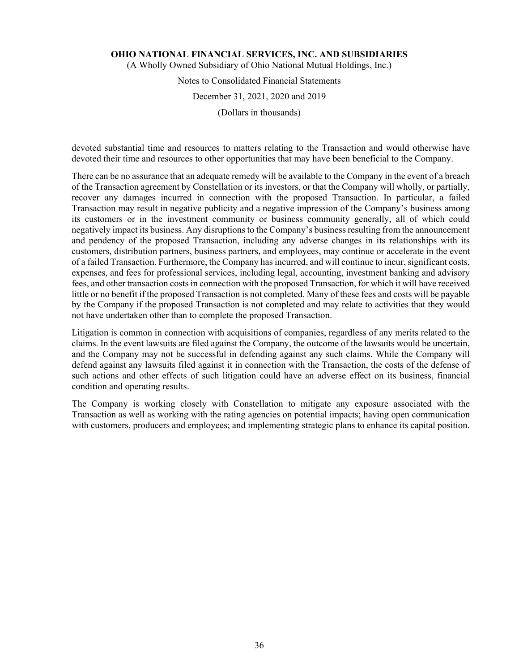(A Wholly Owned Subsidiary of Ohio National Mutual Holdings, Inc.)

# Notes to Consolidated Financial Statements December 31, 2021, 2020 and 2019 (Dollars in thousands)

devoted substantial time and resources to matters relating to the Transaction and would otherwise have devoted their time and resources to other opportunities that may have been beneficial to the Company.

There can be no assurance that an adequate remedy will be available to the Company in the event of a breach of the Transaction agreement by Constellation or its investors, or that the Company will wholly, or partially, recover any damages incurred in connection with the proposed Transaction. In particular, a failed Transaction may result in negative publicity and a negative impression of the Company's business among its customers or in the investment community or business community generally, all of which could negatively impact its business. Any disruptions to the Company's business resulting from the announcement and pendency of the proposed Transaction, including any adverse changes in its relationships with its customers, distribution partners, business partners, and employees, may continue or accelerate in the event of a failed Transaction. Furthermore, the Company has incurred, and will continue to incur, significant costs, expenses, and fees for professional services, including legal, accounting, investment banking and advisory fees, and other transaction costs in connection with the proposed Transaction, for which it will have received little or no benefit if the proposed Transaction is not completed. Many of these fees and costs will be payable by the Company if the proposed Transaction is not completed and may relate to activities that they would not have undertaken other than to complete the proposed Transaction.

Litigation is common in connection with acquisitions of companies, regardless of any merits related to the claims. In the event lawsuits are filed against the Company, the outcome of the lawsuits would be uncertain, and the Company may not be successful in defending against any such claims. While the Company will defend against any lawsuits filed against it in connection with the Transaction, the costs of the defense of such actions and other effects of such litigation could have an adverse effect on its business, financial condition and operating results.

The Company is working closely with Constellation to mitigate any exposure associated with the Transaction as well as working with the rating agencies on potential impacts; having open communication with customers, producers and employees; and implementing strategic plans to enhance its capital position.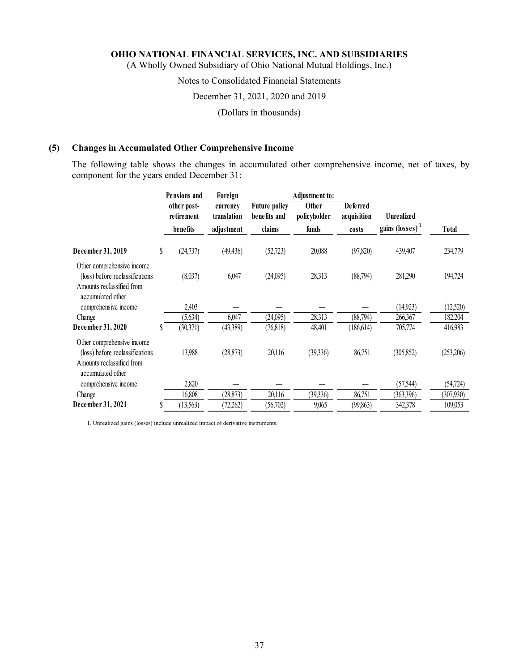(A Wholly Owned Subsidiary of Ohio National Mutual Holdings, Inc.)

# Notes to Consolidated Financial Statements

### December 31, 2021, 2020 and 2019

(Dollars in thousands)

### **(5) Changes in Accumulated Other Comprehensive Income**

The following table shows the changes in accumulated other comprehensive income, net of taxes, by component for the years ended December 31:

|                                                                                                                 |    | Pensions and                          | Foreign                               |                                                | Adjustment to:                        |                                  |                                           |              |
|-----------------------------------------------------------------------------------------------------------------|----|---------------------------------------|---------------------------------------|------------------------------------------------|---------------------------------------|----------------------------------|-------------------------------------------|--------------|
|                                                                                                                 |    | other post-<br>retirement<br>benefits | currency<br>translation<br>adjustment | <b>Future policy</b><br>benefits and<br>claims | <b>Other</b><br>policyholder<br>funds | Deferred<br>acquisition<br>costs | <b>Unrealized</b><br>gains $(bsses)^{-1}$ | <b>Total</b> |
| December 31, 2019                                                                                               | \$ | (24, 737)                             | (49, 436)                             | (52, 723)                                      | 20,088                                | (97, 820)                        | 439,407                                   | 234,779      |
| Other comprehensive income<br>(loss) before reclassifications<br>Amounts reclassified from<br>accumulated other |    | (8,037)                               | 6,047                                 | (24,095)                                       | 28,313                                | (88,794)                         | 281,290                                   | 194,724      |
| comprehensive income                                                                                            |    | 2,403                                 |                                       |                                                |                                       |                                  | (14.923)                                  | (12,520)     |
| Change                                                                                                          |    | (5,634)                               | 6,047                                 | (24,095)                                       | 28,313                                | (88, 794)                        | 266,367                                   | 182,204      |
| December 31, 2020                                                                                               | S  | (30,371)                              | (43,389)                              | (76,818)                                       | 48,401                                | (186, 614)                       | 705,774                                   | 416,983      |
| Other comprehensive income<br>(loss) before reclassifications<br>Amounts reclassified from<br>accumulated other |    | 13,988                                | (28, 873)                             | 20,116                                         | (39,336)                              | 86,751                           | (305, 852)                                | (253,206)    |
| comprehensive income                                                                                            |    | 2,820                                 |                                       |                                                |                                       |                                  | (57, 544)                                 | (54, 724)    |
| Change                                                                                                          |    | 16,808                                | (28, 873)                             | 20,116                                         | (39, 336)                             | 86,751                           | (363,396)                                 | (307, 930)   |
| December 31, 2021                                                                                               | S  | (13, 563)                             | (72,262)                              | (56,702)                                       | 9,065                                 | (99, 863)                        | 342,378                                   | 109,053      |

1. Unrealized gains (losses) include unrealized impact of derivative instruments.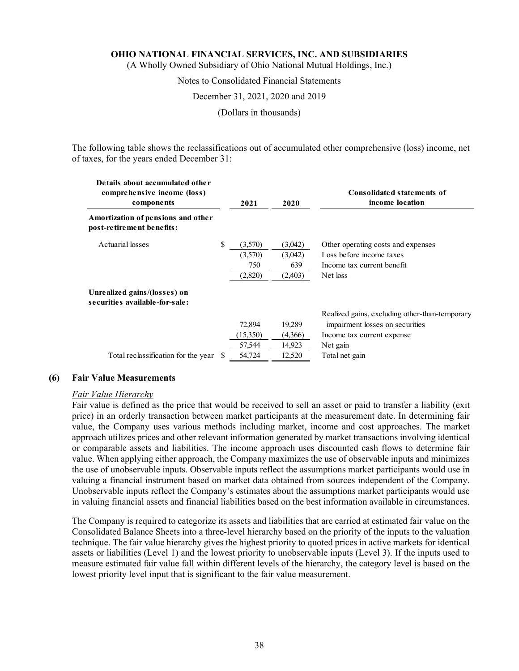(A Wholly Owned Subsidiary of Ohio National Mutual Holdings, Inc.)

#### Notes to Consolidated Financial Statements

#### December 31, 2021, 2020 and 2019

(Dollars in thousands)

The following table shows the reclassifications out of accumulated other comprehensive (loss) income, net of taxes, for the years ended December 31:

| Details about accumulated other<br>comprehensive income (loss)<br>components |              | 2021                      | 2020                      | Consolidated statements of<br>income location                                                |
|------------------------------------------------------------------------------|--------------|---------------------------|---------------------------|----------------------------------------------------------------------------------------------|
| Amortization of pensions and other<br>post-retirement benefits:              |              |                           |                           |                                                                                              |
| Actuarial losses                                                             | \$           | (3,570)<br>(3,570)<br>750 | (3,042)<br>(3,042)<br>639 | Other operating costs and expenses<br>Loss before income taxes<br>Income tax current benefit |
| Unrealized gains/(losses) on                                                 |              | (2,820)                   | (2,403)                   | Net loss                                                                                     |
| securities available-for-sale:                                               |              |                           |                           | Realized gains, excluding other-than-temporary                                               |
|                                                                              |              | 72,894                    | 19,289                    | impairment losses on securities                                                              |
|                                                                              |              | 15,350                    | (4,366)                   | Income tax current expense                                                                   |
| Total reclassification for the year                                          | <sup>S</sup> | 57,544<br>54,724          | 14,923<br>12,520          | Net gain<br>Total net gain                                                                   |

#### **(6) Fair Value Measurements**

### *Fair Value Hierarchy*

Fair value is defined as the price that would be received to sell an asset or paid to transfer a liability (exit price) in an orderly transaction between market participants at the measurement date. In determining fair value, the Company uses various methods including market, income and cost approaches. The market approach utilizes prices and other relevant information generated by market transactions involving identical or comparable assets and liabilities. The income approach uses discounted cash flows to determine fair value. When applying either approach, the Company maximizes the use of observable inputs and minimizes the use of unobservable inputs. Observable inputs reflect the assumptions market participants would use in valuing a financial instrument based on market data obtained from sources independent of the Company. Unobservable inputs reflect the Company's estimates about the assumptions market participants would use in valuing financial assets and financial liabilities based on the best information available in circumstances.

The Company is required to categorize its assets and liabilities that are carried at estimated fair value on the Consolidated Balance Sheets into a three-level hierarchy based on the priority of the inputs to the valuation technique. The fair value hierarchy gives the highest priority to quoted prices in active markets for identical assets or liabilities (Level 1) and the lowest priority to unobservable inputs (Level 3). If the inputs used to measure estimated fair value fall within different levels of the hierarchy, the category level is based on the lowest priority level input that is significant to the fair value measurement.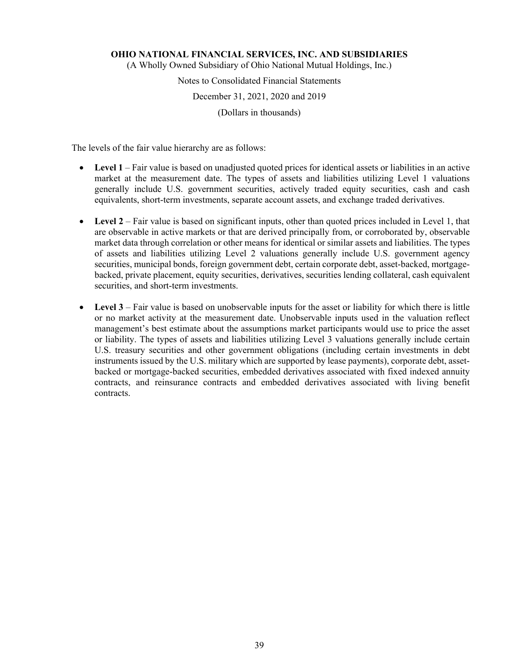(A Wholly Owned Subsidiary of Ohio National Mutual Holdings, Inc.)

# Notes to Consolidated Financial Statements December 31, 2021, 2020 and 2019 (Dollars in thousands)

The levels of the fair value hierarchy are as follows:

- Level 1 Fair value is based on unadjusted quoted prices for identical assets or liabilities in an active market at the measurement date. The types of assets and liabilities utilizing Level 1 valuations generally include U.S. government securities, actively traded equity securities, cash and cash equivalents, short-term investments, separate account assets, and exchange traded derivatives.
- Level 2 Fair value is based on significant inputs, other than quoted prices included in Level 1, that are observable in active markets or that are derived principally from, or corroborated by, observable market data through correlation or other means for identical or similar assets and liabilities. The types of assets and liabilities utilizing Level 2 valuations generally include U.S. government agency securities, municipal bonds, foreign government debt, certain corporate debt, asset-backed, mortgagebacked, private placement, equity securities, derivatives, securities lending collateral, cash equivalent securities, and short-term investments.
- **Level 3** Fair value is based on unobservable inputs for the asset or liability for which there is little or no market activity at the measurement date. Unobservable inputs used in the valuation reflect management's best estimate about the assumptions market participants would use to price the asset or liability. The types of assets and liabilities utilizing Level 3 valuations generally include certain U.S. treasury securities and other government obligations (including certain investments in debt instruments issued by the U.S. military which are supported by lease payments), corporate debt, assetbacked or mortgage-backed securities, embedded derivatives associated with fixed indexed annuity contracts, and reinsurance contracts and embedded derivatives associated with living benefit contracts.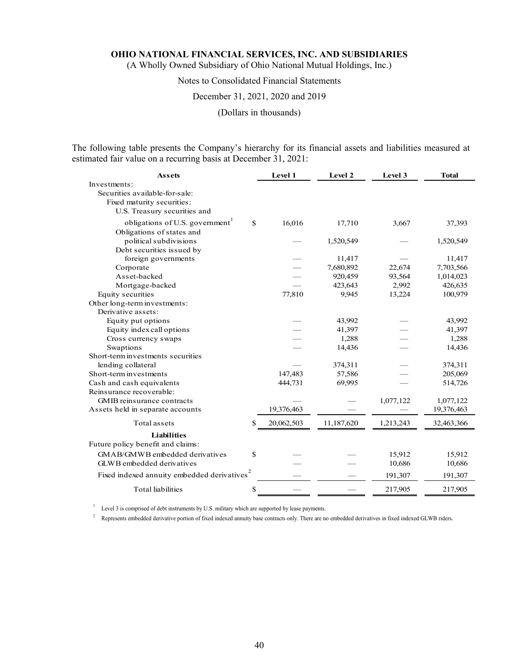(A Wholly Owned Subsidiary of Ohio National Mutual Holdings, Inc.)

### Notes to Consolidated Financial Statements

### December 31, 2021, 2020 and 2019

(Dollars in thousands)

The following table presents the Company's hierarchy for its financial assets and liabilities measured at estimated fair value on a recurring basis at December 31, 2021:

| <b>Assets</b>                                           | Level 1          | Level 2    | Level 3   | <b>Total</b> |
|---------------------------------------------------------|------------------|------------|-----------|--------------|
| Investments:                                            |                  |            |           |              |
| Securities available-for-sale:                          |                  |            |           |              |
| Fixed maturity securities:                              |                  |            |           |              |
| U.S. Treasury securities and                            |                  |            |           |              |
| obligations of U.S. government                          | \$<br>16,016     | 17,710     | 3,667     | 37,393       |
| Obligations of states and                               |                  |            |           |              |
| political subdivisions                                  |                  | 1,520,549  |           | 1,520,549    |
| Debt securities issued by                               |                  |            |           |              |
| foreign governments                                     |                  | 11,417     |           | 11,417       |
| Corporate                                               |                  | 7,680,892  | 22,674    | 7,703,566    |
| Asset-backed                                            |                  | 920,459    | 93,564    | 1,014,023    |
| Mortgage-backed                                         |                  | 423,643    | 2,992     | 426,635      |
| Equity securities                                       | 77,810           | 9,945      | 13,224    | 100,979      |
| Other long-term investments:                            |                  |            |           |              |
| Derivative assets:                                      |                  |            |           |              |
| Equity put options                                      |                  | 43,992     |           | 43,992       |
| Equity index call options                               |                  | 41,397     |           | 41,397       |
| Cross currency swaps                                    |                  | 1,288      |           | 1,288        |
| Swaptions                                               |                  | 14,436     |           | 14,436       |
| Short-term investments securities                       |                  |            |           |              |
| lending collateral                                      |                  | 374,311    |           | 374,311      |
| Short-term investments                                  | 147,483          | 57,586     |           | 205,069      |
| Cash and cash equivalents                               | 444,731          | 69,995     |           | 514,726      |
| Reinsurance recoverable:                                |                  |            |           |              |
| GMIB reinsurance contracts                              |                  |            | 1,077,122 | 1,077,122    |
| Assets held in separate accounts                        | 19,376,463       |            |           | 19,376,463   |
| Total assets                                            | \$<br>20,062,503 | 11,187,620 | 1,213,243 | 32,463,366   |
| <b>Liabilities</b>                                      |                  |            |           |              |
| Future policy benefit and claims:                       |                  |            |           |              |
| GMAB/GMWB embedded derivatives                          | \$               |            | 15,912    | 15,912       |
| GLWB embedded derivatives                               |                  |            | 10,686    | 10,686       |
| Fixed indexed annuity embedded derivatives <sup>2</sup> |                  |            | 191,307   | 191,307      |
| <b>Total liabilities</b>                                | \$               |            | 217,905   | 217,905      |
|                                                         |                  |            |           |              |

<sup>1</sup> Level 3 is comprised of debt instruments by U.S. military which are supported by lease payments.

<sup>2</sup> Represents embedded derivative portion of fixed indexed annuity base contracts only. There are no embedded derivatives in fixed indexed GLWB riders.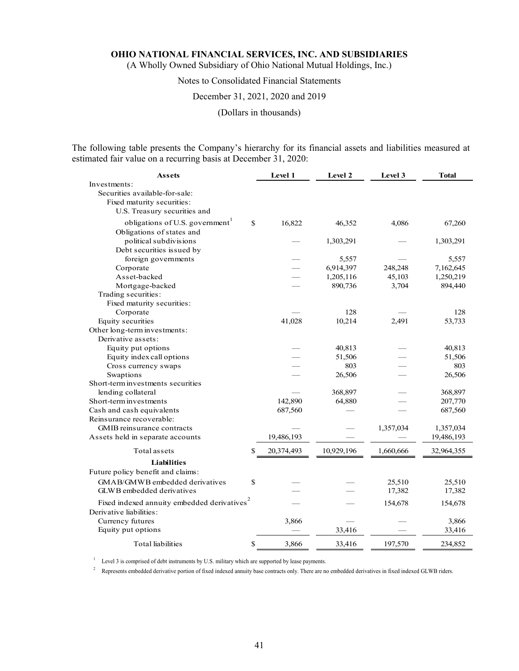(A Wholly Owned Subsidiary of Ohio National Mutual Holdings, Inc.)

### Notes to Consolidated Financial Statements

#### December 31, 2021, 2020 and 2019

(Dollars in thousands)

The following table presents the Company's hierarchy for its financial assets and liabilities measured at estimated fair value on a recurring basis at December 31, 2020:

| <b>Assets</b>                                           |    | Level 1    | Level 2    | Level 3   | <b>Total</b> |
|---------------------------------------------------------|----|------------|------------|-----------|--------------|
| Investments:                                            |    |            |            |           |              |
| Securities available-for-sale:                          |    |            |            |           |              |
| Fixed maturity securities:                              |    |            |            |           |              |
| U.S. Treasury securities and                            |    |            |            |           |              |
| obligations of U.S. government                          | \$ | 16,822     | 46,352     | 4,086     | 67,260       |
| Obligations of states and                               |    |            |            |           |              |
| political subdivisions                                  |    |            | 1,303,291  |           | 1,303,291    |
| Debt securities issued by                               |    |            |            |           |              |
| foreign governments                                     |    |            | 5,557      |           | 5,557        |
| Corporate                                               |    |            | 6,914,397  | 248,248   | 7,162,645    |
| Asset-backed                                            |    |            | 1,205,116  | 45,103    | 1,250,219    |
| Mortgage-backed                                         |    |            | 890,736    | 3,704     | 894,440      |
| Trading securities:                                     |    |            |            |           |              |
| Fixed maturity securities:                              |    |            |            |           |              |
| Corporate                                               |    |            | 128        |           | 128          |
| Equity securities                                       |    | 41,028     | 10,214     | 2,491     | 53,733       |
| Other long-term investments:                            |    |            |            |           |              |
| Derivative assets:                                      |    |            |            |           |              |
| Equity put options                                      |    |            | 40,813     |           | 40,813       |
| Equity index call options                               |    |            | 51,506     |           | 51,506       |
| Cross currency swaps                                    |    |            | 803        |           | 803          |
| Swaptions                                               |    |            | 26,506     |           | 26,506       |
| Short-term investments securities                       |    |            |            |           |              |
| lending collateral                                      |    |            | 368,897    |           | 368,897      |
| Short-term investments                                  |    | 142,890    | 64,880     |           | 207,770      |
| Cash and cash equivalents                               |    | 687,560    |            |           | 687,560      |
| Reinsurance recoverable:                                |    |            |            |           |              |
| GMIB reinsurance contracts                              |    |            |            | 1,357,034 | 1,357,034    |
| Assets held in separate accounts                        |    | 19,486,193 |            |           | 19,486,193   |
| Total assets                                            | \$ | 20,374,493 | 10,929,196 | 1,660,666 | 32,964,355   |
| <b>Liabilities</b>                                      |    |            |            |           |              |
| Future policy benefit and claims:                       |    |            |            |           |              |
| GMAB/GMWB embedded derivatives                          | \$ |            |            | 25,510    | 25,510       |
| GLWB embedded derivatives                               |    |            |            | 17,382    | 17,382       |
| Fixed indexed annuity embedded derivatives <sup>2</sup> |    |            |            | 154,678   | 154,678      |
| Derivative liabilities:                                 |    |            |            |           |              |
| Currency futures                                        |    | 3,866      |            |           | 3,866        |
| Equity put options                                      |    |            | 33,416     |           | 33,416       |
|                                                         |    |            |            |           |              |
| Total liabilities                                       | \$ | 3,866      | 33,416     | 197,570   | 234,852      |

 $1$  Level 3 is comprised of debt instruments by U.S. military which are supported by lease payments.

<sup>2</sup> Represents embedded derivative portion of fixed indexed annuity base contracts only. There are no embedded derivatives in fixed indexed GLWB riders.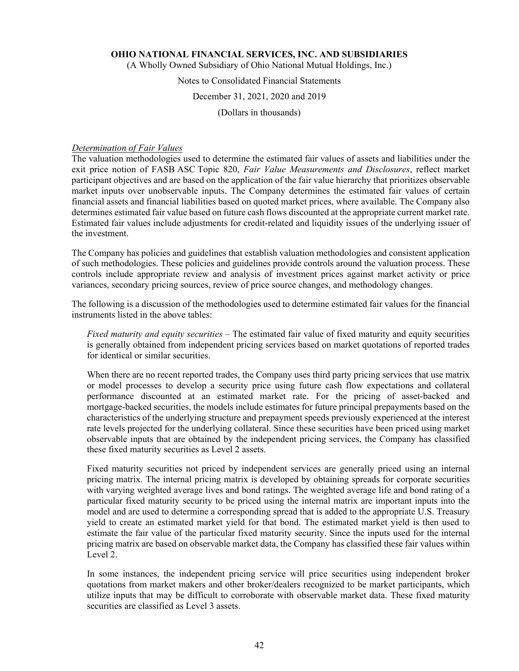(A Wholly Owned Subsidiary of Ohio National Mutual Holdings, Inc.)

### Notes to Consolidated Financial Statements

### December 31, 2021, 2020 and 2019

(Dollars in thousands)

### *Determination of Fair Values*

The valuation methodologies used to determine the estimated fair values of assets and liabilities under the exit price notion of FASB ASC Topic 820, *Fair Value Measurements and Disclosures*, reflect market participant objectives and are based on the application of the fair value hierarchy that prioritizes observable market inputs over unobservable inputs. The Company determines the estimated fair values of certain financial assets and financial liabilities based on quoted market prices, where available. The Company also determines estimated fair value based on future cash flows discounted at the appropriate current market rate. Estimated fair values include adjustments for credit-related and liquidity issues of the underlying issuer of the investment.

The Company has policies and guidelines that establish valuation methodologies and consistent application of such methodologies. These policies and guidelines provide controls around the valuation process. These controls include appropriate review and analysis of investment prices against market activity or price variances, secondary pricing sources, review of price source changes, and methodology changes.

The following is a discussion of the methodologies used to determine estimated fair values for the financial instruments listed in the above tables:

*Fixed maturity and equity securities –* The estimated fair value of fixed maturity and equity securities is generally obtained from independent pricing services based on market quotations of reported trades for identical or similar securities.

When there are no recent reported trades, the Company uses third party pricing services that use matrix or model processes to develop a security price using future cash flow expectations and collateral performance discounted at an estimated market rate. For the pricing of asset-backed and mortgage-backed securities, the models include estimates for future principal prepayments based on the characteristics of the underlying structure and prepayment speeds previously experienced at the interest rate levels projected for the underlying collateral. Since these securities have been priced using market observable inputs that are obtained by the independent pricing services, the Company has classified these fixed maturity securities as Level 2 assets.

Fixed maturity securities not priced by independent services are generally priced using an internal pricing matrix. The internal pricing matrix is developed by obtaining spreads for corporate securities with varying weighted average lives and bond ratings. The weighted average life and bond rating of a particular fixed maturity security to be priced using the internal matrix are important inputs into the model and are used to determine a corresponding spread that is added to the appropriate U.S. Treasury yield to create an estimated market yield for that bond. The estimated market yield is then used to estimate the fair value of the particular fixed maturity security. Since the inputs used for the internal pricing matrix are based on observable market data, the Company has classified these fair values within Level 2.

In some instances, the independent pricing service will price securities using independent broker quotations from market makers and other broker/dealers recognized to be market participants, which utilize inputs that may be difficult to corroborate with observable market data. These fixed maturity securities are classified as Level 3 assets.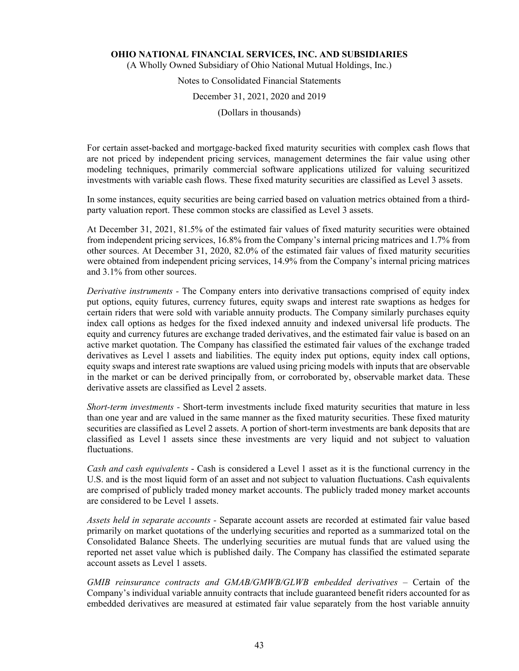(A Wholly Owned Subsidiary of Ohio National Mutual Holdings, Inc.)

# Notes to Consolidated Financial Statements December 31, 2021, 2020 and 2019

(Dollars in thousands)

For certain asset-backed and mortgage-backed fixed maturity securities with complex cash flows that are not priced by independent pricing services, management determines the fair value using other modeling techniques, primarily commercial software applications utilized for valuing securitized investments with variable cash flows. These fixed maturity securities are classified as Level 3 assets.

In some instances, equity securities are being carried based on valuation metrics obtained from a thirdparty valuation report. These common stocks are classified as Level 3 assets.

At December 31, 2021, 81.5% of the estimated fair values of fixed maturity securities were obtained from independent pricing services, 16.8% from the Company's internal pricing matrices and 1.7% from other sources. At December 31, 2020, 82.0% of the estimated fair values of fixed maturity securities were obtained from independent pricing services, 14.9% from the Company's internal pricing matrices and 3.1% from other sources.

*Derivative instruments -* The Company enters into derivative transactions comprised of equity index put options, equity futures, currency futures, equity swaps and interest rate swaptions as hedges for certain riders that were sold with variable annuity products. The Company similarly purchases equity index call options as hedges for the fixed indexed annuity and indexed universal life products. The equity and currency futures are exchange traded derivatives, and the estimated fair value is based on an active market quotation. The Company has classified the estimated fair values of the exchange traded derivatives as Level 1 assets and liabilities. The equity index put options, equity index call options, equity swaps and interest rate swaptions are valued using pricing models with inputs that are observable in the market or can be derived principally from, or corroborated by, observable market data. These derivative assets are classified as Level 2 assets.

*Short-term investments -* Short-term investments include fixed maturity securities that mature in less than one year and are valued in the same manner as the fixed maturity securities. These fixed maturity securities are classified as Level 2 assets. A portion of short-term investments are bank deposits that are classified as Level 1 assets since these investments are very liquid and not subject to valuation fluctuations.

*Cash and cash equivalents* - Cash is considered a Level 1 asset as it is the functional currency in the U.S. and is the most liquid form of an asset and not subject to valuation fluctuations. Cash equivalents are comprised of publicly traded money market accounts. The publicly traded money market accounts are considered to be Level 1 assets.

*Assets held in separate accounts -* Separate account assets are recorded at estimated fair value based primarily on market quotations of the underlying securities and reported as a summarized total on the Consolidated Balance Sheets. The underlying securities are mutual funds that are valued using the reported net asset value which is published daily. The Company has classified the estimated separate account assets as Level 1 assets.

GMIB reinsurance contracts and GMAB/GMWB/GLWB embedded derivatives – Certain of the Company's individual variable annuity contracts that include guaranteed benefit riders accounted for as embedded derivatives are measured at estimated fair value separately from the host variable annuity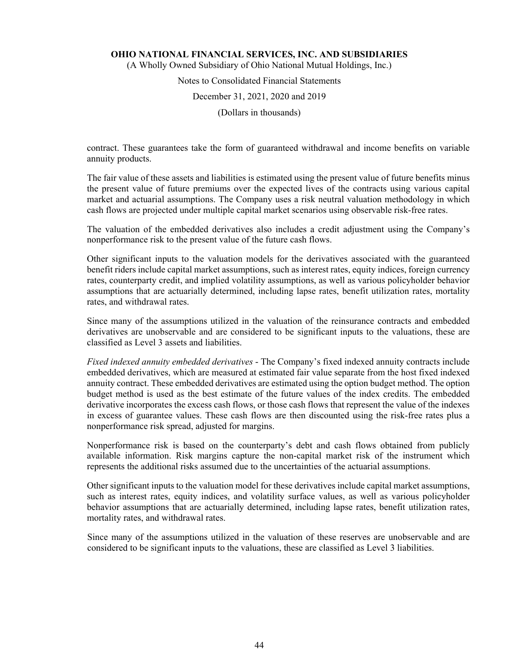(A Wholly Owned Subsidiary of Ohio National Mutual Holdings, Inc.)

# Notes to Consolidated Financial Statements December 31, 2021, 2020 and 2019

(Dollars in thousands)

contract. These guarantees take the form of guaranteed withdrawal and income benefits on variable annuity products.

The fair value of these assets and liabilities is estimated using the present value of future benefits minus the present value of future premiums over the expected lives of the contracts using various capital market and actuarial assumptions. The Company uses a risk neutral valuation methodology in which cash flows are projected under multiple capital market scenarios using observable risk-free rates.

The valuation of the embedded derivatives also includes a credit adjustment using the Company's nonperformance risk to the present value of the future cash flows.

Other significant inputs to the valuation models for the derivatives associated with the guaranteed benefit riders include capital market assumptions, such as interest rates, equity indices, foreign currency rates, counterparty credit, and implied volatility assumptions, as well as various policyholder behavior assumptions that are actuarially determined, including lapse rates, benefit utilization rates, mortality rates, and withdrawal rates.

Since many of the assumptions utilized in the valuation of the reinsurance contracts and embedded derivatives are unobservable and are considered to be significant inputs to the valuations, these are classified as Level 3 assets and liabilities.

*Fixed indexed annuity embedded derivatives* - The Company's fixed indexed annuity contracts include embedded derivatives, which are measured at estimated fair value separate from the host fixed indexed annuity contract. These embedded derivatives are estimated using the option budget method. The option budget method is used as the best estimate of the future values of the index credits. The embedded derivative incorporates the excess cash flows, or those cash flows that represent the value of the indexes in excess of guarantee values. These cash flows are then discounted using the risk-free rates plus a nonperformance risk spread, adjusted for margins.

Nonperformance risk is based on the counterparty's debt and cash flows obtained from publicly available information. Risk margins capture the non-capital market risk of the instrument which represents the additional risks assumed due to the uncertainties of the actuarial assumptions.

Other significant inputs to the valuation model for these derivatives include capital market assumptions, such as interest rates, equity indices, and volatility surface values, as well as various policyholder behavior assumptions that are actuarially determined, including lapse rates, benefit utilization rates, mortality rates, and withdrawal rates.

Since many of the assumptions utilized in the valuation of these reserves are unobservable and are considered to be significant inputs to the valuations, these are classified as Level 3 liabilities.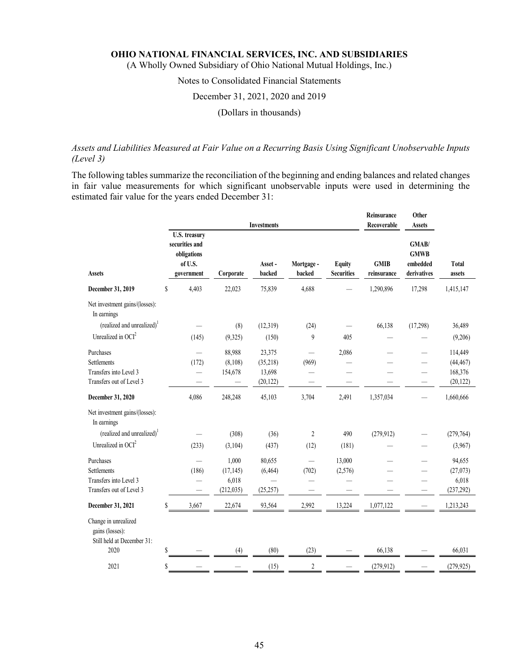(A Wholly Owned Subsidiary of Ohio National Mutual Holdings, Inc.)

# Notes to Consolidated Financial Statements

#### December 31, 2021, 2020 and 2019

### (Dollars in thousands)

### *Assets and Liabilities Measured at Fair Value on a Recurring Basis Using Significant Unobservable Inputs (Level 3)*

The following tables summarize the reconciliation of the beginning and ending balances and related changes in fair value measurements for which significant unobservable inputs were used in determining the estimated fair value for the years ended December 31:

|                                                                                                                           |    |                                                                         |                                           | <b>Investments</b>                         |                        |                                    | Reinsurance<br>Recoverable | <b>Other</b><br><b>Assets</b>                   |                                              |
|---------------------------------------------------------------------------------------------------------------------------|----|-------------------------------------------------------------------------|-------------------------------------------|--------------------------------------------|------------------------|------------------------------------|----------------------------|-------------------------------------------------|----------------------------------------------|
| <b>Assets</b>                                                                                                             |    | U.S. treasury<br>securities and<br>obligations<br>of U.S.<br>government | Corporate                                 | Asset -<br>backed                          | Mortgage -<br>backed   | <b>Equity</b><br><b>Securities</b> | <b>GMIB</b><br>reinsurance | GMAB/<br><b>GMWB</b><br>embedded<br>derivatives | <b>Total</b><br>assets                       |
| December 31, 2019                                                                                                         | \$ | 4,403                                                                   | 22,023                                    | 75,839                                     | 4,688                  |                                    | 1,290,896                  | 17,298                                          | 1,415,147                                    |
| Net investment gains/(losses):<br>In earnings<br>(realized and unrealized) <sup>1</sup><br>Unrealized in OCI <sup>2</sup> |    | (145)                                                                   | (8)<br>(9,325)                            | (12, 319)<br>(150)                         | (24)<br>9              | 405                                | 66,138                     | (17,298)                                        | 36,489<br>(9,206)                            |
| Purchases<br>Settlements<br>Transfers into Level 3<br>Transfers out of Level 3                                            |    | (172)                                                                   | 88,988<br>(8, 108)<br>154,678             | 23,375<br>(35, 218)<br>13,698<br>(20, 122) | (969)                  | 2,086                              |                            |                                                 | 114,449<br>(44, 467)<br>168,376<br>(20, 122) |
| December 31, 2020                                                                                                         |    | 4,086                                                                   | 248,248                                   | 45,103                                     | 3,704                  | 2,491                              | 1,357,034                  | $\overline{\phantom{0}}$                        | 1,660,666                                    |
| Net investment gains/(losses):<br>In earnings<br>(realized and unrealized) <sup>1</sup><br>Unrealized in OCI <sup>2</sup> |    | (233)                                                                   | (308)<br>(3,104)                          | (36)<br>(437)                              | $\overline{c}$<br>(12) | 490<br>(181)                       | (279, 912)                 |                                                 | (279, 764)<br>(3,967)                        |
| Purchases<br>Settlements<br>Transfers into Level 3<br>Transfers out of Level 3                                            |    | (186)                                                                   | 1,000<br>(17, 145)<br>6,018<br>(212, 035) | 80,655<br>(6, 464)<br>(25, 257)            | (702)                  | 13,000<br>(2,576)                  |                            | L.<br>and a<br>$\overline{\phantom{0}}$         | 94,655<br>(27,073)<br>6,018<br>(237, 292)    |
| December 31, 2021                                                                                                         | S  | 3,667                                                                   | 22,674                                    | 93,564                                     | 2,992                  | 13,224                             | 1,077,122                  |                                                 | 1,213,243                                    |
| Change in unrealized<br>gains (losses):<br>Still held at December 31:<br>2020                                             | Ŝ  |                                                                         | (4)                                       | (80)                                       | (23)                   |                                    | 66.138                     |                                                 | 66,031                                       |
| 2021                                                                                                                      | \$ |                                                                         |                                           | (15)                                       | $\overline{2}$         |                                    | (279, 912)                 |                                                 | (279, 925)                                   |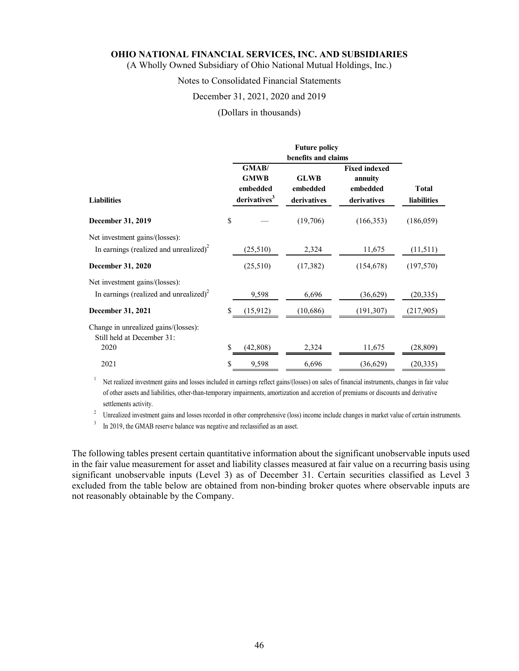(A Wholly Owned Subsidiary of Ohio National Mutual Holdings, Inc.)

### Notes to Consolidated Financial Statements

#### December 31, 2021, 2020 and 2019

#### (Dollars in thousands)

| <b>Liabilities</b>                                                                   | <b>GMAB</b><br><b>GMWB</b><br>embedded<br>derivatives <sup>3</sup> | <b>GLWB</b><br>embedded<br>derivatives | <b>Fixed indexed</b><br>annuity<br>embedded<br>derivatives | <b>Total</b><br>liabilities |
|--------------------------------------------------------------------------------------|--------------------------------------------------------------------|----------------------------------------|------------------------------------------------------------|-----------------------------|
| December 31, 2019                                                                    | \$                                                                 | (19,706)                               | (166, 353)                                                 | (186, 059)                  |
| Net investment gains/(losses):<br>In earnings (realized and unrealized) $2$          | (25,510)                                                           | 2,324                                  | 11,675                                                     | (11,511)                    |
| December 31, 2020                                                                    | (25,510)                                                           | (17, 382)                              | (154, 678)                                                 | (197,570)                   |
| Net investment gains/(losses):<br>In earnings (realized and unrealized) <sup>2</sup> | 9,598                                                              | 6,696                                  | (36,629)                                                   | (20, 335)                   |
| December 31, 2021                                                                    | \$<br>(15, 912)                                                    | (10, 686)                              | (191, 307)                                                 | (217,905)                   |
| Change in unrealized gains/(losses):<br>Still held at December 31:                   |                                                                    |                                        |                                                            |                             |
| 2020                                                                                 | \$<br>(42, 808)                                                    | 2,324                                  | 11,675                                                     | (28,809)                    |
| 2021                                                                                 | \$<br>9,598                                                        | 6,696                                  | (36, 629)                                                  | (20, 335)                   |

<sup>1</sup> Net realized investment gains and losses included in earnings reflect gains/(losses) on sales of financial instruments, changes in fair value of other assets and liabilities, other-than-temporary impairments, amortization and accretion of premiums or discounts and derivative

settlements activity. 2 Unrealized investment gains and losses recorded in other comprehensive (loss) income include changes in market value of certain instruments.

<sup>3</sup> In 2019, the GMAB reserve balance was negative and reclassified as an asset.

The following tables present certain quantitative information about the significant unobservable inputs used in the fair value measurement for asset and liability classes measured at fair value on a recurring basis using significant unobservable inputs (Level 3) as of December 31. Certain securities classified as Level 3 excluded from the table below are obtained from non-binding broker quotes where observable inputs are not reasonably obtainable by the Company.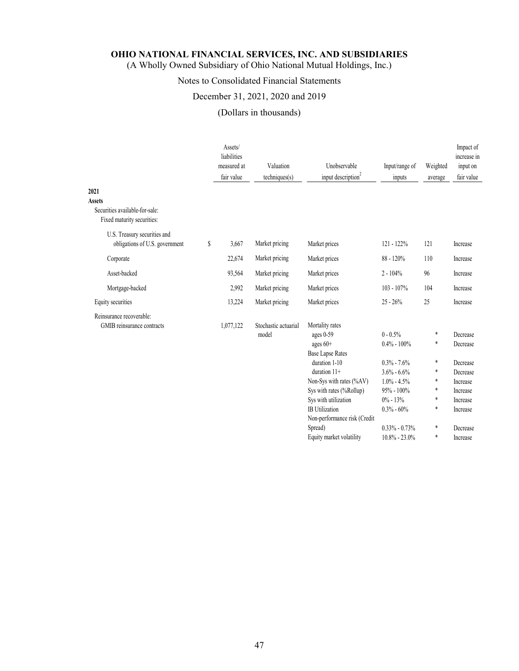(A Wholly Owned Subsidiary of Ohio National Mutual Holdings, Inc.)

# Notes to Consolidated Financial Statements

### December 31, 2021, 2020 and 2019

# (Dollars in thousands)

|                                                                                | Assets/<br>liabilities<br>measured at<br>fair value | Valuation<br>techniques(s)    | Unobservable<br>input description <sup>2</sup>                                                                                                                                                                                                  | Input/range of<br>inputs                                                                                                                   | Weighted<br>average                       | Impact of<br>increase in<br>input on<br>fair value                                           |
|--------------------------------------------------------------------------------|-----------------------------------------------------|-------------------------------|-------------------------------------------------------------------------------------------------------------------------------------------------------------------------------------------------------------------------------------------------|--------------------------------------------------------------------------------------------------------------------------------------------|-------------------------------------------|----------------------------------------------------------------------------------------------|
| 2021<br>Assets<br>Securities available-for-sale:<br>Fixed maturity securities: |                                                     |                               |                                                                                                                                                                                                                                                 |                                                                                                                                            |                                           |                                                                                              |
| U.S. Treasury securities and<br>obligations of U.S. government                 | \$<br>3,667                                         | Market pricing                | Market prices                                                                                                                                                                                                                                   | 121 - 122%                                                                                                                                 | 121                                       | Increase                                                                                     |
| Corporate                                                                      | 22,674                                              | Market pricing                | Market prices                                                                                                                                                                                                                                   | 88 - 120%                                                                                                                                  | 110                                       | Increase                                                                                     |
| Asset-backed                                                                   | 93,564                                              | Market pricing                | Market prices                                                                                                                                                                                                                                   | $2 - 104\%$                                                                                                                                | 96                                        | Increase                                                                                     |
| Mortgage-backed                                                                | 2,992                                               | Market pricing                | Market prices                                                                                                                                                                                                                                   | $103 - 107\%$                                                                                                                              | 104                                       | Increase                                                                                     |
| Equity securities                                                              | 13,224                                              | Market pricing                | Market prices                                                                                                                                                                                                                                   | $25 - 26%$                                                                                                                                 | 25                                        | Increase                                                                                     |
| Reinsurance recoverable:<br>GMIB reinsurance contracts                         | 1,077,122                                           | Stochastic actuarial<br>model | Mortality rates<br>ages $0-59$<br>ages 60+<br><b>Base Lapse Rates</b><br>duration 1-10<br>duration 11+<br>Non-Sys with rates (%AV)<br>Sys with rates (%Rollup)<br>Sys with utilization<br><b>IB</b> Utilization<br>Non-performance risk (Credit | $0 - 0.5%$<br>$0.4\% - 100\%$<br>$0.3\% - 7.6\%$<br>$3.6\% - 6.6\%$<br>$1.0\% - 4.5\%$<br>$95\% - 100\%$<br>$0\% - 13\%$<br>$0.3\% - 60\%$ | *<br>*<br>*<br>*<br>*<br>*<br>$\ast$<br>* | Decrease<br>Decrease<br>Decrease<br>Decrease<br>Increase<br>Increase<br>Increase<br>Increase |
|                                                                                |                                                     |                               | Spread)<br>Equity market volatility                                                                                                                                                                                                             | $0.33\% - 0.73\%$<br>$10.8\% - 23.0\%$                                                                                                     | *<br>*                                    | Decrease<br>Increase                                                                         |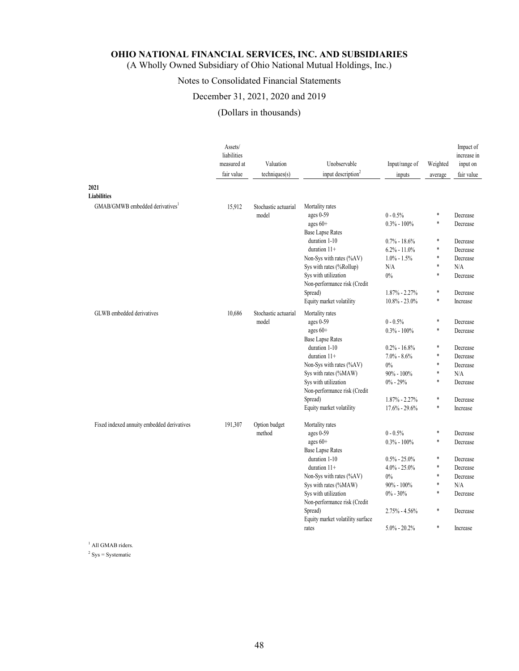(A Wholly Owned Subsidiary of Ohio National Mutual Holdings, Inc.)

# Notes to Consolidated Financial Statements

### December 31, 2021, 2020 and 2019

# (Dollars in thousands)

|                                             | Assets/<br>liabilities<br>measured at<br>fair value | Valuation<br>techniques(s) | Unobservable<br>input description <sup>2</sup> | Input/range of<br>inputs      | Weighted<br>average | Impact of<br>increase in<br>input on<br>fair value |
|---------------------------------------------|-----------------------------------------------------|----------------------------|------------------------------------------------|-------------------------------|---------------------|----------------------------------------------------|
| 2021                                        |                                                     |                            |                                                |                               |                     |                                                    |
| <b>Liabilities</b>                          |                                                     |                            |                                                |                               |                     |                                                    |
| GMAB/GMWB embedded derivatives <sup>1</sup> | 15,912                                              | Stochastic actuarial       | Mortality rates                                |                               |                     |                                                    |
|                                             |                                                     | model                      | ages $0-59$                                    | $0 - 0.5%$                    | *                   | Decrease                                           |
|                                             |                                                     |                            | ages 60+                                       | $0.3\% - 100\%$               | *                   | Decrease                                           |
|                                             |                                                     |                            | <b>Base Lapse Rates</b>                        |                               |                     |                                                    |
|                                             |                                                     |                            | duration 1-10                                  | $0.7\% - 18.6\%$              | *                   | Decrease                                           |
|                                             |                                                     |                            | duration 11+                                   | $6.2\% - 11.0\%$              | *                   | Decrease                                           |
|                                             |                                                     |                            | Non-Sys with rates (%AV)                       | $1.0\% - 1.5\%$               | $\ast$              | Decrease                                           |
|                                             |                                                     |                            | Sys with rates (%Rollup)                       | N/A                           | $\ast$              | N/A                                                |
|                                             |                                                     |                            | Sys with utilization                           | 0%                            | $\ast$              | Decrease                                           |
|                                             |                                                     |                            | Non-performance risk (Credit                   |                               |                     |                                                    |
|                                             |                                                     |                            | Spread)                                        | $1.87\% - 2.27\%$             | $\ast$              | Decrease                                           |
|                                             |                                                     |                            | Equity market volatility                       | $10.8\% - 23.0\%$             | *                   | Increase                                           |
|                                             |                                                     |                            |                                                |                               |                     |                                                    |
| GLWB embedded derivatives                   | 10,686                                              | Stochastic actuarial       | Mortality rates                                |                               | $\ast$              |                                                    |
|                                             |                                                     | model                      | ages 0-59                                      | $0 - 0.5%$<br>$0.3\% - 100\%$ | *                   | Decrease<br>Decrease                               |
|                                             |                                                     |                            | ages $60+$<br><b>Base Lapse Rates</b>          |                               |                     |                                                    |
|                                             |                                                     |                            | duration 1-10                                  | $0.2\% - 16.8\%$              | $\ast$              | Decrease                                           |
|                                             |                                                     |                            | duration 11+                                   | $7.0\% - 8.6\%$               | *                   | Decrease                                           |
|                                             |                                                     |                            | Non-Sys with rates (%AV)                       | 0%                            | *                   | Decrease                                           |
|                                             |                                                     |                            | Sys with rates (%MAW)                          | $90\% - 100\%$                | *                   | N/A                                                |
|                                             |                                                     |                            | Sys with utilization                           | $0\% - 29\%$                  | $\ast$              | Decrease                                           |
|                                             |                                                     |                            | Non-performance risk (Credit                   |                               |                     |                                                    |
|                                             |                                                     |                            | Spread)                                        | $1.87\% - 2.27\%$             | *                   | Decrease                                           |
|                                             |                                                     |                            | Equity market volatility                       | $17.6\% - 29.6\%$             | *                   | Increase                                           |
|                                             |                                                     |                            |                                                |                               |                     |                                                    |
| Fixed indexed annuity embedded derivatives  | 191,307                                             | Option budget              | Mortality rates                                |                               |                     |                                                    |
|                                             |                                                     | method                     | ages 0-59                                      | $0 - 0.5%$                    | *                   | Decrease                                           |
|                                             |                                                     |                            | ages 60+                                       | $0.3\% - 100\%$               | *                   | Decrease                                           |
|                                             |                                                     |                            | <b>Base Lapse Rates</b>                        |                               |                     |                                                    |
|                                             |                                                     |                            | duration 1-10                                  | $0.5\% - 25.0\%$              | *                   | Decrease                                           |
|                                             |                                                     |                            | duration 11+                                   | $4.0\% - 25.0\%$              | *                   | Decrease                                           |
|                                             |                                                     |                            | Non-Sys with rates (%AV)                       | 0%                            | $\ast$              | Decrease                                           |
|                                             |                                                     |                            | Sys with rates (%MAW)                          | $90\% - 100\%$                | $\ast$              | N/A                                                |
|                                             |                                                     |                            | Sys with utilization                           | $0\% - 30\%$                  | *                   | Decrease                                           |
|                                             |                                                     |                            | Non-performance risk (Credit                   |                               |                     |                                                    |
|                                             |                                                     |                            | Spread)                                        | $2.75\% - 4.56\%$             | *                   | Decrease                                           |
|                                             |                                                     |                            | Equity market volatility surface               |                               |                     |                                                    |
|                                             |                                                     |                            | rates                                          | $5.0\% - 20.2\%$              | *                   | Increase                                           |
|                                             |                                                     |                            |                                                |                               |                     |                                                    |

<sup>1</sup> All GMAB riders.

 $2$  Sys = Systematic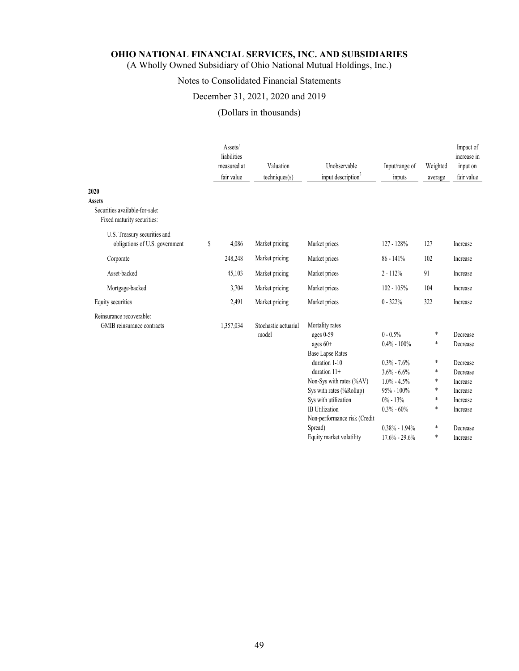(A Wholly Owned Subsidiary of Ohio National Mutual Holdings, Inc.)

# Notes to Consolidated Financial Statements

### December 31, 2021, 2020 and 2019

# (Dollars in thousands)

|                                                                                       | Assets/<br>liabilities<br>measured at<br>fair value | Valuation<br>techniques(s)    | Unobservable<br>input description <sup>2</sup>                                                                                                                                                                                                  | Input/range of<br>inputs                                                                                                                   | Weighted<br>average                                 | Impact of<br>increase in<br>input on<br>fair value                                           |
|---------------------------------------------------------------------------------------|-----------------------------------------------------|-------------------------------|-------------------------------------------------------------------------------------------------------------------------------------------------------------------------------------------------------------------------------------------------|--------------------------------------------------------------------------------------------------------------------------------------------|-----------------------------------------------------|----------------------------------------------------------------------------------------------|
| 2020<br><b>Assets</b><br>Securities available-for-sale:<br>Fixed maturity securities: |                                                     |                               |                                                                                                                                                                                                                                                 |                                                                                                                                            |                                                     |                                                                                              |
| U.S. Treasury securities and<br>obligations of U.S. government                        | \$<br>4,086                                         | Market pricing                | Market prices                                                                                                                                                                                                                                   | 127 - 128%                                                                                                                                 | 127                                                 | Increase                                                                                     |
| Corporate                                                                             | 248,248                                             | Market pricing                | Market prices                                                                                                                                                                                                                                   | $86 - 141%$                                                                                                                                | 102                                                 | Increase                                                                                     |
| Asset-backed                                                                          | 45.103                                              | Market pricing                | Market prices                                                                                                                                                                                                                                   | $2 - 112%$                                                                                                                                 | 91                                                  | Increase                                                                                     |
| Mortgage-backed                                                                       | 3,704                                               | Market pricing                | Market prices                                                                                                                                                                                                                                   | $102 - 105%$                                                                                                                               | 104                                                 | Increase                                                                                     |
| Equity securities                                                                     | 2,491                                               | Market pricing                | Market prices                                                                                                                                                                                                                                   | $0 - 322%$                                                                                                                                 | 322                                                 | Increase                                                                                     |
| Reinsurance recoverable:<br>GMIB reinsurance contracts                                | 1,357,034                                           | Stochastic actuarial<br>model | Mortality rates<br>ages 0-59<br>ages $60+$<br><b>Base Lapse Rates</b><br>duration 1-10<br>duration 11+<br>Non-Sys with rates (%AV)<br>Sys with rates (%Rollup)<br>Sys with utilization<br><b>IB</b> Utilization<br>Non-performance risk (Credit | $0 - 0.5%$<br>$0.4\% - 100\%$<br>$0.3\% - 7.6\%$<br>$3.6\% - 6.6\%$<br>$1.0\% - 4.5\%$<br>$95\% - 100\%$<br>$0\% - 13\%$<br>$0.3\% - 60\%$ | $\ast$<br>*<br>*<br>*<br>*<br>*<br>$\ast$<br>$\ast$ | Decrease<br>Decrease<br>Decrease<br>Decrease<br>Increase<br>Increase<br>Increase<br>Increase |
|                                                                                       |                                                     |                               | Spread)<br>Equity market volatility                                                                                                                                                                                                             | $0.38\% - 1.94\%$<br>$17.6\% - 29.6\%$                                                                                                     | *<br>*                                              | Decrease<br>Increase                                                                         |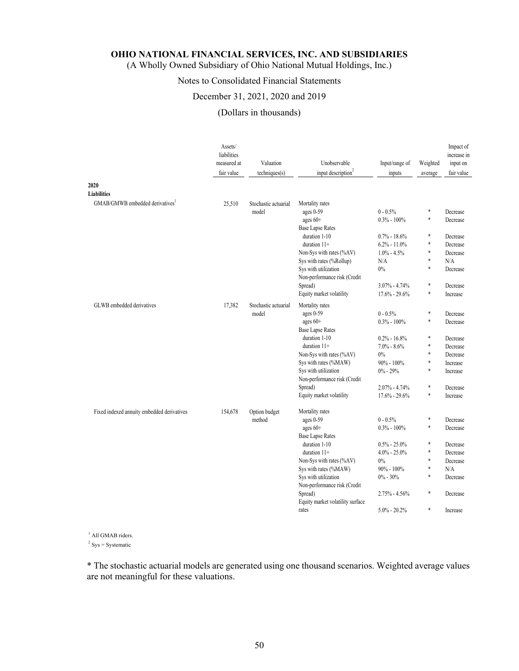(A Wholly Owned Subsidiary of Ohio National Mutual Holdings, Inc.)

### Notes to Consolidated Financial Statements

### December 31, 2021, 2020 and 2019

# (Dollars in thousands)

|                                             | Assets/<br>liabilities<br>measured at<br>fair value | Valuation<br>techniques(s) | Unobservable<br>input description <sup>2</sup>       | Input/range of<br>inputs | Weighted<br>average | Impact of<br>increase in<br>input on<br>fair value |
|---------------------------------------------|-----------------------------------------------------|----------------------------|------------------------------------------------------|--------------------------|---------------------|----------------------------------------------------|
| 2020<br><b>Liabilities</b>                  |                                                     |                            |                                                      |                          |                     |                                                    |
| GMAB/GMWB embedded derivatives <sup>1</sup> | 25,510                                              | Stochastic actuarial       | Mortality rates                                      |                          |                     |                                                    |
|                                             |                                                     | model                      | ages 0-59                                            | $0 - 0.5\%$              | *                   | Decrease                                           |
|                                             |                                                     |                            | ages $60+$                                           | $0.3\% - 100\%$          | *                   | Decrease                                           |
|                                             |                                                     |                            | <b>Base Lapse Rates</b>                              |                          |                     |                                                    |
|                                             |                                                     |                            | duration 1-10                                        | $0.7\% - 18.6\%$         | *                   | Decrease                                           |
|                                             |                                                     |                            | duration 11+                                         | $6.2\% - 11.0\%$         | *                   | Decrease                                           |
|                                             |                                                     |                            | Non-Sys with rates (%AV)                             | $1.0\% - 4.5\%$          | *                   | Decrease                                           |
|                                             |                                                     |                            | Sys with rates (%Rollup)                             | N/A                      | *                   | N/A                                                |
|                                             |                                                     |                            | Sys with utilization                                 | $0\%$                    | *                   | Decrease                                           |
|                                             |                                                     |                            | Non-performance risk (Credit                         |                          |                     |                                                    |
|                                             |                                                     |                            | Spread)                                              | $3.07\% - 4.74\%$        | *                   | Decrease                                           |
|                                             |                                                     |                            | Equity market volatility                             | $17.6\% - 29.6\%$        | *                   | Increase                                           |
| GLWB embedded derivatives                   | 17,382                                              | Stochastic actuarial       | Mortality rates                                      |                          |                     |                                                    |
|                                             |                                                     | model                      | ages 0-59                                            | $0 - 0.5\%$              | *                   | Decrease                                           |
|                                             |                                                     |                            | ages $60+$                                           | $0.3\% - 100\%$          | *                   | Decrease                                           |
|                                             |                                                     |                            | <b>Base Lapse Rates</b>                              |                          |                     |                                                    |
|                                             |                                                     |                            | duration 1-10                                        | $0.2\% - 16.8\%$         | *                   | Decrease                                           |
|                                             |                                                     |                            | duration 11+                                         | $7.0\% - 8.6\%$          | *                   | Decrease                                           |
|                                             |                                                     |                            | Non-Sys with rates (%AV)                             | $0\%$                    | *                   | Decrease                                           |
|                                             |                                                     |                            | Sys with rates (%MAW)                                | $90\% - 100\%$           | *                   | Increase                                           |
|                                             |                                                     |                            | Sys with utilization                                 | $0\% - 29\%$             | *                   | Increase                                           |
|                                             |                                                     |                            | Non-performance risk (Credit                         |                          |                     |                                                    |
|                                             |                                                     |                            | Spread)                                              | $2.07\% - 4.74\%$        | *                   | Decrease                                           |
|                                             |                                                     |                            | Equity market volatility                             | $17.6\%$ - 29.6%         | *                   | Increase                                           |
| Fixed indexed annuity embedded derivatives  | 154,678                                             | Option budget              | Mortality rates                                      |                          |                     |                                                    |
|                                             |                                                     | method                     | ages 0-59                                            | $0 - 0.5%$               | *                   | Decrease                                           |
|                                             |                                                     |                            | ages $60+$                                           | $0.3\% - 100\%$          | *                   | Decrease                                           |
|                                             |                                                     |                            | <b>Base Lapse Rates</b>                              |                          |                     |                                                    |
|                                             |                                                     |                            | duration 1-10                                        | $0.5\% - 25.0\%$         | *                   | Decrease                                           |
|                                             |                                                     |                            | duration $11+$                                       | $4.0\% - 25.0\%$         | *                   | Decrease                                           |
|                                             |                                                     |                            | Non-Sys with rates (%AV)                             | $0\%$                    | *                   | Decrease                                           |
|                                             |                                                     |                            | Sys with rates (%MAW)                                | $90\% - 100\%$           | *                   | N/A                                                |
|                                             |                                                     |                            | Sys with utilization<br>Non-performance risk (Credit | $0\% - 30\%$             | *                   | Decrease                                           |
|                                             |                                                     |                            | Spread)                                              | $2.75\% - 4.56\%$        | *                   | Decrease                                           |
|                                             |                                                     |                            | Equity market volatility surface<br>rates            | $5.0\% - 20.2\%$         | *                   | Increase                                           |

<sup>1</sup> All GMAB riders.

 $2$  Sys = Systematic

\* The stochastic actuarial models are generated using one thousand scenarios. Weighted average values are not meaningful for these valuations.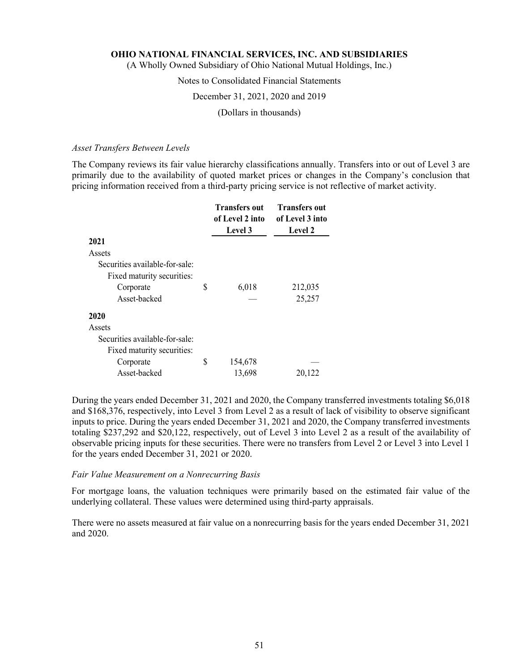(A Wholly Owned Subsidiary of Ohio National Mutual Holdings, Inc.)

### Notes to Consolidated Financial Statements

### December 31, 2021, 2020 and 2019

(Dollars in thousands)

#### *Asset Transfers Between Levels*

The Company reviews its fair value hierarchy classifications annually. Transfers into or out of Level 3 are primarily due to the availability of quoted market prices or changes in the Company's conclusion that pricing information received from a third-party pricing service is not reflective of market activity.

|                                | <b>Transfers out</b><br>of Level 2 into<br>Level 3 | <b>Transfers out</b><br>of Level 3 into<br><b>Level 2</b> |
|--------------------------------|----------------------------------------------------|-----------------------------------------------------------|
| 2021                           |                                                    |                                                           |
| Assets                         |                                                    |                                                           |
| Securities available-for-sale: |                                                    |                                                           |
| Fixed maturity securities:     |                                                    |                                                           |
| Corporate                      | \$<br>6,018                                        | 212,035                                                   |
| Asset-backed                   |                                                    | 25,257                                                    |
| 2020                           |                                                    |                                                           |
| Assets                         |                                                    |                                                           |
| Securities available-for-sale: |                                                    |                                                           |
| Fixed maturity securities:     |                                                    |                                                           |
| Corporate                      | \$<br>154,678                                      |                                                           |
| Asset-backed                   | 13,698                                             | 20,122                                                    |

During the years ended December 31, 2021 and 2020, the Company transferred investments totaling \$6,018 and \$168,376, respectively, into Level 3 from Level 2 as a result of lack of visibility to observe significant inputs to price. During the years ended December 31, 2021 and 2020, the Company transferred investments totaling \$237,292 and \$20,122, respectively, out of Level 3 into Level 2 as a result of the availability of observable pricing inputs for these securities. There were no transfers from Level 2 or Level 3 into Level 1 for the years ended December 31, 2021 or 2020.

#### *Fair Value Measurement on a Nonrecurring Basis*

For mortgage loans, the valuation techniques were primarily based on the estimated fair value of the underlying collateral. These values were determined using third-party appraisals.

There were no assets measured at fair value on a nonrecurring basis for the years ended December 31, 2021 and 2020.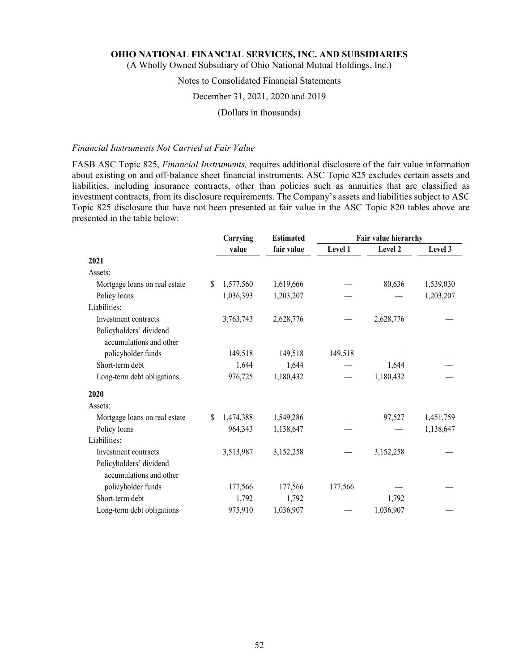(A Wholly Owned Subsidiary of Ohio National Mutual Holdings, Inc.)

# Notes to Consolidated Financial Statements

### December 31, 2021, 2020 and 2019

(Dollars in thousands)

#### *Financial Instruments Not Carried at Fair Value*

FASB ASC Topic 825, *Financial Instruments,* requires additional disclosure of the fair value information about existing on and off-balance sheet financial instruments. ASC Topic 825 excludes certain assets and liabilities, including insurance contracts, other than policies such as annuities that are classified as investment contracts, from its disclosure requirements. The Company's assets and liabilities subject to ASC Topic 825 disclosure that have not been presented at fair value in the ASC Topic 820 tables above are presented in the table below:

|                               |     | <b>Estimated</b><br>Carrying |            | Fair value hierarchy |           |           |  |
|-------------------------------|-----|------------------------------|------------|----------------------|-----------|-----------|--|
|                               |     | value                        | fair value | Level 1              | Level 2   | Level 3   |  |
| 2021                          |     |                              |            |                      |           |           |  |
| Assets:                       |     |                              |            |                      |           |           |  |
| Mortgage loans on real estate | \$  | 1,577,560                    | 1,619,666  |                      | 80,636    | 1,539,030 |  |
| Policy loans                  |     | 1,036,393                    | 1,203,207  |                      |           | 1,203,207 |  |
| Liabilities:                  |     |                              |            |                      |           |           |  |
| Investment contracts          |     | 3,763,743                    | 2,628,776  |                      | 2,628,776 |           |  |
| Policyholders' dividend       |     |                              |            |                      |           |           |  |
| accumulations and other       |     |                              |            |                      |           |           |  |
| policyholder funds            |     | 149,518                      | 149,518    | 149,518              |           |           |  |
| Short-term debt               |     | 1,644                        | 1,644      |                      | 1,644     |           |  |
| Long-term debt obligations    |     | 976,725                      | 1,180,432  |                      | 1,180,432 |           |  |
| 2020                          |     |                              |            |                      |           |           |  |
| Assets:                       |     |                              |            |                      |           |           |  |
| Mortgage loans on real estate | \$. | 1,474,388                    | 1,549,286  |                      | 97,527    | 1,451,759 |  |
| Policy loans                  |     | 964,343                      | 1,138,647  |                      |           | 1,138,647 |  |
| Liabilities:                  |     |                              |            |                      |           |           |  |
| Investment contracts          |     | 3,513,987                    | 3,152,258  |                      | 3,152,258 |           |  |
| Policyholders' dividend       |     |                              |            |                      |           |           |  |
| accumulations and other       |     |                              |            |                      |           |           |  |
| policyholder funds            |     | 177,566                      | 177,566    | 177,566              |           |           |  |
| Short-term debt               |     | 1,792                        | 1,792      |                      | 1,792     |           |  |
| Long-term debt obligations    |     | 975,910                      | 1,036,907  |                      | 1,036,907 |           |  |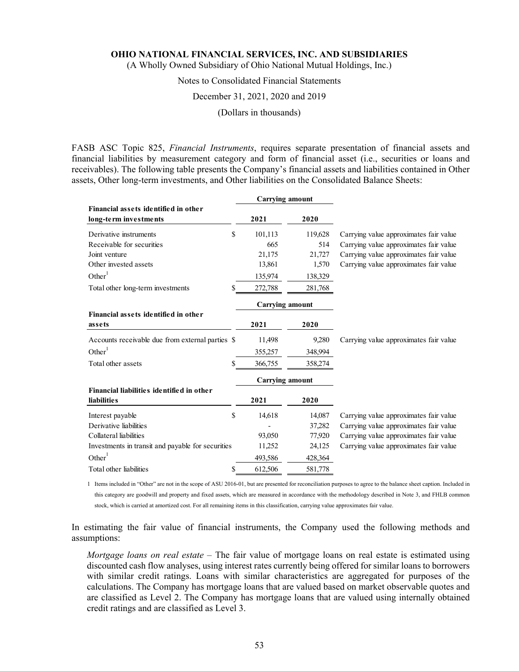(A Wholly Owned Subsidiary of Ohio National Mutual Holdings, Inc.)

### Notes to Consolidated Financial Statements

#### December 31, 2021, 2020 and 2019

(Dollars in thousands)

FASB ASC Topic 825, *Financial Instruments*, requires separate presentation of financial assets and financial liabilities by measurement category and form of financial asset (i.e., securities or loans and receivables). The following table presents the Company's financial assets and liabilities contained in Other assets, Other long-term investments, and Other liabilities on the Consolidated Balance Sheets:

|                                                               | <b>Carrying amount</b> |         |                                        |
|---------------------------------------------------------------|------------------------|---------|----------------------------------------|
| Financial assets identified in other<br>long-term investments | 2021                   | 2020    |                                        |
| Derivative instruments                                        | \$<br>101,113          | 119,628 | Carrying value approximates fair value |
| Receivable for securities                                     | 665                    | 514     | Carrying value approximates fair value |
| Joint venture                                                 | 21,175                 | 21,727  | Carrying value approximates fair value |
| Other invested assets                                         | 13,861                 | 1,570   | Carrying value approximates fair value |
| Other $1$                                                     | 135,974                | 138,329 |                                        |
| Total other long-term investments                             | 272,788                | 281,768 |                                        |
|                                                               | <b>Carrying amount</b> |         |                                        |
| Financial assets identified in other<br>assets                | 2021                   | 2020    |                                        |
| Accounts receivable due from external parties \$              | 11,498                 | 9,280   | Carrying value approximates fair value |
| Other $1$                                                     | 355,257                | 348,994 |                                        |
| Total other assets                                            | 366,755                | 358,274 |                                        |
|                                                               | <b>Carrying amount</b> |         |                                        |
| Financial liabilities identified in other                     |                        |         |                                        |
| <b>liabilities</b>                                            | 2021                   | 2020    |                                        |
| Interest payable                                              | \$<br>14,618           | 14,087  | Carrying value approximates fair value |
| Derivative liabilities                                        |                        | 37,282  | Carrying value approximates fair value |
| Collateral liabilities                                        | 93,050                 | 77,920  | Carrying value approximates fair value |
| Investments in transit and payable for securities             | 11,252                 | 24,125  | Carrying value approximates fair value |
| Other $1$                                                     | 493,586                | 428,364 |                                        |
| Total other liabilities                                       | \$<br>612,506          | 581,778 |                                        |

1 Items included in "Other" are not in the scope of ASU 2016-01, but are presented for reconciliation purposes to agree to the balance sheet caption. Included in this category are goodwill and property and fixed assets, which are measured in accordance with the methodology described in Note 3, and FHLB common stock, which is carried at amortized cost. For all remaining items in this classification, carrying value approximates fair value.

In estimating the fair value of financial instruments, the Company used the following methods and assumptions:

*Mortgage loans on real estate* – The fair value of mortgage loans on real estate is estimated using discounted cash flow analyses, using interest rates currently being offered for similar loans to borrowers with similar credit ratings. Loans with similar characteristics are aggregated for purposes of the calculations. The Company has mortgage loans that are valued based on market observable quotes and are classified as Level 2. The Company has mortgage loans that are valued using internally obtained credit ratings and are classified as Level 3.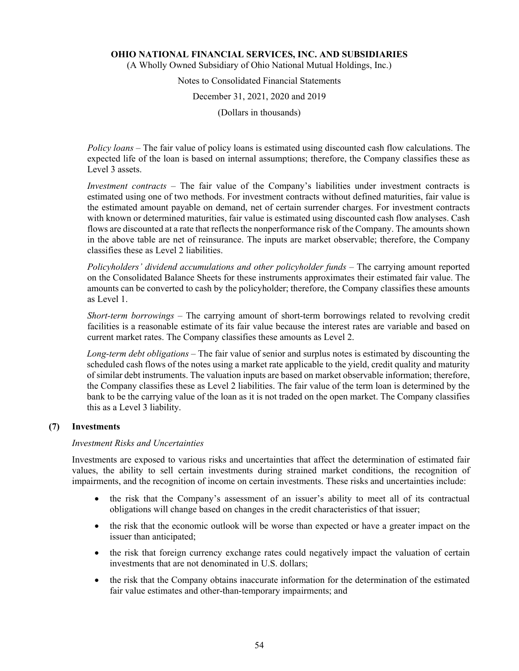(A Wholly Owned Subsidiary of Ohio National Mutual Holdings, Inc.)

### Notes to Consolidated Financial Statements

### December 31, 2021, 2020 and 2019

(Dollars in thousands)

*Policy loans* – The fair value of policy loans is estimated using discounted cash flow calculations. The expected life of the loan is based on internal assumptions; therefore, the Company classifies these as Level 3 assets.

*Investment contracts* – The fair value of the Company's liabilities under investment contracts is estimated using one of two methods. For investment contracts without defined maturities, fair value is the estimated amount payable on demand, net of certain surrender charges. For investment contracts with known or determined maturities, fair value is estimated using discounted cash flow analyses. Cash flows are discounted at a rate that reflects the nonperformance risk of the Company. The amounts shown in the above table are net of reinsurance. The inputs are market observable; therefore, the Company classifies these as Level 2 liabilities.

*Policyholders' dividend accumulations and other policyholder funds* – The carrying amount reported on the Consolidated Balance Sheets for these instruments approximates their estimated fair value. The amounts can be converted to cash by the policyholder; therefore, the Company classifies these amounts as Level 1.

*Short-term borrowings* – The carrying amount of short-term borrowings related to revolving credit facilities is a reasonable estimate of its fair value because the interest rates are variable and based on current market rates. The Company classifies these amounts as Level 2.

*Long-term debt obligations –* The fair value of senior and surplus notes is estimated by discounting the scheduled cash flows of the notes using a market rate applicable to the yield, credit quality and maturity of similar debt instruments. The valuation inputs are based on market observable information; therefore, the Company classifies these as Level 2 liabilities. The fair value of the term loan is determined by the bank to be the carrying value of the loan as it is not traded on the open market. The Company classifies this as a Level 3 liability.

### **(7) Investments**

#### *Investment Risks and Uncertainties*

Investments are exposed to various risks and uncertainties that affect the determination of estimated fair values, the ability to sell certain investments during strained market conditions, the recognition of impairments, and the recognition of income on certain investments. These risks and uncertainties include:

- the risk that the Company's assessment of an issuer's ability to meet all of its contractual obligations will change based on changes in the credit characteristics of that issuer;
- the risk that the economic outlook will be worse than expected or have a greater impact on the issuer than anticipated;
- the risk that foreign currency exchange rates could negatively impact the valuation of certain investments that are not denominated in U.S. dollars;
- the risk that the Company obtains inaccurate information for the determination of the estimated fair value estimates and other-than-temporary impairments; and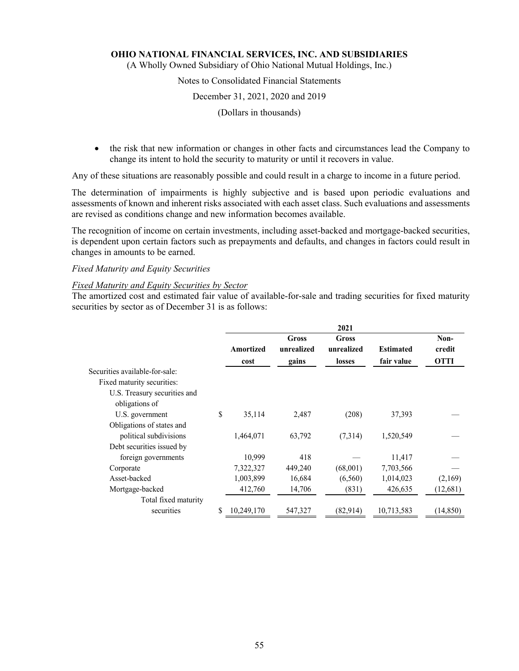(A Wholly Owned Subsidiary of Ohio National Mutual Holdings, Inc.)

### Notes to Consolidated Financial Statements

#### December 31, 2021, 2020 and 2019

(Dollars in thousands)

 the risk that new information or changes in other facts and circumstances lead the Company to change its intent to hold the security to maturity or until it recovers in value.

Any of these situations are reasonably possible and could result in a charge to income in a future period.

The determination of impairments is highly subjective and is based upon periodic evaluations and assessments of known and inherent risks associated with each asset class. Such evaluations and assessments are revised as conditions change and new information becomes available.

The recognition of income on certain investments, including asset-backed and mortgage-backed securities, is dependent upon certain factors such as prepayments and defaults, and changes in factors could result in changes in amounts to be earned.

#### *Fixed Maturity and Equity Securities*

### *Fixed Maturity and Equity Securities by Sector*

The amortized cost and estimated fair value of available-for-sale and trading securities for fixed maturity securities by sector as of December 31 is as follows:

|                                |    |            |              | 2021       |                  |             |
|--------------------------------|----|------------|--------------|------------|------------------|-------------|
|                                |    |            | <b>Gross</b> | Gross      |                  | Non-        |
|                                |    | Amortized  | unrealized   | unrealized | <b>Estimated</b> | credit      |
|                                |    | cost       | gains        | losses     | fair value       | <b>OTTI</b> |
| Securities available-for-sale: |    |            |              |            |                  |             |
| Fixed maturity securities:     |    |            |              |            |                  |             |
| U.S. Treasury securities and   |    |            |              |            |                  |             |
| obligations of                 |    |            |              |            |                  |             |
| U.S. government                | \$ | 35,114     | 2,487        | (208)      | 37,393           |             |
| Obligations of states and      |    |            |              |            |                  |             |
| political subdivisions         |    | 1,464,071  | 63,792       | (7,314)    | 1,520,549        |             |
| Debt securities issued by      |    |            |              |            |                  |             |
| foreign governments            |    | 10,999     | 418          |            | 11,417           |             |
| Corporate                      |    | 7,322,327  | 449,240      | (68,001)   | 7,703,566        |             |
| Asset-backed                   |    | 1,003,899  | 16,684       | (6,560)    | 1,014,023        | (2,169)     |
| Mortgage-backed                |    | 412,760    | 14,706       | (831)      | 426,635          | (12,681)    |
| Total fixed maturity           |    |            |              |            |                  |             |
| securities                     | S  | 10,249,170 | 547,327      | (82, 914)  | 10,713,583       | (14, 850)   |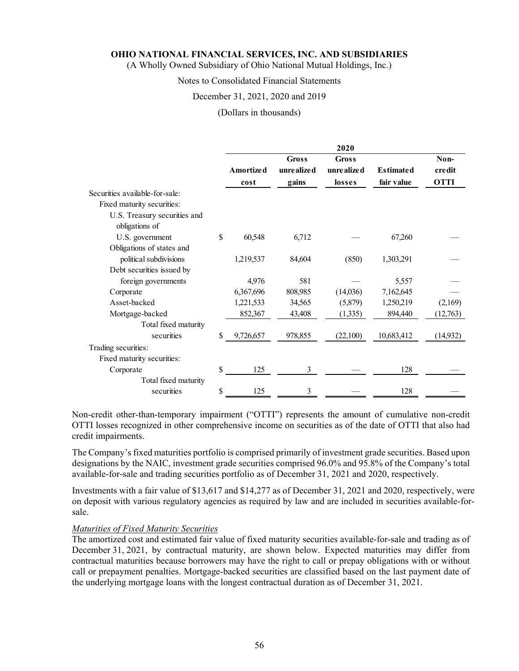(A Wholly Owned Subsidiary of Ohio National Mutual Holdings, Inc.)

### Notes to Consolidated Financial Statements

### December 31, 2021, 2020 and 2019

(Dollars in thousands)

|                                |    |             |              | 2020         |                  |             |
|--------------------------------|----|-------------|--------------|--------------|------------------|-------------|
|                                |    |             | <b>Gross</b> | <b>Gross</b> |                  | Non-        |
|                                |    | A mortize d | unre alized  | unre alize d | <b>Estimated</b> | credit      |
|                                |    | cost        | gains        | losses       | fair value       | <b>OTTI</b> |
| Securities available-for-sale: |    |             |              |              |                  |             |
| Fixed maturity securities:     |    |             |              |              |                  |             |
| U.S. Treasury securities and   |    |             |              |              |                  |             |
| obligations of                 |    |             |              |              |                  |             |
| U.S. government                | \$ | 60,548      | 6,712        |              | 67,260           |             |
| Obligations of states and      |    |             |              |              |                  |             |
| political subdivisions         |    | 1,219,537   | 84,604       | (850)        | 1,303,291        |             |
| Debt securities issued by      |    |             |              |              |                  |             |
| foreign governments            |    | 4,976       | 581          |              | 5,557            |             |
| Corporate                      |    | 6,367,696   | 808,985      | (14,036)     | 7,162,645        |             |
| Asset-backed                   |    | 1,221,533   | 34,565       | (5,879)      | 1,250,219        | (2,169)     |
| Mortgage-backed                |    | 852,367     | 43,408       | (1,335)      | 894,440          | (12,763)    |
| Total fixed maturity           |    |             |              |              |                  |             |
| securities                     | S  | 9,726,657   | 978,855      | (22,100)     | 10,683,412       | (14, 932)   |
| Trading securities:            |    |             |              |              |                  |             |
| Fixed maturity securities:     |    |             |              |              |                  |             |
| Corporate                      | \$ | 125         | 3            |              | 128              |             |
| Total fixed maturity           |    |             |              |              |                  |             |
| securities                     | S  | 125         | 3            |              | 128              |             |

Non-credit other-than-temporary impairment ("OTTI") represents the amount of cumulative non-credit OTTI losses recognized in other comprehensive income on securities as of the date of OTTI that also had credit impairments.

The Company's fixed maturities portfolio is comprised primarily of investment grade securities. Based upon designations by the NAIC, investment grade securities comprised 96.0% and 95.8% of the Company's total available-for-sale and trading securities portfolio as of December 31, 2021 and 2020, respectively.

Investments with a fair value of \$13,617 and \$14,277 as of December 31, 2021 and 2020, respectively, were on deposit with various regulatory agencies as required by law and are included in securities available-forsale.

#### *Maturities of Fixed Maturity Securities*

The amortized cost and estimated fair value of fixed maturity securities available-for-sale and trading as of December 31, 2021, by contractual maturity, are shown below. Expected maturities may differ from contractual maturities because borrowers may have the right to call or prepay obligations with or without call or prepayment penalties. Mortgage-backed securities are classified based on the last payment date of the underlying mortgage loans with the longest contractual duration as of December 31, 2021.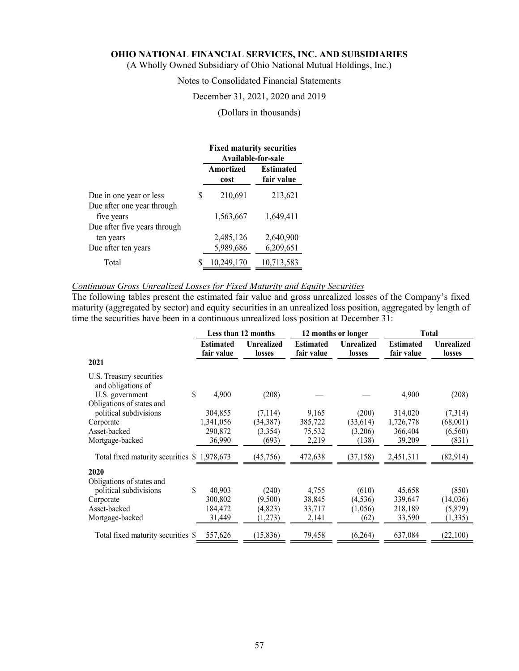(A Wholly Owned Subsidiary of Ohio National Mutual Holdings, Inc.)

### Notes to Consolidated Financial Statements

### December 31, 2021, 2020 and 2019

#### (Dollars in thousands)

|                                                       |   | <b>Fixed maturity securities</b><br>Available-for-sale |                                |  |
|-------------------------------------------------------|---|--------------------------------------------------------|--------------------------------|--|
|                                                       |   | Amortized<br>cost                                      | <b>Estimated</b><br>fair value |  |
| Due in one year or less<br>Due after one year through | S | 210,691                                                | 213,621                        |  |
| five years<br>Due after five years through            |   | 1,563,667                                              | 1,649,411                      |  |
| ten years                                             |   | 2,485,126                                              | 2,640,900                      |  |
| Due after ten years                                   |   | 5,989,686                                              | 6,209,651                      |  |
| Total                                                 |   | 10,249,170                                             | 10,713,583                     |  |

### *Continuous Gross Unrealized Losses for Fixed Maturity and Equity Securities*

The following tables present the estimated fair value and gross unrealized losses of the Company's fixed maturity (aggregated by sector) and equity securities in an unrealized loss position, aggregated by length of time the securities have been in a continuous unrealized loss position at December 31:

|                                                     | Less than 12 months            |                             |                                | 12 months or longer         | <b>Total</b>                   |                             |  |
|-----------------------------------------------------|--------------------------------|-----------------------------|--------------------------------|-----------------------------|--------------------------------|-----------------------------|--|
|                                                     | <b>Estimated</b><br>fair value | <b>Unrealized</b><br>losses | <b>Estimated</b><br>fair value | <b>Unrealized</b><br>losses | <b>Estimated</b><br>fair value | <b>Unrealized</b><br>losses |  |
| 2021                                                |                                |                             |                                |                             |                                |                             |  |
| U.S. Treasury securities<br>and obligations of      |                                |                             |                                |                             |                                |                             |  |
| U.S. government                                     | \$<br>4,900                    | (208)                       |                                |                             | 4,900                          | (208)                       |  |
| Obligations of states and<br>political subdivisions | 304,855                        | (7, 114)                    | 9,165                          | (200)                       | 314,020                        | (7,314)                     |  |
| Corporate                                           | 1,341,056                      | (34, 387)                   | 385,722                        | (33, 614)                   | 1,726,778                      | (68,001)                    |  |
| Asset-backed                                        | 290,872                        | (3,354)                     | 75,532                         | (3,206)                     | 366,404                        | (6, 560)                    |  |
| Mortgage-backed                                     | 36,990                         | (693)                       | 2,219                          | (138)                       | 39,209                         | (831)                       |  |
| Total fixed maturity securities \$1,978,673         |                                | (45,756)                    | 472,638                        | (37, 158)                   | 2,451,311                      | (82, 914)                   |  |
| 2020                                                |                                |                             |                                |                             |                                |                             |  |
| Obligations of states and                           |                                |                             |                                |                             |                                |                             |  |
| political subdivisions                              | \$<br>40,903                   | (240)                       | 4,755                          | (610)                       | 45,658                         | (850)                       |  |
| Corporate                                           | 300,802                        | (9,500)                     | 38,845                         | (4, 536)                    | 339,647                        | (14,036)                    |  |
| Asset-backed                                        | 184,472                        | (4, 823)                    | 33,717                         | (1,056)                     | 218,189                        | (5,879)                     |  |
| Mortgage-backed                                     | 31,449                         | (1,273)                     | 2,141                          | (62)                        | 33,590                         | (1, 335)                    |  |
| Total fixed maturity securities \$                  | 557,626                        | (15, 836)                   | 79,458                         | (6,264)                     | 637,084                        | (22,100)                    |  |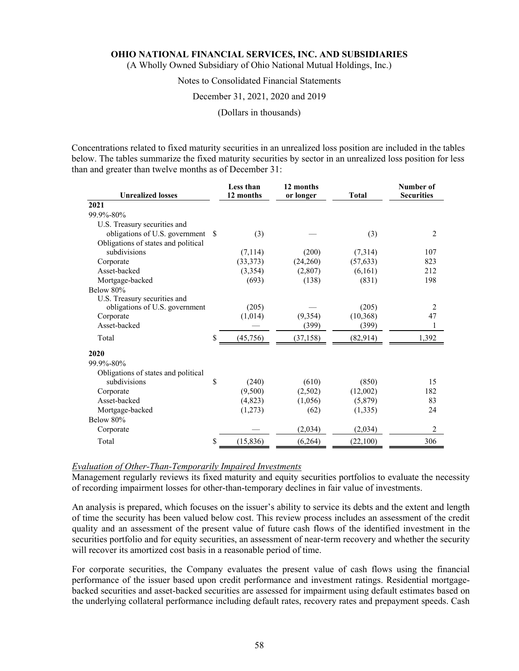(A Wholly Owned Subsidiary of Ohio National Mutual Holdings, Inc.)

### Notes to Consolidated Financial Statements

### December 31, 2021, 2020 and 2019

#### (Dollars in thousands)

Concentrations related to fixed maturity securities in an unrealized loss position are included in the tables below. The tables summarize the fixed maturity securities by sector in an unrealized loss position for less than and greater than twelve months as of December 31:

| <b>Unrealized losses</b>            | <b>Less than</b><br>12 months | 12 months<br>or longer | <b>Total</b> | Number of<br><b>Securities</b> |
|-------------------------------------|-------------------------------|------------------------|--------------|--------------------------------|
| 2021                                |                               |                        |              |                                |
| 99.9%-80%                           |                               |                        |              |                                |
| U.S. Treasury securities and        |                               |                        |              |                                |
| obligations of U.S. government \$   | (3)                           |                        | (3)          | 2                              |
| Obligations of states and political |                               |                        |              |                                |
| subdivisions                        | (7,114)                       | (200)                  | (7,314)      | 107                            |
| Corporate                           | (33,373)                      | (24,260)               | (57, 633)    | 823                            |
| Asset-backed                        | (3,354)                       | (2,807)                | (6,161)      | 212                            |
| Mortgage-backed                     | (693)                         | (138)                  | (831)        | 198                            |
| Below 80%                           |                               |                        |              |                                |
| U.S. Treasury securities and        |                               |                        |              |                                |
| obligations of U.S. government      | (205)                         |                        | (205)        | 2                              |
| Corporate                           | (1,014)                       | (9,354)                | (10, 368)    | 47                             |
| Asset-backed                        |                               | (399)                  | (399)        |                                |
| Total                               | \$<br>(45,756)                | (37, 158)              | (82, 914)    | 1,392                          |
| 2020                                |                               |                        |              |                                |
| 99.9%-80%                           |                               |                        |              |                                |
| Obligations of states and political |                               |                        |              |                                |
| subdivisions                        | \$<br>(240)                   | (610)                  | (850)        | 15                             |
| Corporate                           | (9,500)                       | (2,502)                | (12,002)     | 182                            |
| Asset-backed                        | (4,823)                       | (1,056)                | (5,879)      | 83                             |
| Mortgage-backed                     | (1,273)                       | (62)                   | (1,335)      | 24                             |
| Below 80%                           |                               |                        |              |                                |
| Corporate                           |                               | (2,034)                | (2,034)      | 2                              |
| Total                               | \$<br>(15, 836)               | (6,264)                | (22,100)     | 306                            |

#### *Evaluation of Other-Than-Temporarily Impaired Investments*

Management regularly reviews its fixed maturity and equity securities portfolios to evaluate the necessity of recording impairment losses for other-than-temporary declines in fair value of investments.

An analysis is prepared, which focuses on the issuer's ability to service its debts and the extent and length of time the security has been valued below cost. This review process includes an assessment of the credit quality and an assessment of the present value of future cash flows of the identified investment in the securities portfolio and for equity securities, an assessment of near-term recovery and whether the security will recover its amortized cost basis in a reasonable period of time.

For corporate securities, the Company evaluates the present value of cash flows using the financial performance of the issuer based upon credit performance and investment ratings. Residential mortgagebacked securities and asset-backed securities are assessed for impairment using default estimates based on the underlying collateral performance including default rates, recovery rates and prepayment speeds. Cash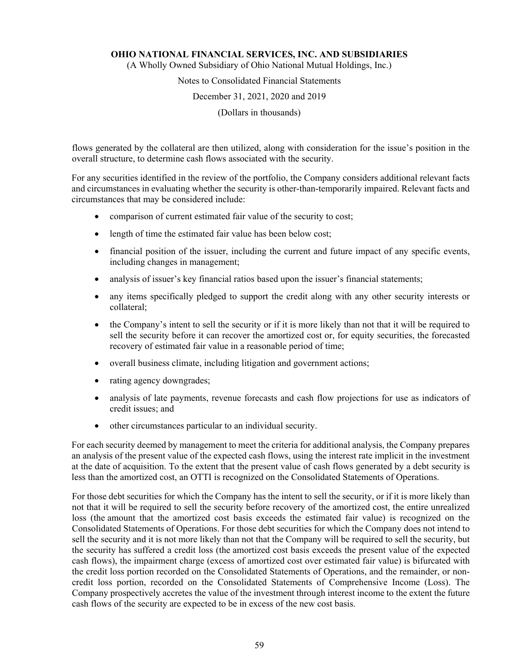(A Wholly Owned Subsidiary of Ohio National Mutual Holdings, Inc.)

### Notes to Consolidated Financial Statements

#### December 31, 2021, 2020 and 2019

(Dollars in thousands)

flows generated by the collateral are then utilized, along with consideration for the issue's position in the overall structure, to determine cash flows associated with the security.

For any securities identified in the review of the portfolio, the Company considers additional relevant facts and circumstances in evaluating whether the security is other-than-temporarily impaired. Relevant facts and circumstances that may be considered include:

- comparison of current estimated fair value of the security to cost;
- length of time the estimated fair value has been below cost;
- financial position of the issuer, including the current and future impact of any specific events, including changes in management;
- analysis of issuer's key financial ratios based upon the issuer's financial statements;
- any items specifically pledged to support the credit along with any other security interests or collateral;
- the Company's intent to sell the security or if it is more likely than not that it will be required to sell the security before it can recover the amortized cost or, for equity securities, the forecasted recovery of estimated fair value in a reasonable period of time;
- overall business climate, including litigation and government actions;
- rating agency downgrades;
- analysis of late payments, revenue forecasts and cash flow projections for use as indicators of credit issues; and
- other circumstances particular to an individual security.

For each security deemed by management to meet the criteria for additional analysis, the Company prepares an analysis of the present value of the expected cash flows, using the interest rate implicit in the investment at the date of acquisition. To the extent that the present value of cash flows generated by a debt security is less than the amortized cost, an OTTI is recognized on the Consolidated Statements of Operations.

For those debt securities for which the Company has the intent to sell the security, or if it is more likely than not that it will be required to sell the security before recovery of the amortized cost, the entire unrealized loss (the amount that the amortized cost basis exceeds the estimated fair value) is recognized on the Consolidated Statements of Operations. For those debt securities for which the Company does not intend to sell the security and it is not more likely than not that the Company will be required to sell the security, but the security has suffered a credit loss (the amortized cost basis exceeds the present value of the expected cash flows), the impairment charge (excess of amortized cost over estimated fair value) is bifurcated with the credit loss portion recorded on the Consolidated Statements of Operations, and the remainder, or noncredit loss portion, recorded on the Consolidated Statements of Comprehensive Income (Loss). The Company prospectively accretes the value of the investment through interest income to the extent the future cash flows of the security are expected to be in excess of the new cost basis.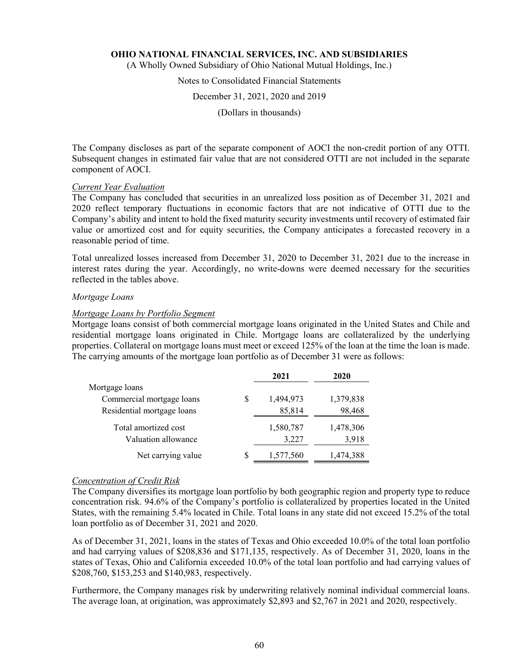(A Wholly Owned Subsidiary of Ohio National Mutual Holdings, Inc.)

### Notes to Consolidated Financial Statements

#### December 31, 2021, 2020 and 2019

(Dollars in thousands)

The Company discloses as part of the separate component of AOCI the non-credit portion of any OTTI. Subsequent changes in estimated fair value that are not considered OTTI are not included in the separate component of AOCI.

#### *Current Year Evaluation*

The Company has concluded that securities in an unrealized loss position as of December 31, 2021 and 2020 reflect temporary fluctuations in economic factors that are not indicative of OTTI due to the Company's ability and intent to hold the fixed maturity security investments until recovery of estimated fair value or amortized cost and for equity securities, the Company anticipates a forecasted recovery in a reasonable period of time.

Total unrealized losses increased from December 31, 2020 to December 31, 2021 due to the increase in interest rates during the year. Accordingly, no write-downs were deemed necessary for the securities reflected in the tables above.

#### *Mortgage Loans*

#### *Mortgage Loans by Portfolio Segment*

Mortgage loans consist of both commercial mortgage loans originated in the United States and Chile and residential mortgage loans originated in Chile. Mortgage loans are collateralized by the underlying properties. Collateral on mortgage loans must meet or exceed 125% of the loan at the time the loan is made. The carrying amounts of the mortgage loan portfolio as of December 31 were as follows:

|                            |   | 2021      | 2020      |
|----------------------------|---|-----------|-----------|
| Mortgage loans             |   |           |           |
| Commercial mortgage loans  | S | 1,494,973 | 1,379,838 |
| Residential mortgage loans |   | 85,814    | 98,468    |
| Total amortized cost       |   | 1,580,787 | 1,478,306 |
| Valuation allowance        |   | 3,227     | 3,918     |
| Net carrying value         | S | 1,577,560 | 1,474,388 |

#### *Concentration of Credit Risk*

The Company diversifies its mortgage loan portfolio by both geographic region and property type to reduce concentration risk. 94.6% of the Company's portfolio is collateralized by properties located in the United States, with the remaining 5.4% located in Chile. Total loans in any state did not exceed 15.2% of the total loan portfolio as of December 31, 2021 and 2020.

As of December 31, 2021, loans in the states of Texas and Ohio exceeded 10.0% of the total loan portfolio and had carrying values of \$208,836 and \$171,135, respectively. As of December 31, 2020, loans in the states of Texas, Ohio and California exceeded 10.0% of the total loan portfolio and had carrying values of \$208,760, \$153,253 and \$140,983, respectively.

Furthermore, the Company manages risk by underwriting relatively nominal individual commercial loans. The average loan, at origination, was approximately \$2,893 and \$2,767 in 2021 and 2020, respectively.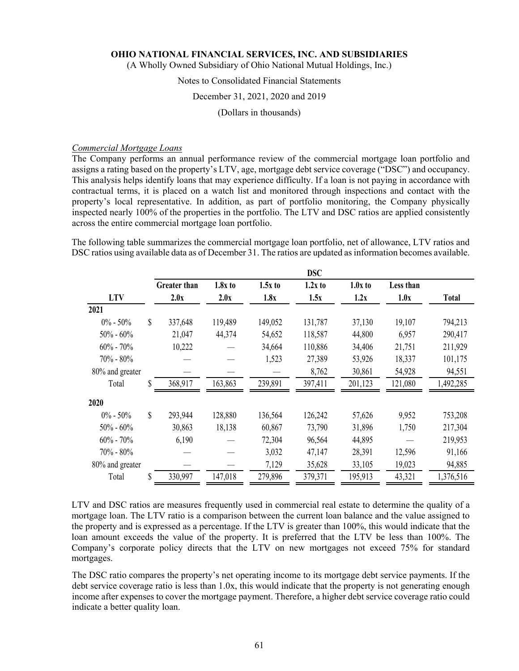(A Wholly Owned Subsidiary of Ohio National Mutual Holdings, Inc.)

### Notes to Consolidated Financial Statements

### December 31, 2021, 2020 and 2019

(Dollars in thousands)

#### *Commercial Mortgage Loans*

The Company performs an annual performance review of the commercial mortgage loan portfolio and assigns a rating based on the property's LTV, age, mortgage debt service coverage ("DSC") and occupancy. This analysis helps identify loans that may experience difficulty. If a loan is not paying in accordance with contractual terms, it is placed on a watch list and monitored through inspections and contact with the property's local representative. In addition, as part of portfolio monitoring, the Company physically inspected nearly 100% of the properties in the portfolio. The LTV and DSC ratios are applied consistently across the entire commercial mortgage loan portfolio.

The following table summarizes the commercial mortgage loan portfolio, net of allowance, LTV ratios and DSC ratios using available data as of December 31. The ratios are updated as information becomes available.

|                 |    |                     |           |           | <b>DSC</b> |           |           |              |
|-----------------|----|---------------------|-----------|-----------|------------|-----------|-----------|--------------|
|                 |    | <b>Greater than</b> | $1.8x$ to | $1.5x$ to | $1.2x$ to  | $1.0x$ to | Less than |              |
| <b>LTV</b>      |    | 2.0x                | 2.0x      | 1.8x      | 1.5x       | 1.2x      | 1.0x      | <b>Total</b> |
| 2021            |    |                     |           |           |            |           |           |              |
| $0\% - 50\%$    | \$ | 337,648             | 119,489   | 149,052   | 131,787    | 37,130    | 19,107    | 794,213      |
| $50\% - 60\%$   |    | 21,047              | 44,374    | 54,652    | 118,587    | 44,800    | 6,957     | 290,417      |
| $60\% - 70\%$   |    | 10,222              |           | 34,664    | 110,886    | 34,406    | 21,751    | 211,929      |
| $70\% - 80\%$   |    |                     |           | 1,523     | 27,389     | 53,926    | 18,337    | 101,175      |
| 80% and greater |    |                     |           |           | 8,762      | 30,861    | 54,928    | 94,551       |
| Total           | S  | 368,917             | 163,863   | 239,891   | 397,411    | 201,123   | 121,080   | 1,492,285    |
| 2020            |    |                     |           |           |            |           |           |              |
| $0\% - 50\%$    | \$ | 293,944             | 128,880   | 136,564   | 126,242    | 57,626    | 9,952     | 753,208      |
| $50\% - 60\%$   |    | 30,863              | 18,138    | 60,867    | 73,790     | 31,896    | 1,750     | 217,304      |
| $60\% - 70\%$   |    | 6,190               |           | 72,304    | 96,564     | 44,895    |           | 219,953      |
| 70% - 80%       |    |                     |           | 3,032     | 47,147     | 28,391    | 12,596    | 91,166       |
| 80% and greater |    |                     |           | 7,129     | 35,628     | 33,105    | 19,023    | 94,885       |
| Total           | \$ | 330,997             | 147,018   | 279,896   | 379,371    | 195,913   | 43,321    | 1,376,516    |

LTV and DSC ratios are measures frequently used in commercial real estate to determine the quality of a mortgage loan. The LTV ratio is a comparison between the current loan balance and the value assigned to the property and is expressed as a percentage. If the LTV is greater than 100%, this would indicate that the loan amount exceeds the value of the property. It is preferred that the LTV be less than 100%. The Company's corporate policy directs that the LTV on new mortgages not exceed 75% for standard mortgages.

The DSC ratio compares the property's net operating income to its mortgage debt service payments. If the debt service coverage ratio is less than 1.0x, this would indicate that the property is not generating enough income after expenses to cover the mortgage payment. Therefore, a higher debt service coverage ratio could indicate a better quality loan.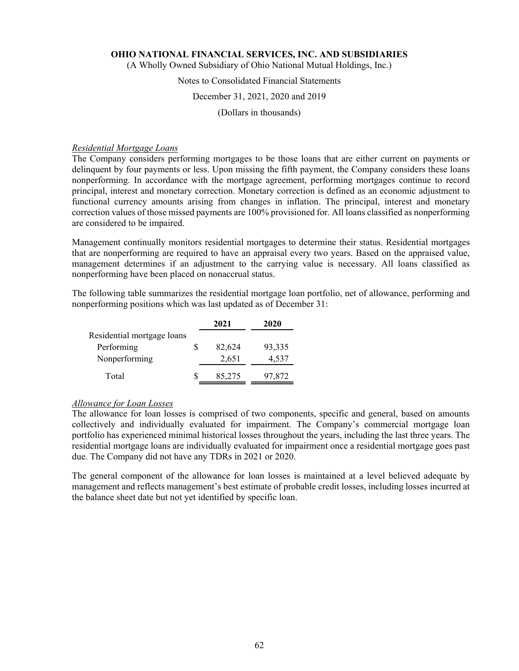(A Wholly Owned Subsidiary of Ohio National Mutual Holdings, Inc.)

### Notes to Consolidated Financial Statements

### December 31, 2021, 2020 and 2019

(Dollars in thousands)

#### *Residential Mortgage Loans*

The Company considers performing mortgages to be those loans that are either current on payments or delinquent by four payments or less. Upon missing the fifth payment, the Company considers these loans nonperforming. In accordance with the mortgage agreement, performing mortgages continue to record principal, interest and monetary correction. Monetary correction is defined as an economic adjustment to functional currency amounts arising from changes in inflation. The principal, interest and monetary correction values of those missed payments are 100% provisioned for. All loans classified as nonperforming are considered to be impaired.

Management continually monitors residential mortgages to determine their status. Residential mortgages that are nonperforming are required to have an appraisal every two years. Based on the appraised value, management determines if an adjustment to the carrying value is necessary. All loans classified as nonperforming have been placed on nonaccrual status.

The following table summarizes the residential mortgage loan portfolio, net of allowance, performing and nonperforming positions which was last updated as of December 31:

|                            |   | 2021   | 2020   |
|----------------------------|---|--------|--------|
| Residential mortgage loans |   |        |        |
| Performing                 | S | 82,624 | 93,335 |
| Nonperforming              |   | 2,651  | 4,537  |
| Total                      |   | 85,275 | 97,872 |

### *Allowance for Loan Losses*

The allowance for loan losses is comprised of two components, specific and general, based on amounts collectively and individually evaluated for impairment. The Company's commercial mortgage loan portfolio has experienced minimal historical losses throughout the years, including the last three years. The residential mortgage loans are individually evaluated for impairment once a residential mortgage goes past due. The Company did not have any TDRs in 2021 or 2020.

The general component of the allowance for loan losses is maintained at a level believed adequate by management and reflects management's best estimate of probable credit losses, including losses incurred at the balance sheet date but not yet identified by specific loan.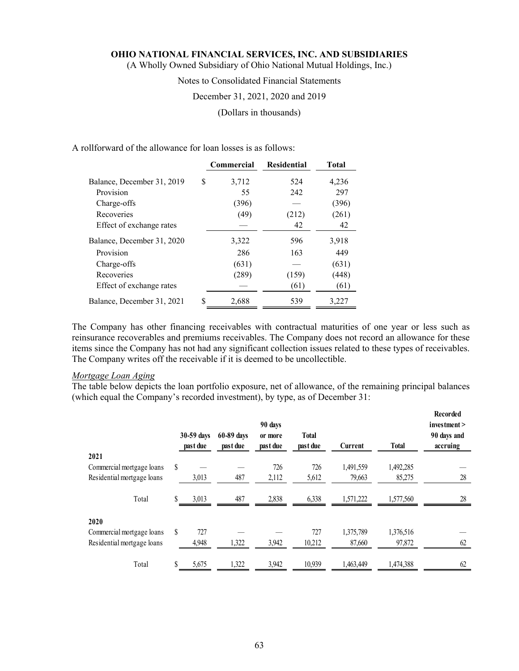(A Wholly Owned Subsidiary of Ohio National Mutual Holdings, Inc.)

### Notes to Consolidated Financial Statements

### December 31, 2021, 2020 and 2019

(Dollars in thousands)

A rollforward of the allowance for loan losses is as follows:

|                            |    | Commercial | <b>Residential</b> | <b>Total</b> |
|----------------------------|----|------------|--------------------|--------------|
| Balance, December 31, 2019 | \$ | 3,712      | 524                | 4,236        |
| Provision                  |    | 55         | 242                | 297          |
| Charge-offs                |    | (396)      |                    | (396)        |
| Recoveries                 |    | (49)       | (212)              | (261)        |
| Effect of exchange rates   |    |            | 42                 | 42           |
| Balance, December 31, 2020 |    | 3,322      | 596                | 3,918        |
| Provision                  |    | 286        | 163                | 449          |
| Charge-offs                |    | (631)      |                    | (631)        |
| Recoveries                 |    | (289)      | (159)              | (448)        |
| Effect of exchange rates   |    |            | (61)               | (61)         |
| Balance, December 31, 2021 | S  | 2.688      | 539                | 3.227        |

The Company has other financing receivables with contractual maturities of one year or less such as reinsurance recoverables and premiums receivables. The Company does not record an allowance for these items since the Company has not had any significant collection issues related to these types of receivables. The Company writes off the receivable if it is deemed to be uncollectible.

#### *Mortgage Loan Aging*

The table below depicts the loan portfolio exposure, net of allowance, of the remaining principal balances (which equal the Company's recorded investment), by type, as of December 31:

|                            |    | 30-59 days<br>past due | 60-89 days<br>past due | 90 days<br>or more<br>past due | <b>Total</b><br>past due | Current   | <b>Total</b> | <b>Recorded</b><br>investment ><br>90 days and<br>accruing |
|----------------------------|----|------------------------|------------------------|--------------------------------|--------------------------|-----------|--------------|------------------------------------------------------------|
| 2021                       |    |                        |                        |                                |                          |           |              |                                                            |
| Commercial mortgage loans  | S  |                        |                        | 726                            | 726                      | 1,491,559 | 1,492,285    |                                                            |
| Residential mortgage loans |    | 3,013                  | 487                    | 2,112                          | 5,612                    | 79,663    | 85,275       | 28                                                         |
| Total                      | \$ | 3,013                  | 487                    | 2,838                          | 6,338                    | 1,571,222 | 1,577,560    | 28                                                         |
| 2020                       |    |                        |                        |                                |                          |           |              |                                                            |
| Commercial mortgage loans  | S  | 727                    |                        |                                | 727                      | 1,375,789 | 1,376,516    |                                                            |
| Residential mortgage loans |    | 4,948                  | 1,322                  | 3,942                          | 10,212                   | 87,660    | 97,872       | 62                                                         |
| Total                      | \$ | 5,675                  | 1,322                  | 3,942                          | 10,939                   | 1,463,449 | 1,474,388    | 62                                                         |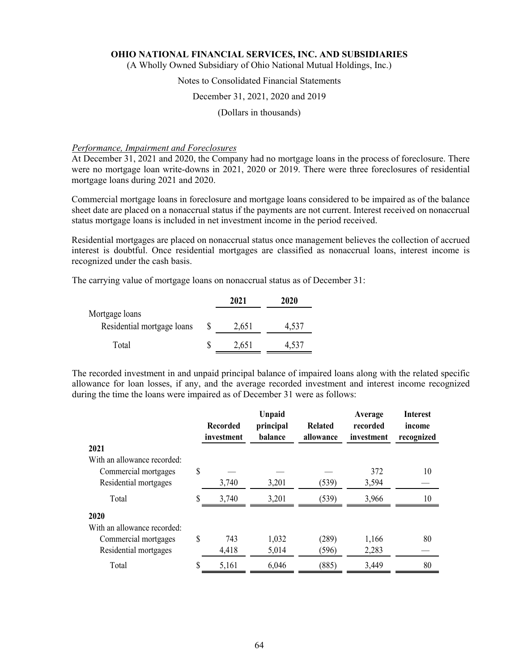(A Wholly Owned Subsidiary of Ohio National Mutual Holdings, Inc.)

### Notes to Consolidated Financial Statements

### December 31, 2021, 2020 and 2019

(Dollars in thousands)

#### *Performance, Impairment and Foreclosures*

At December 31, 2021 and 2020, the Company had no mortgage loans in the process of foreclosure. There were no mortgage loan write-downs in 2021, 2020 or 2019. There were three foreclosures of residential mortgage loans during 2021 and 2020.

Commercial mortgage loans in foreclosure and mortgage loans considered to be impaired as of the balance sheet date are placed on a nonaccrual status if the payments are not current. Interest received on nonaccrual status mortgage loans is included in net investment income in the period received.

Residential mortgages are placed on nonaccrual status once management believes the collection of accrued interest is doubtful. Once residential mortgages are classified as nonaccrual loans, interest income is recognized under the cash basis.

The carrying value of mortgage loans on nonaccrual status as of December 31:

|                            | 2021  | 2020  |
|----------------------------|-------|-------|
| Mortgage loans             |       |       |
| Residential mortgage loans | 2,651 | 4,537 |
| Total                      | 2,651 | 4,537 |

The recorded investment in and unpaid principal balance of impaired loans along with the related specific allowance for loan losses, if any, and the average recorded investment and interest income recognized during the time the loans were impaired as of December 31 were as follows:

|                             | <b>Recorded</b><br>investment | Unpaid<br>principal<br><b>balance</b> | <b>Related</b><br>allowance | Average<br>recorded<br>investment | <b>Interest</b><br>income<br>recognized |
|-----------------------------|-------------------------------|---------------------------------------|-----------------------------|-----------------------------------|-----------------------------------------|
| 2021                        |                               |                                       |                             |                                   |                                         |
| With an allowance recorded: |                               |                                       |                             |                                   |                                         |
| Commercial mortgages        | \$                            |                                       |                             | 372                               | 10                                      |
| Residential mortgages       | 3,740                         | 3,201                                 | (539)                       | 3,594                             |                                         |
| Total                       | 3,740                         | 3,201                                 | (539)                       | 3,966                             | 10                                      |
| 2020                        |                               |                                       |                             |                                   |                                         |
| With an allowance recorded: |                               |                                       |                             |                                   |                                         |
| Commercial mortgages        | \$<br>743                     | 1,032                                 | (289)                       | 1,166                             | 80                                      |
| Residential mortgages       | 4,418                         | 5,014                                 | (596)                       | 2,283                             |                                         |
| Total                       | 5,161                         | 6,046                                 | (885)                       | 3,449                             | 80                                      |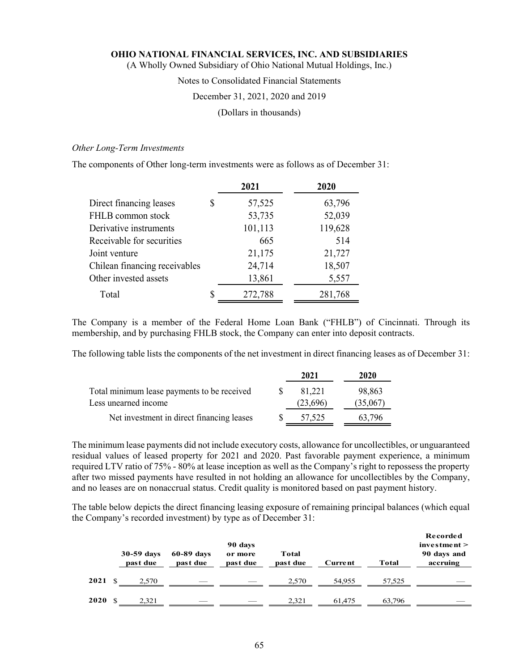(A Wholly Owned Subsidiary of Ohio National Mutual Holdings, Inc.)

# Notes to Consolidated Financial Statements

#### December 31, 2021, 2020 and 2019

(Dollars in thousands)

### *Other Long-Term Investments*

The components of Other long-term investments were as follows as of December 31:

|                               |    | 2021    | 2020    |
|-------------------------------|----|---------|---------|
| Direct financing leases       | \$ | 57,525  | 63,796  |
| FHLB common stock             |    | 53,735  | 52,039  |
| Derivative instruments        |    | 101,113 | 119,628 |
| Receivable for securities     |    | 665     | 514     |
| Joint venture                 |    | 21,175  | 21,727  |
| Chilean financing receivables |    | 24,714  | 18,507  |
| Other invested assets         |    | 13,861  | 5,557   |
| Total                         | S  | 272,788 | 281,768 |

The Company is a member of the Federal Home Loan Bank ("FHLB") of Cincinnati. Through its membership, and by purchasing FHLB stock, the Company can enter into deposit contracts.

The following table lists the components of the net investment in direct financing leases as of December 31:

|                                             | 2021     | 2020     |
|---------------------------------------------|----------|----------|
| Total minimum lease payments to be received | 81.221   | 98,863   |
| Less unearned income                        | (23,696) | (35,067) |
| Net investment in direct financing leases   | 57,525   | 63.796   |

The minimum lease payments did not include executory costs, allowance for uncollectibles, or unguaranteed residual values of leased property for 2021 and 2020. Past favorable payment experience, a minimum required LTV ratio of 75% - 80% at lease inception as well as the Company's right to repossess the property after two missed payments have resulted in not holding an allowance for uncollectibles by the Company, and no leases are on nonaccrual status. Credit quality is monitored based on past payment history.

The table below depicts the direct financing leasing exposure of remaining principal balances (which equal the Company's recorded investment) by type as of December 31:

|      |    | $30-59$ days<br>past due | 60-89 days<br>past due | 90 days<br>or more<br>past due | Total<br>past due | <b>Current</b> | Total  | Recorded<br>investment<br>90 days and<br>accruing |
|------|----|--------------------------|------------------------|--------------------------------|-------------------|----------------|--------|---------------------------------------------------|
| 2021 | \$ | 2.570                    |                        |                                | 2,570             | 54,955         | 57,525 |                                                   |
| 2020 | £. | 2.321                    | ___                    | _____                          | 2.321             | 61.475         | 63,796 | ___                                               |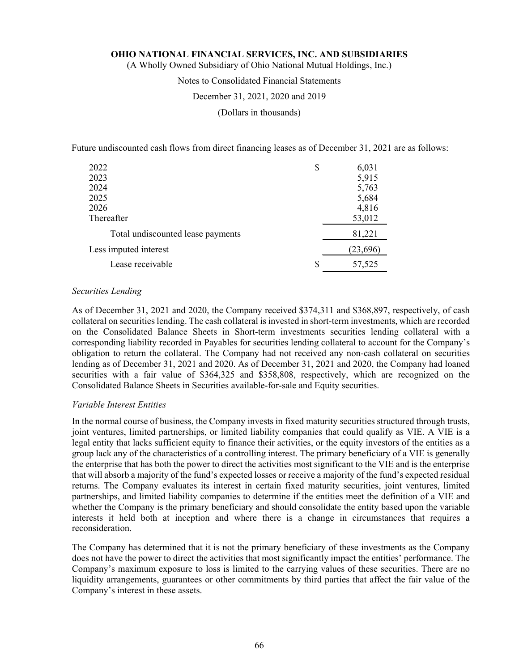(A Wholly Owned Subsidiary of Ohio National Mutual Holdings, Inc.)

### Notes to Consolidated Financial Statements

#### December 31, 2021, 2020 and 2019

(Dollars in thousands)

Future undiscounted cash flows from direct financing leases as of December 31, 2021 are as follows:

| 2022                              | \$ | 6,031    |
|-----------------------------------|----|----------|
| 2023                              |    | 5,915    |
| 2024                              |    | 5,763    |
| 2025                              |    | 5,684    |
| 2026                              |    | 4,816    |
| Thereafter                        |    | 53,012   |
| Total undiscounted lease payments |    | 81,221   |
| Less imputed interest             |    | (23,696) |
| Lease receivable                  | S  | 57,525   |

### *Securities Lending*

As of December 31, 2021 and 2020, the Company received \$374,311 and \$368,897, respectively, of cash collateral on securities lending. The cash collateral is invested in short-term investments, which are recorded on the Consolidated Balance Sheets in Short-term investments securities lending collateral with a corresponding liability recorded in Payables for securities lending collateral to account for the Company's obligation to return the collateral. The Company had not received any non-cash collateral on securities lending as of December 31, 2021 and 2020. As of December 31, 2021 and 2020, the Company had loaned securities with a fair value of \$364,325 and \$358,808, respectively, which are recognized on the Consolidated Balance Sheets in Securities available-for-sale and Equity securities.

#### *Variable Interest Entities*

In the normal course of business, the Company invests in fixed maturity securities structured through trusts, joint ventures, limited partnerships, or limited liability companies that could qualify as VIE. A VIE is a legal entity that lacks sufficient equity to finance their activities, or the equity investors of the entities as a group lack any of the characteristics of a controlling interest. The primary beneficiary of a VIE is generally the enterprise that has both the power to direct the activities most significant to the VIE and is the enterprise that will absorb a majority of the fund's expected losses or receive a majority of the fund's expected residual returns. The Company evaluates its interest in certain fixed maturity securities, joint ventures, limited partnerships, and limited liability companies to determine if the entities meet the definition of a VIE and whether the Company is the primary beneficiary and should consolidate the entity based upon the variable interests it held both at inception and where there is a change in circumstances that requires a reconsideration.

The Company has determined that it is not the primary beneficiary of these investments as the Company does not have the power to direct the activities that most significantly impact the entities' performance. The Company's maximum exposure to loss is limited to the carrying values of these securities. There are no liquidity arrangements, guarantees or other commitments by third parties that affect the fair value of the Company's interest in these assets.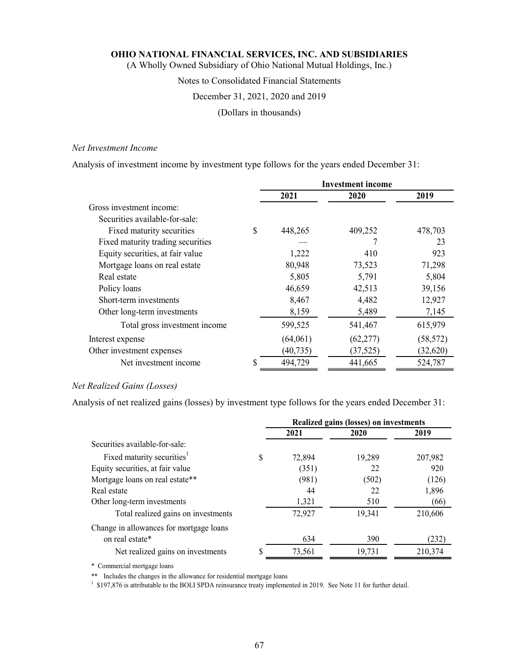(A Wholly Owned Subsidiary of Ohio National Mutual Holdings, Inc.)

### Notes to Consolidated Financial Statements

#### December 31, 2021, 2020 and 2019

(Dollars in thousands)

#### *Net Investment Income*

Analysis of investment income by investment type follows for the years ended December 31:

|                                   | <b>Investment income</b> |           |           |  |  |
|-----------------------------------|--------------------------|-----------|-----------|--|--|
|                                   | 2021                     | 2020      | 2019      |  |  |
| Gross investment income:          |                          |           |           |  |  |
| Securities available-for-sale:    |                          |           |           |  |  |
| Fixed maturity securities         | \$<br>448,265            | 409,252   | 478,703   |  |  |
| Fixed maturity trading securities |                          |           | 23        |  |  |
| Equity securities, at fair value  | 1,222                    | 410       | 923       |  |  |
| Mortgage loans on real estate     | 80,948                   | 73,523    | 71,298    |  |  |
| Real estate                       | 5,805                    | 5,791     | 5,804     |  |  |
| Policy loans                      | 46,659                   | 42,513    | 39,156    |  |  |
| Short-term investments            | 8,467                    | 4,482     | 12,927    |  |  |
| Other long-term investments       | 8,159                    | 5,489     | 7,145     |  |  |
| Total gross investment income     | 599,525                  | 541,467   | 615,979   |  |  |
| Interest expense                  | (64,061)                 | (62, 277) | (58, 572) |  |  |
| Other investment expenses         | (40, 735)                | (37, 525) | (32,620)  |  |  |
| Net investment income             | \$<br>494,729            | 441,665   | 524,787   |  |  |

#### *Net Realized Gains (Losses)*

Analysis of net realized gains (losses) by investment type follows for the years ended December 31:

|                                         | Realized gains (losses) on investments |        |         |  |
|-----------------------------------------|----------------------------------------|--------|---------|--|
|                                         | 2021                                   | 2020   | 2019    |  |
| Securities available-for-sale:          |                                        |        |         |  |
| Fixed maturity securities <sup>1</sup>  | \$<br>72,894                           | 19.289 | 207,982 |  |
| Equity securities, at fair value        | (351)                                  | 22     | 920     |  |
| Mortgage loans on real estate**         | (981)                                  | (502)  | (126)   |  |
| Real estate                             | 44                                     | 22     | 1,896   |  |
| Other long-term investments             | 1,321                                  | 510    | (66)    |  |
| Total realized gains on investments     | 72,927                                 | 19,341 | 210,606 |  |
| Change in allowances for mortgage loans |                                        |        |         |  |
| on real estate*                         | 634                                    | 390    | (232)   |  |
| Net realized gains on investments       | 73,561                                 | 19,731 | 210,374 |  |

\* Commercial mortgage loans

\*\* Includes the changes in the allowance for residential mortgage loans

<sup>1</sup> \$197,876 is attributable to the BOLI SPDA reinsurance treaty implemented in 2019. See Note 11 for further detail.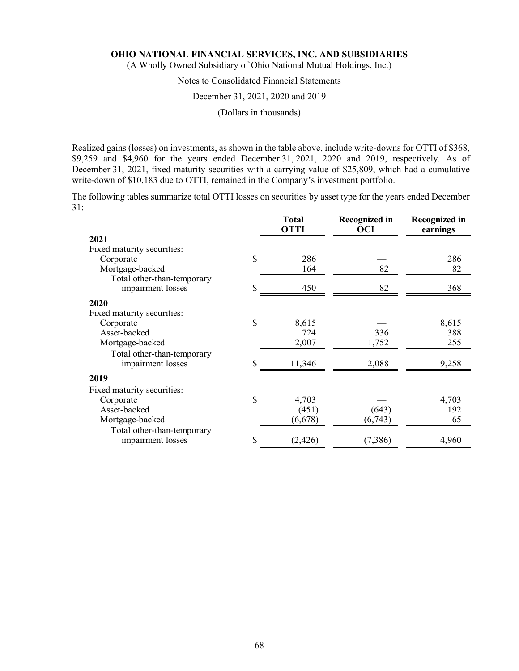(A Wholly Owned Subsidiary of Ohio National Mutual Holdings, Inc.)

# Notes to Consolidated Financial Statements

### December 31, 2021, 2020 and 2019

(Dollars in thousands)

Realized gains (losses) on investments, as shown in the table above, include write-downs for OTTI of \$368, \$9,259 and \$4,960 for the years ended December 31, 2021, 2020 and 2019, respectively. As of December 31, 2021, fixed maturity securities with a carrying value of \$25,809, which had a cumulative write-down of \$10,183 due to OTTI, remained in the Company's investment portfolio.

The following tables summarize total OTTI losses on securities by asset type for the years ended December 31:

|                            | <b>Total</b><br><b>OTTI</b> |          | <b>Recognized in</b><br><b>OCI</b> | <b>Recognized in</b><br>earnings |  |
|----------------------------|-----------------------------|----------|------------------------------------|----------------------------------|--|
| 2021                       |                             |          |                                    |                                  |  |
| Fixed maturity securities: |                             |          |                                    |                                  |  |
| Corporate                  | \$                          | 286      |                                    | 286                              |  |
| Mortgage-backed            |                             | 164      | 82                                 | 82                               |  |
| Total other-than-temporary |                             |          |                                    |                                  |  |
| impairment losses          | S                           | 450      | 82                                 | 368                              |  |
| 2020                       |                             |          |                                    |                                  |  |
| Fixed maturity securities: |                             |          |                                    |                                  |  |
| Corporate                  | \$                          | 8,615    |                                    | 8,615                            |  |
| Asset-backed               |                             | 724      | 336                                | 388                              |  |
| Mortgage-backed            |                             | 2,007    | 1,752                              | 255                              |  |
| Total other-than-temporary |                             |          |                                    |                                  |  |
| impairment losses          | \$                          | 11,346   | 2,088                              | 9,258                            |  |
| 2019                       |                             |          |                                    |                                  |  |
| Fixed maturity securities: |                             |          |                                    |                                  |  |
| Corporate                  | \$                          | 4,703    |                                    | 4,703                            |  |
| Asset-backed               |                             | (451)    | (643)                              | 192                              |  |
| Mortgage-backed            |                             | (6,678)  | (6,743)                            | 65                               |  |
| Total other-than-temporary |                             |          |                                    |                                  |  |
| impairment losses          | \$                          | (2, 426) | (7, 386)                           | 4,960                            |  |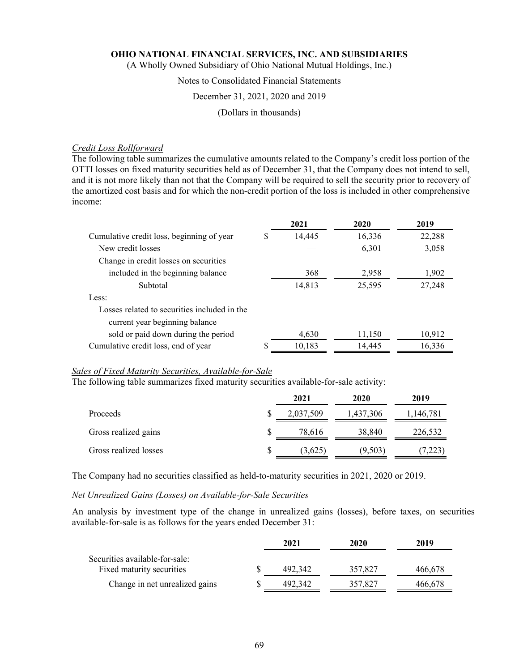(A Wholly Owned Subsidiary of Ohio National Mutual Holdings, Inc.)

### Notes to Consolidated Financial Statements

### December 31, 2021, 2020 and 2019

(Dollars in thousands)

#### *Credit Loss Rollforward*

The following table summarizes the cumulative amounts related to the Company's credit loss portion of the OTTI losses on fixed maturity securities held as of December 31, that the Company does not intend to sell, and it is not more likely than not that the Company will be required to sell the security prior to recovery of the amortized cost basis and for which the non-credit portion of the loss is included in other comprehensive income:

|                                              |    | 2021   | 2020   | 2019   |
|----------------------------------------------|----|--------|--------|--------|
| Cumulative credit loss, beginning of year    | \$ | 14,445 | 16,336 | 22,288 |
| New credit losses                            |    |        | 6,301  | 3,058  |
| Change in credit losses on securities        |    |        |        |        |
| included in the beginning balance            |    | 368    | 2,958  | 1,902  |
| Subtotal                                     |    | 14,813 | 25,595 | 27,248 |
| Less:                                        |    |        |        |        |
| Losses related to securities included in the |    |        |        |        |
| current year beginning balance               |    |        |        |        |
| sold or paid down during the period          |    | 4,630  | 11,150 | 10,912 |
| Cumulative credit loss, end of year          | S  | 10,183 | 14,445 | 16,336 |

### *Sales of Fixed Maturity Securities, Available-for-Sale*

The following table summarizes fixed maturity securities available-for-sale activity:

|                       |   | 2021      | 2020      | 2019      |
|-----------------------|---|-----------|-----------|-----------|
| Proceeds              |   | 2,037,509 | 1,437,306 | 1,146,781 |
| Gross realized gains  |   | 78.616    | 38,840    | 226,532   |
| Gross realized losses | Ъ | (3,625)   | (9,503)   | 7.223     |

The Company had no securities classified as held-to-maturity securities in 2021, 2020 or 2019.

#### *Net Unrealized Gains (Losses) on Available-for-Sale Securities*

An analysis by investment type of the change in unrealized gains (losses), before taxes, on securities available-for-sale is as follows for the years ended December 31:

| 2021    | 2020    | 2019    |
|---------|---------|---------|
|         |         |         |
| 492.342 | 357,827 | 466,678 |
| 492.342 | 357,827 | 466,678 |
|         |         |         |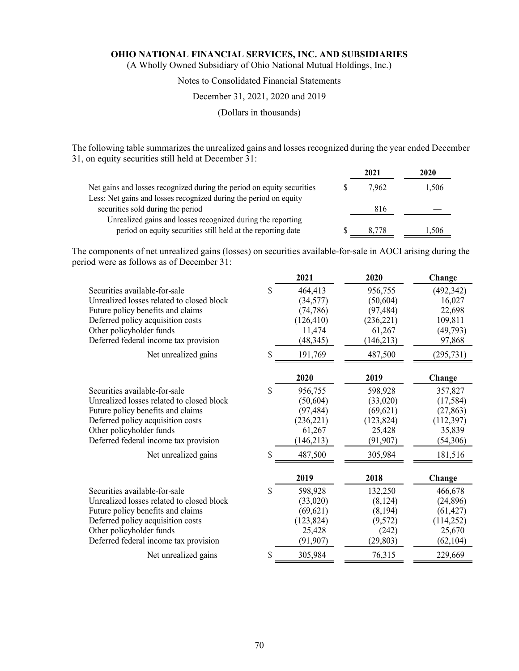(A Wholly Owned Subsidiary of Ohio National Mutual Holdings, Inc.)

### Notes to Consolidated Financial Statements

### December 31, 2021, 2020 and 2019

(Dollars in thousands)

The following table summarizes the unrealized gains and losses recognized during the year ended December 31, on equity securities still held at December 31:

|                                                                        | 2021  | 2020  |
|------------------------------------------------------------------------|-------|-------|
| Net gains and losses recognized during the period on equity securities | 7.962 | 1.506 |
| Less: Net gains and losses recognized during the period on equity      |       |       |
| securities sold during the period                                      | 816   |       |
| Unrealized gains and losses recognized during the reporting            |       |       |
| period on equity securities still held at the reporting date           | 8.778 | 1,506 |

The components of net unrealized gains (losses) on securities available-for-sale in AOCI arising during the period were as follows as of December 31:

|                                           |              | 2021       | 2020       | Change     |
|-------------------------------------------|--------------|------------|------------|------------|
| Securities available-for-sale             | $\mathbb{S}$ | 464,413    | 956,755    | (492, 342) |
| Unrealized losses related to closed block |              | (34, 577)  | (50, 604)  | 16,027     |
| Future policy benefits and claims         |              | (74, 786)  | (97, 484)  | 22,698     |
| Deferred policy acquisition costs         |              | (126, 410) | (236, 221) | 109,811    |
| Other policyholder funds                  |              | 11,474     | 61,267     | (49,793)   |
| Deferred federal income tax provision     |              | (48, 345)  | (146,213)  | 97,868     |
| Net unrealized gains                      | S            | 191,769    | 487,500    | (295, 731) |
|                                           |              | 2020       | 2019       | Change     |
| Securities available-for-sale             | $\mathbb{S}$ | 956,755    | 598,928    | 357,827    |
| Unrealized losses related to closed block |              | (50, 604)  | (33,020)   | (17, 584)  |
| Future policy benefits and claims         |              | (97, 484)  | (69, 621)  | (27, 863)  |
| Deferred policy acquisition costs         |              | (236, 221) | (123, 824) | (112, 397) |
| Other policyholder funds                  |              | 61,267     | 25,428     | 35,839     |
| Deferred federal income tax provision     |              | (146,213)  | (91, 907)  | (54,306)   |
| Net unrealized gains                      | \$           | 487,500    | 305,984    | 181,516    |
|                                           |              | 2019       | 2018       | Change     |
| Securities available-for-sale             | $\mathbb{S}$ | 598,928    | 132,250    | 466,678    |
| Unrealized losses related to closed block |              | (33,020)   | (8, 124)   | (24,896)   |
| Future policy benefits and claims         |              | (69, 621)  | (8, 194)   | (61, 427)  |
| Deferred policy acquisition costs         |              | (123, 824) | (9,572)    | (114, 252) |
| Other policyholder funds                  |              | 25,428     | (242)      | 25,670     |
| Deferred federal income tax provision     |              | (91, 907)  | (29, 803)  | (62, 104)  |
| Net unrealized gains                      | \$           | 305,984    | 76,315     | 229,669    |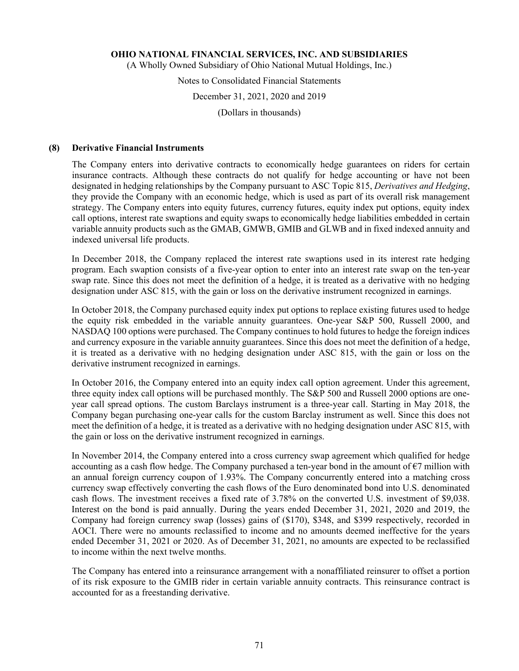(A Wholly Owned Subsidiary of Ohio National Mutual Holdings, Inc.)

### Notes to Consolidated Financial Statements

### December 31, 2021, 2020 and 2019

(Dollars in thousands)

#### **(8) Derivative Financial Instruments**

The Company enters into derivative contracts to economically hedge guarantees on riders for certain insurance contracts. Although these contracts do not qualify for hedge accounting or have not been designated in hedging relationships by the Company pursuant to ASC Topic 815, *Derivatives and Hedging*, they provide the Company with an economic hedge, which is used as part of its overall risk management strategy. The Company enters into equity futures, currency futures, equity index put options, equity index call options, interest rate swaptions and equity swaps to economically hedge liabilities embedded in certain variable annuity products such as the GMAB, GMWB, GMIB and GLWB and in fixed indexed annuity and indexed universal life products.

In December 2018, the Company replaced the interest rate swaptions used in its interest rate hedging program. Each swaption consists of a five-year option to enter into an interest rate swap on the ten-year swap rate. Since this does not meet the definition of a hedge, it is treated as a derivative with no hedging designation under ASC 815, with the gain or loss on the derivative instrument recognized in earnings.

In October 2018, the Company purchased equity index put options to replace existing futures used to hedge the equity risk embedded in the variable annuity guarantees. One-year S&P 500, Russell 2000, and NASDAQ 100 options were purchased. The Company continues to hold futures to hedge the foreign indices and currency exposure in the variable annuity guarantees. Since this does not meet the definition of a hedge, it is treated as a derivative with no hedging designation under ASC 815, with the gain or loss on the derivative instrument recognized in earnings.

In October 2016, the Company entered into an equity index call option agreement. Under this agreement, three equity index call options will be purchased monthly. The S&P 500 and Russell 2000 options are oneyear call spread options. The custom Barclays instrument is a three-year call. Starting in May 2018, the Company began purchasing one-year calls for the custom Barclay instrument as well. Since this does not meet the definition of a hedge, it is treated as a derivative with no hedging designation under ASC 815, with the gain or loss on the derivative instrument recognized in earnings.

In November 2014, the Company entered into a cross currency swap agreement which qualified for hedge accounting as a cash flow hedge. The Company purchased a ten-year bond in the amount of  $\epsilon$ 7 million with an annual foreign currency coupon of 1.93%. The Company concurrently entered into a matching cross currency swap effectively converting the cash flows of the Euro denominated bond into U.S. denominated cash flows. The investment receives a fixed rate of 3.78% on the converted U.S. investment of \$9,038. Interest on the bond is paid annually. During the years ended December 31, 2021, 2020 and 2019, the Company had foreign currency swap (losses) gains of (\$170), \$348, and \$399 respectively, recorded in AOCI. There were no amounts reclassified to income and no amounts deemed ineffective for the years ended December 31, 2021 or 2020. As of December 31, 2021, no amounts are expected to be reclassified to income within the next twelve months.

The Company has entered into a reinsurance arrangement with a nonaffiliated reinsurer to offset a portion of its risk exposure to the GMIB rider in certain variable annuity contracts. This reinsurance contract is accounted for as a freestanding derivative.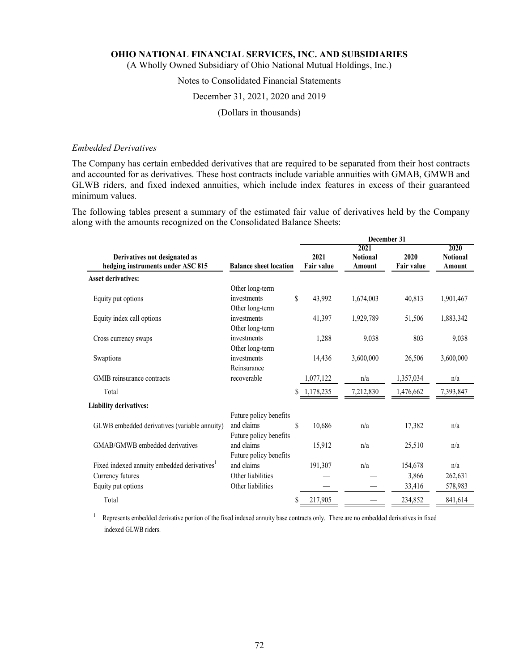(A Wholly Owned Subsidiary of Ohio National Mutual Holdings, Inc.)

## Notes to Consolidated Financial Statements

#### December 31, 2021, 2020 and 2019

(Dollars in thousands)

#### *Embedded Derivatives*

The Company has certain embedded derivatives that are required to be separated from their host contracts and accounted for as derivatives. These host contracts include variable annuities with GMAB, GMWB and GLWB riders, and fixed indexed annuities, which include index features in excess of their guaranteed minimum values.

The following tables present a summary of the estimated fair value of derivatives held by the Company along with the amounts recognized on the Consolidated Balance Sheets:

|                                                         |                               |    | December 31       |                 |                   |                 |  |  |  |
|---------------------------------------------------------|-------------------------------|----|-------------------|-----------------|-------------------|-----------------|--|--|--|
|                                                         |                               |    | 2021              |                 |                   | 2020            |  |  |  |
| Derivatives not designated as                           |                               |    | 2021              | <b>Notional</b> | 2020              | <b>Notional</b> |  |  |  |
| hedging instruments under ASC 815                       | <b>Balance sheet location</b> |    | <b>Fair value</b> | Amount          | <b>Fair value</b> | Amount          |  |  |  |
| <b>Asset derivatives:</b>                               |                               |    |                   |                 |                   |                 |  |  |  |
|                                                         | Other long-term               |    |                   |                 |                   |                 |  |  |  |
| Equity put options                                      | investments                   | \$ | 43,992            | 1,674,003       | 40,813            | 1,901,467       |  |  |  |
|                                                         | Other long-term               |    |                   |                 |                   |                 |  |  |  |
| Equity index call options                               | investments                   |    | 41,397            | 1,929,789       | 51,506            | 1,883,342       |  |  |  |
|                                                         | Other long-term               |    |                   |                 |                   |                 |  |  |  |
| Cross currency swaps                                    | investments                   |    | 1,288             | 9,038           | 803               | 9,038           |  |  |  |
|                                                         | Other long-term               |    |                   |                 |                   |                 |  |  |  |
| Swaptions                                               | investments                   |    | 14,436            | 3,600,000       | 26,506            | 3,600,000       |  |  |  |
|                                                         | Reinsurance                   |    |                   |                 |                   |                 |  |  |  |
| GMIB reinsurance contracts                              | recoverable                   |    | 1,077,122         | n/a             | 1,357,034         | n/a             |  |  |  |
| Total                                                   |                               | S  | 1,178,235         | 7,212,830       | 1,476,662         | 7,393,847       |  |  |  |
| <b>Liability derivatives:</b>                           |                               |    |                   |                 |                   |                 |  |  |  |
|                                                         | Future policy benefits        |    |                   |                 |                   |                 |  |  |  |
| GLWB embedded derivatives (variable annuity)            | and claims                    | S  | 10,686            | n/a             | 17,382            | n/a             |  |  |  |
|                                                         | Future policy benefits        |    |                   |                 |                   |                 |  |  |  |
| GMAB/GMWB embedded derivatives                          | and claims                    |    | 15,912            | n/a             | 25,510            | n/a             |  |  |  |
|                                                         | Future policy benefits        |    |                   |                 |                   |                 |  |  |  |
| Fixed indexed annuity embedded derivatives <sup>1</sup> | and claims                    |    | 191,307           | n/a             | 154,678           | n/a             |  |  |  |
| Currency futures                                        | Other liabilities             |    |                   |                 | 3,866             | 262,631         |  |  |  |
| Equity put options                                      | Other liabilities             |    |                   |                 | 33,416            | 578,983         |  |  |  |
| Total                                                   |                               | S  | 217,905           |                 | 234,852           | 841,614         |  |  |  |
|                                                         |                               |    |                   |                 |                   |                 |  |  |  |

<sup>1</sup> Represents embedded derivative portion of the fixed indexed annuity base contracts only. There are no embedded derivatives in fixed indexed GLWB riders.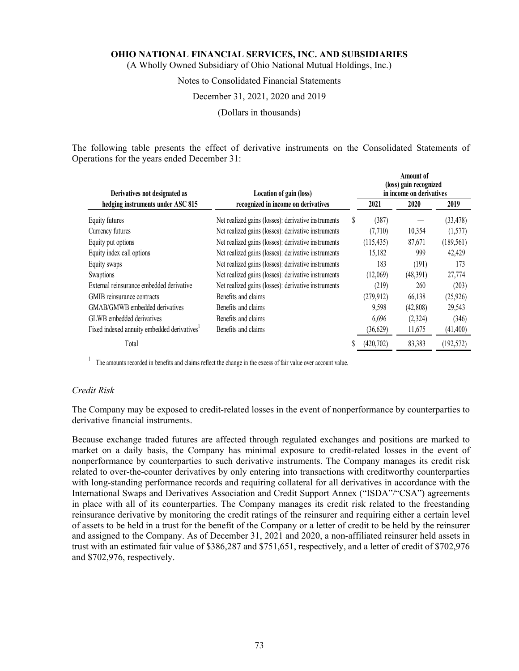(A Wholly Owned Subsidiary of Ohio National Mutual Holdings, Inc.)

## Notes to Consolidated Financial Statements

#### December 31, 2021, 2020 and 2019

(Dollars in thousands)

The following table presents the effect of derivative instruments on the Consolidated Statements of Operations for the years ended December 31:

| Derivatives not designated as              | Location of gain (loss)                             |   | (loss) gain recognized<br>in income on derivatives |          |            |
|--------------------------------------------|-----------------------------------------------------|---|----------------------------------------------------|----------|------------|
| hedging instruments under ASC 815          | recognized in income on derivatives                 |   | 2021                                               | 2020     | 2019       |
| Equity futures                             | Net realized gains (losses): derivative instruments | S | (387)                                              |          | (33, 478)  |
| Currency futures                           | Net realized gains (losses): derivative instruments |   | (7,710)                                            | 10,354   | (1,577)    |
| Equity put options                         | Net realized gains (losses): derivative instruments |   | (115, 435)                                         | 87,671   | (189, 561) |
| Equity index call options                  | Net realized gains (losses): derivative instruments |   | 15,182                                             | 999      | 42,429     |
| Equity swaps                               | Net realized gains (losses): derivative instruments |   | 183                                                | (191)    | 173        |
| Swaptions                                  | Net realized gains (losses): derivative instruments |   | (12,069)                                           | (48,391) | 27,774     |
| External reinsurance embedded derivative   | Net realized gains (losses): derivative instruments |   | (219)                                              | 260      | (203)      |
| GMIB reinsurance contracts                 | Benefits and claims                                 |   | (279, 912)                                         | 66,138   | (25, 926)  |
| GMAB/GMWB embedded derivatives             | Benefits and claims                                 |   | 9,598                                              | (42,808) | 29,543     |
| GLWB embedded derivatives                  | Benefits and claims                                 |   | 6,696                                              | (2,324)  | (346)      |
| Fixed indexed annuity embedded derivatives | Benefits and claims                                 |   | (36,629)                                           | 11,675   | (41, 400)  |
| Total                                      |                                                     |   | (420, 702)                                         | 83,383   | (192, 572) |

 $1$  The amounts recorded in benefits and claims reflect the change in the excess of fair value over account value.

#### *Credit Risk*

The Company may be exposed to credit-related losses in the event of nonperformance by counterparties to derivative financial instruments.

Because exchange traded futures are affected through regulated exchanges and positions are marked to market on a daily basis, the Company has minimal exposure to credit-related losses in the event of nonperformance by counterparties to such derivative instruments. The Company manages its credit risk related to over-the-counter derivatives by only entering into transactions with creditworthy counterparties with long-standing performance records and requiring collateral for all derivatives in accordance with the International Swaps and Derivatives Association and Credit Support Annex ("ISDA"/"CSA") agreements in place with all of its counterparties. The Company manages its credit risk related to the freestanding reinsurance derivative by monitoring the credit ratings of the reinsurer and requiring either a certain level of assets to be held in a trust for the benefit of the Company or a letter of credit to be held by the reinsurer and assigned to the Company. As of December 31, 2021 and 2020, a non-affiliated reinsurer held assets in trust with an estimated fair value of \$386,287 and \$751,651, respectively, and a letter of credit of \$702,976 and \$702,976, respectively.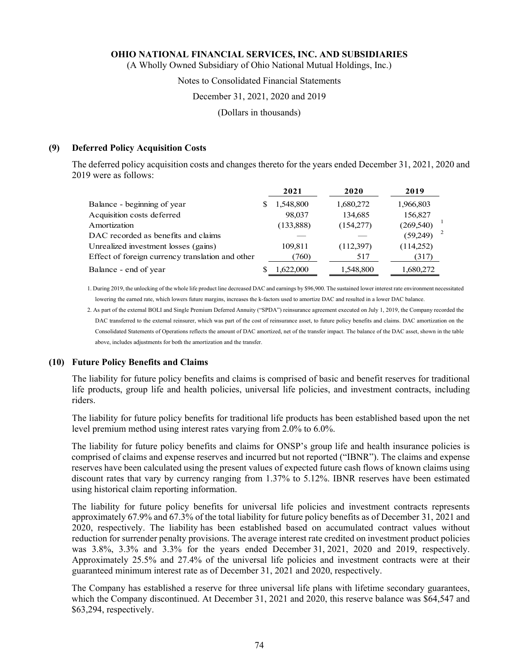(A Wholly Owned Subsidiary of Ohio National Mutual Holdings, Inc.)

#### Notes to Consolidated Financial Statements

#### December 31, 2021, 2020 and 2019

(Dollars in thousands)

#### **(9) Deferred Policy Acquisition Costs**

The deferred policy acquisition costs and changes thereto for the years ended December 31, 2021, 2020 and 2019 were as follows:

|                                                  | 2021      | 2020      | 2019           |  |
|--------------------------------------------------|-----------|-----------|----------------|--|
| Balance - beginning of year                      | 1,548,800 | 1,680,272 | 1,966,803      |  |
| Acquisition costs deferred                       | 98,037    | 134,685   | 156,827        |  |
| Amortization                                     | (133,888) | (154,277) | (269, 540)     |  |
| DAC recorded as benefits and claims              |           |           | -2<br>(59,249) |  |
| Unrealized investment losses (gains)             | 109,811   | (112,397) | (114,252)      |  |
| Effect of foreign currency translation and other | (760)     | 517       | (317)          |  |
| Balance - end of year                            | .622,000  | 1,548,800 | 1,680,272      |  |

1. During 2019, the unlocking of the whole life product line decreased DAC and earnings by \$96,900. The sustained lower interest rate environment necessitated lowering the earned rate, which lowers future margins, increases the k-factors used to amortize DAC and resulted in a lower DAC balance.

2. As part of the external BOLI and Single Premium Deferred Annuity ("SPDA") reinsurance agreement executed on July 1, 2019, the Company recorded the DAC transferred to the external reinsurer, which was part of the cost of reinsurance asset, to future policy benefits and claims. DAC amortization on the Consolidated Statements of Operations reflects the amount of DAC amortized, net of the transfer impact. The balance of the DAC asset, shown in the table above, includes adjustments for both the amortization and the transfer.

#### **(10) Future Policy Benefits and Claims**

The liability for future policy benefits and claims is comprised of basic and benefit reserves for traditional life products, group life and health policies, universal life policies, and investment contracts, including riders.

The liability for future policy benefits for traditional life products has been established based upon the net level premium method using interest rates varying from 2.0% to 6.0%.

The liability for future policy benefits and claims for ONSP's group life and health insurance policies is comprised of claims and expense reserves and incurred but not reported ("IBNR"). The claims and expense reserves have been calculated using the present values of expected future cash flows of known claims using discount rates that vary by currency ranging from 1.37% to 5.12%. IBNR reserves have been estimated using historical claim reporting information.

The liability for future policy benefits for universal life policies and investment contracts represents approximately 67.9% and 67.3% of the total liability for future policy benefits as of December 31, 2021 and 2020, respectively. The liability has been established based on accumulated contract values without reduction for surrender penalty provisions. The average interest rate credited on investment product policies was 3.8%, 3.3% and 3.3% for the years ended December 31, 2021, 2020 and 2019, respectively. Approximately 25.5% and 27.4% of the universal life policies and investment contracts were at their guaranteed minimum interest rate as of December 31, 2021 and 2020, respectively.

The Company has established a reserve for three universal life plans with lifetime secondary guarantees, which the Company discontinued. At December 31, 2021 and 2020, this reserve balance was \$64,547 and \$63,294, respectively.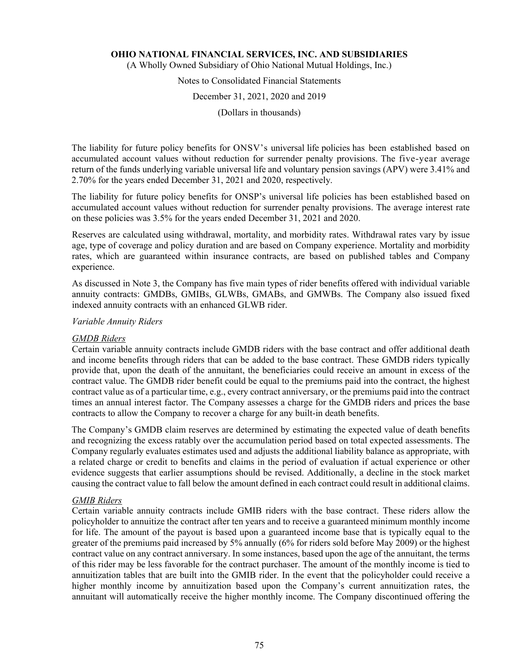(A Wholly Owned Subsidiary of Ohio National Mutual Holdings, Inc.)

## Notes to Consolidated Financial Statements

#### December 31, 2021, 2020 and 2019

(Dollars in thousands)

The liability for future policy benefits for ONSV's universal life policies has been established based on accumulated account values without reduction for surrender penalty provisions. The five-year average return of the funds underlying variable universal life and voluntary pension savings (APV) were 3.41% and 2.70% for the years ended December 31, 2021 and 2020, respectively.

The liability for future policy benefits for ONSP's universal life policies has been established based on accumulated account values without reduction for surrender penalty provisions. The average interest rate on these policies was 3.5% for the years ended December 31, 2021 and 2020.

Reserves are calculated using withdrawal, mortality, and morbidity rates. Withdrawal rates vary by issue age, type of coverage and policy duration and are based on Company experience. Mortality and morbidity rates, which are guaranteed within insurance contracts, are based on published tables and Company experience.

As discussed in Note 3, the Company has five main types of rider benefits offered with individual variable annuity contracts: GMDBs, GMIBs, GLWBs, GMABs, and GMWBs. The Company also issued fixed indexed annuity contracts with an enhanced GLWB rider.

#### *Variable Annuity Riders*

#### *GMDB Riders*

Certain variable annuity contracts include GMDB riders with the base contract and offer additional death and income benefits through riders that can be added to the base contract. These GMDB riders typically provide that, upon the death of the annuitant, the beneficiaries could receive an amount in excess of the contract value. The GMDB rider benefit could be equal to the premiums paid into the contract, the highest contract value as of a particular time, e.g., every contract anniversary, or the premiums paid into the contract times an annual interest factor. The Company assesses a charge for the GMDB riders and prices the base contracts to allow the Company to recover a charge for any built-in death benefits.

The Company's GMDB claim reserves are determined by estimating the expected value of death benefits and recognizing the excess ratably over the accumulation period based on total expected assessments. The Company regularly evaluates estimates used and adjusts the additional liability balance as appropriate, with a related charge or credit to benefits and claims in the period of evaluation if actual experience or other evidence suggests that earlier assumptions should be revised. Additionally, a decline in the stock market causing the contract value to fall below the amount defined in each contract could result in additional claims.

#### *GMIB Riders*

Certain variable annuity contracts include GMIB riders with the base contract. These riders allow the policyholder to annuitize the contract after ten years and to receive a guaranteed minimum monthly income for life. The amount of the payout is based upon a guaranteed income base that is typically equal to the greater of the premiums paid increased by 5% annually (6% for riders sold before May 2009) or the highest contract value on any contract anniversary. In some instances, based upon the age of the annuitant, the terms of this rider may be less favorable for the contract purchaser. The amount of the monthly income is tied to annuitization tables that are built into the GMIB rider. In the event that the policyholder could receive a higher monthly income by annuitization based upon the Company's current annuitization rates, the annuitant will automatically receive the higher monthly income. The Company discontinued offering the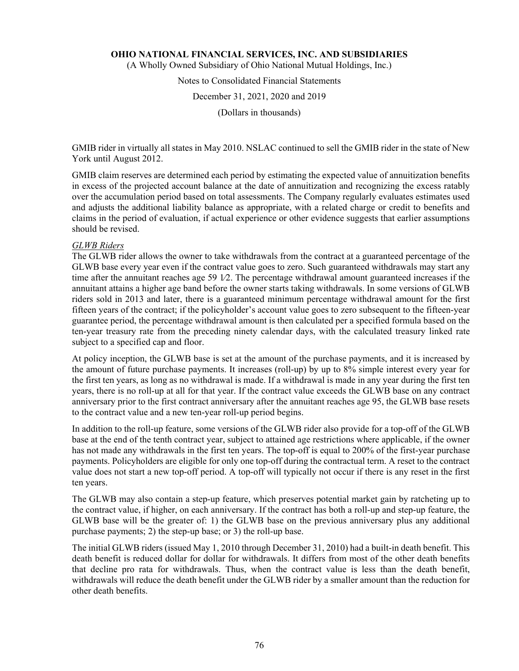(A Wholly Owned Subsidiary of Ohio National Mutual Holdings, Inc.)

## Notes to Consolidated Financial Statements

December 31, 2021, 2020 and 2019

(Dollars in thousands)

GMIB rider in virtually all states in May 2010. NSLAC continued to sell the GMIB rider in the state of New York until August 2012.

GMIB claim reserves are determined each period by estimating the expected value of annuitization benefits in excess of the projected account balance at the date of annuitization and recognizing the excess ratably over the accumulation period based on total assessments. The Company regularly evaluates estimates used and adjusts the additional liability balance as appropriate, with a related charge or credit to benefits and claims in the period of evaluation, if actual experience or other evidence suggests that earlier assumptions should be revised.

#### *GLWB Riders*

The GLWB rider allows the owner to take withdrawals from the contract at a guaranteed percentage of the GLWB base every year even if the contract value goes to zero. Such guaranteed withdrawals may start any time after the annuitant reaches age 59 1∕2. The percentage withdrawal amount guaranteed increases if the annuitant attains a higher age band before the owner starts taking withdrawals. In some versions of GLWB riders sold in 2013 and later, there is a guaranteed minimum percentage withdrawal amount for the first fifteen years of the contract; if the policyholder's account value goes to zero subsequent to the fifteen-year guarantee period, the percentage withdrawal amount is then calculated per a specified formula based on the ten-year treasury rate from the preceding ninety calendar days, with the calculated treasury linked rate subject to a specified cap and floor.

At policy inception, the GLWB base is set at the amount of the purchase payments, and it is increased by the amount of future purchase payments. It increases (roll-up) by up to 8% simple interest every year for the first ten years, as long as no withdrawal is made. If a withdrawal is made in any year during the first ten years, there is no roll-up at all for that year. If the contract value exceeds the GLWB base on any contract anniversary prior to the first contract anniversary after the annuitant reaches age 95, the GLWB base resets to the contract value and a new ten-year roll-up period begins.

In addition to the roll-up feature, some versions of the GLWB rider also provide for a top-off of the GLWB base at the end of the tenth contract year, subject to attained age restrictions where applicable, if the owner has not made any withdrawals in the first ten years. The top-off is equal to 200% of the first-year purchase payments. Policyholders are eligible for only one top-off during the contractual term. A reset to the contract value does not start a new top-off period. A top-off will typically not occur if there is any reset in the first ten years.

The GLWB may also contain a step-up feature, which preserves potential market gain by ratcheting up to the contract value, if higher, on each anniversary. If the contract has both a roll-up and step-up feature, the GLWB base will be the greater of: 1) the GLWB base on the previous anniversary plus any additional purchase payments; 2) the step-up base; or 3) the roll-up base.

The initial GLWB riders (issued May 1, 2010 through December 31, 2010) had a built-in death benefit. This death benefit is reduced dollar for dollar for withdrawals. It differs from most of the other death benefits that decline pro rata for withdrawals. Thus, when the contract value is less than the death benefit, withdrawals will reduce the death benefit under the GLWB rider by a smaller amount than the reduction for other death benefits.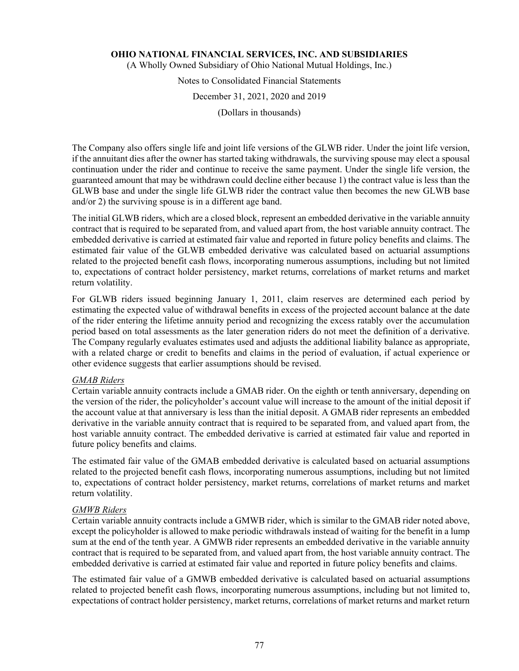(A Wholly Owned Subsidiary of Ohio National Mutual Holdings, Inc.)

## Notes to Consolidated Financial Statements December 31, 2021, 2020 and 2019

(Dollars in thousands)

The Company also offers single life and joint life versions of the GLWB rider. Under the joint life version, if the annuitant dies after the owner has started taking withdrawals, the surviving spouse may elect a spousal continuation under the rider and continue to receive the same payment. Under the single life version, the guaranteed amount that may be withdrawn could decline either because 1) the contract value is less than the GLWB base and under the single life GLWB rider the contract value then becomes the new GLWB base and/or 2) the surviving spouse is in a different age band.

The initial GLWB riders, which are a closed block, represent an embedded derivative in the variable annuity contract that is required to be separated from, and valued apart from, the host variable annuity contract. The embedded derivative is carried at estimated fair value and reported in future policy benefits and claims. The estimated fair value of the GLWB embedded derivative was calculated based on actuarial assumptions related to the projected benefit cash flows, incorporating numerous assumptions, including but not limited to, expectations of contract holder persistency, market returns, correlations of market returns and market return volatility.

For GLWB riders issued beginning January 1, 2011, claim reserves are determined each period by estimating the expected value of withdrawal benefits in excess of the projected account balance at the date of the rider entering the lifetime annuity period and recognizing the excess ratably over the accumulation period based on total assessments as the later generation riders do not meet the definition of a derivative. The Company regularly evaluates estimates used and adjusts the additional liability balance as appropriate, with a related charge or credit to benefits and claims in the period of evaluation, if actual experience or other evidence suggests that earlier assumptions should be revised.

#### *GMAB Riders*

Certain variable annuity contracts include a GMAB rider. On the eighth or tenth anniversary, depending on the version of the rider, the policyholder's account value will increase to the amount of the initial deposit if the account value at that anniversary is less than the initial deposit. A GMAB rider represents an embedded derivative in the variable annuity contract that is required to be separated from, and valued apart from, the host variable annuity contract. The embedded derivative is carried at estimated fair value and reported in future policy benefits and claims.

The estimated fair value of the GMAB embedded derivative is calculated based on actuarial assumptions related to the projected benefit cash flows, incorporating numerous assumptions, including but not limited to, expectations of contract holder persistency, market returns, correlations of market returns and market return volatility.

#### *GMWB Riders*

Certain variable annuity contracts include a GMWB rider, which is similar to the GMAB rider noted above, except the policyholder is allowed to make periodic withdrawals instead of waiting for the benefit in a lump sum at the end of the tenth year. A GMWB rider represents an embedded derivative in the variable annuity contract that is required to be separated from, and valued apart from, the host variable annuity contract. The embedded derivative is carried at estimated fair value and reported in future policy benefits and claims.

The estimated fair value of a GMWB embedded derivative is calculated based on actuarial assumptions related to projected benefit cash flows, incorporating numerous assumptions, including but not limited to, expectations of contract holder persistency, market returns, correlations of market returns and market return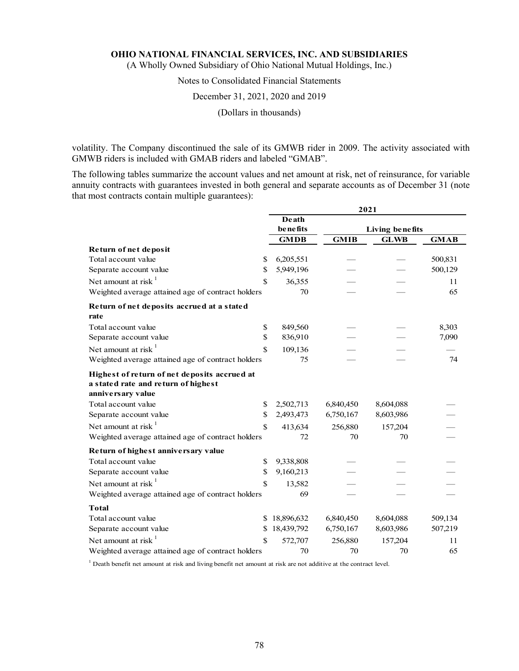(A Wholly Owned Subsidiary of Ohio National Mutual Holdings, Inc.)

## Notes to Consolidated Financial Statements

#### December 31, 2021, 2020 and 2019

(Dollars in thousands)

volatility. The Company discontinued the sale of its GMWB rider in 2009. The activity associated with GMWB riders is included with GMAB riders and labeled "GMAB".

The following tables summarize the account values and net amount at risk, net of reinsurance, for variable annuity contracts with guarantees invested in both general and separate accounts as of December 31 (note that most contracts contain multiple guarantees):

|                                                                                                          | 2021        |             |                 |             |  |  |
|----------------------------------------------------------------------------------------------------------|-------------|-------------|-----------------|-------------|--|--|
|                                                                                                          | Death       |             |                 |             |  |  |
|                                                                                                          | be ne fits  |             | Living benefits |             |  |  |
|                                                                                                          | <b>GMDB</b> | <b>GMIB</b> | <b>GLWB</b>     | <b>GMAB</b> |  |  |
| Return of net deposit                                                                                    |             |             |                 |             |  |  |
| Total account value<br>\$                                                                                | 6,205,551   |             |                 | 500,831     |  |  |
| \$<br>Separate account value                                                                             | 5,949,196   |             |                 | 500,129     |  |  |
| Net amount at risk $1$<br>\$                                                                             | 36,355      |             |                 | 11          |  |  |
| Weighted average attained age of contract holders                                                        | 70          |             |                 | 65          |  |  |
| Return of net deposits accrued at a stated<br>rate                                                       |             |             |                 |             |  |  |
| Total account value<br>\$                                                                                | 849,560     |             |                 | 8,303       |  |  |
| \$<br>Separate account value                                                                             | 836,910     |             |                 | 7,090       |  |  |
| Net amount at risk $1$<br>\$                                                                             | 109,136     |             |                 |             |  |  |
| Weighted average attained age of contract holders                                                        | 75          |             |                 | 74          |  |  |
| Highest of return of net deposits accrued at<br>a stated rate and return of highest<br>anniversary value |             |             |                 |             |  |  |
| Total account value<br>\$                                                                                | 2,502,713   | 6,840,450   | 8,604,088       |             |  |  |
| \$<br>Separate account value                                                                             | 2,493,473   | 6,750,167   | 8,603,986       |             |  |  |
| Net amount at risk $1$<br>\$                                                                             | 413,634     | 256,880     | 157,204         |             |  |  |
| Weighted average attained age of contract holders                                                        | 72          | 70          | 70              |             |  |  |
| Return of highest anniversary value                                                                      |             |             |                 |             |  |  |
| Total account value<br>\$                                                                                | 9,338,808   |             |                 |             |  |  |
| \$<br>Separate account value                                                                             | 9,160,213   |             |                 |             |  |  |
| Net amount at risk <sup>1</sup><br>\$                                                                    | 13,582      |             |                 |             |  |  |
| Weighted average attained age of contract holders                                                        | 69          |             |                 |             |  |  |
| <b>Total</b>                                                                                             |             |             |                 |             |  |  |
| Total account value                                                                                      | 18,896,632  | 6,840,450   | 8,604,088       | 509,134     |  |  |
| Separate account value<br>S                                                                              | 18,439,792  | 6,750,167   | 8,603,986       | 507,219     |  |  |
| Net amount at risk <sup>1</sup><br>\$                                                                    | 572,707     | 256,880     | 157,204         | 11          |  |  |
| Weighted average attained age of contract holders                                                        | 70          | 70          | 70              | 65          |  |  |

<sup>1</sup> Death benefit net amount at risk and living benefit net amount at risk are not additive at the contract level.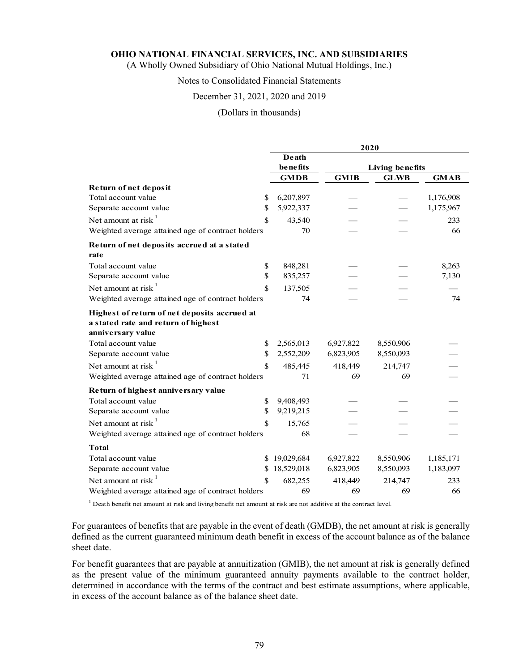(A Wholly Owned Subsidiary of Ohio National Mutual Holdings, Inc.)

## Notes to Consolidated Financial Statements

#### December 31, 2021, 2020 and 2019

#### (Dollars in thousands)

|                                                   | 2020         |             |                 |             |  |  |
|---------------------------------------------------|--------------|-------------|-----------------|-------------|--|--|
|                                                   | Death        |             |                 |             |  |  |
|                                                   | benefits     |             | Living benefits |             |  |  |
|                                                   | <b>GMDB</b>  | <b>GMIB</b> | <b>GLWB</b>     | <b>GMAB</b> |  |  |
| Return of net deposit                             |              |             |                 |             |  |  |
| Total account value<br>\$                         | 6,207,897    |             |                 | 1,176,908   |  |  |
| Separate account value<br>\$                      | 5,922,337    |             |                 | 1,175,967   |  |  |
| Net amount at risk $1$<br>\$                      | 43,540       |             |                 | 233         |  |  |
| Weighted average attained age of contract holders | 70           |             |                 | 66          |  |  |
| Return of net deposits accrued at a stated        |              |             |                 |             |  |  |
| rate                                              |              |             |                 |             |  |  |
| Total account value<br>\$                         | 848,281      |             |                 | 8,263       |  |  |
| \$<br>Separate account value                      | 835,257      |             |                 | 7,130       |  |  |
| Net amount at risk <sup>1</sup><br>\$             | 137,505      |             |                 |             |  |  |
| Weighted average attained age of contract holders | 74           |             |                 | 74          |  |  |
| Highest of return of net deposits accrued at      |              |             |                 |             |  |  |
| a stated rate and return of highest               |              |             |                 |             |  |  |
| anniversary value                                 |              |             |                 |             |  |  |
| Total account value<br>\$                         | 2,565,013    | 6,927,822   | 8,550,906       |             |  |  |
| \$<br>Separate account value                      | 2,552,209    | 6,823,905   | 8,550,093       |             |  |  |
| Net amount at risk $1$<br>\$                      | 485,445      | 418,449     | 214,747         |             |  |  |
| Weighted average attained age of contract holders | 71           | 69          | 69              |             |  |  |
| Return of highest anniversary value               |              |             |                 |             |  |  |
| Total account value<br>\$                         | 9,408,493    |             |                 |             |  |  |
| \$<br>Separate account value                      | 9,219,215    |             |                 |             |  |  |
| Net amount at risk $1$<br>\$                      | 15,765       |             |                 |             |  |  |
| Weighted average attained age of contract holders | 68           |             |                 |             |  |  |
| <b>Total</b>                                      |              |             |                 |             |  |  |
| Total account value                               | \$19,029,684 | 6,927,822   | 8,550,906       | 1,185,171   |  |  |
| Separate account value<br>\$                      | 18,529,018   | 6,823,905   | 8,550,093       | 1,183,097   |  |  |
| Net amount at risk $1$<br>\$                      | 682,255      | 418,449     | 214,747         | 233         |  |  |
| Weighted average attained age of contract holders | 69           | 69          | 69              | 66          |  |  |

<sup>1</sup> Death benefit net amount at risk and living benefit net amount at risk are not additive at the contract level.

For guarantees of benefits that are payable in the event of death (GMDB), the net amount at risk is generally defined as the current guaranteed minimum death benefit in excess of the account balance as of the balance sheet date.

For benefit guarantees that are payable at annuitization (GMIB), the net amount at risk is generally defined as the present value of the minimum guaranteed annuity payments available to the contract holder, determined in accordance with the terms of the contract and best estimate assumptions, where applicable, in excess of the account balance as of the balance sheet date.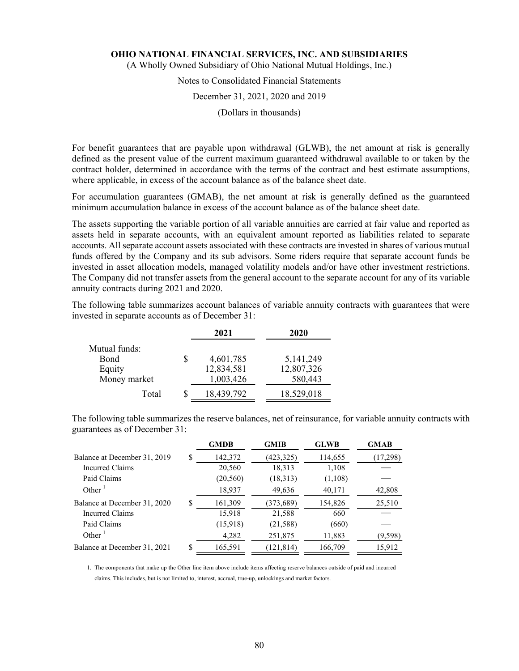(A Wholly Owned Subsidiary of Ohio National Mutual Holdings, Inc.)

## Notes to Consolidated Financial Statements

#### December 31, 2021, 2020 and 2019

(Dollars in thousands)

For benefit guarantees that are payable upon withdrawal (GLWB), the net amount at risk is generally defined as the present value of the current maximum guaranteed withdrawal available to or taken by the contract holder, determined in accordance with the terms of the contract and best estimate assumptions, where applicable, in excess of the account balance as of the balance sheet date.

For accumulation guarantees (GMAB), the net amount at risk is generally defined as the guaranteed minimum accumulation balance in excess of the account balance as of the balance sheet date.

The assets supporting the variable portion of all variable annuities are carried at fair value and reported as assets held in separate accounts, with an equivalent amount reported as liabilities related to separate accounts. All separate account assets associated with these contracts are invested in shares of various mutual funds offered by the Company and its sub advisors. Some riders require that separate account funds be invested in asset allocation models, managed volatility models and/or have other investment restrictions. The Company did not transfer assets from the general account to the separate account for any of its variable annuity contracts during 2021 and 2020.

The following table summarizes account balances of variable annuity contracts with guarantees that were invested in separate accounts as of December 31:

|    | 2021       | 2020        |
|----|------------|-------------|
|    |            |             |
| \$ | 4,601,785  | 5, 141, 249 |
|    | 12,834,581 | 12,807,326  |
|    | 1,003,426  | 580,443     |
| S  | 18,439,792 | 18,529,018  |
|    |            |             |

The following table summarizes the reserve balances, net of reinsurance, for variable annuity contracts with guarantees as of December 31:

|                              |    | <b>GMDB</b> | <b>GMIB</b> | <b>GLWB</b> | <b>GMAB</b> |
|------------------------------|----|-------------|-------------|-------------|-------------|
| Balance at December 31, 2019 | S  | 142,372     | (423,325)   | 114,655     | (17, 298)   |
| Incurred Claims              |    | 20,560      | 18,313      | 1,108       |             |
| Paid Claims                  |    | (20, 560)   | (18,313)    | (1,108)     |             |
| Other $1$                    |    | 18,937      | 49,636      | 40,171      | 42,808      |
| Balance at December 31, 2020 | \$ | 161,309     | (373, 689)  | 154,826     | 25,510      |
| Incurred Claims              |    | 15,918      | 21,588      | 660         |             |
| Paid Claims                  |    | (15,918)    | (21, 588)   | (660)       |             |
| Other $\overline{ }$         |    | 4,282       | 251,875     | 11,883      | (9, 598)    |
| Balance at December 31, 2021 | S  | 165,591     | (121, 814)  | 166,709     | 15,912      |

1. The components that make up the Other line item above include items affecting reserve balances outside of paid and incurred claims. This includes, but is not limited to, interest, accrual, true-up, unlockings and market factors.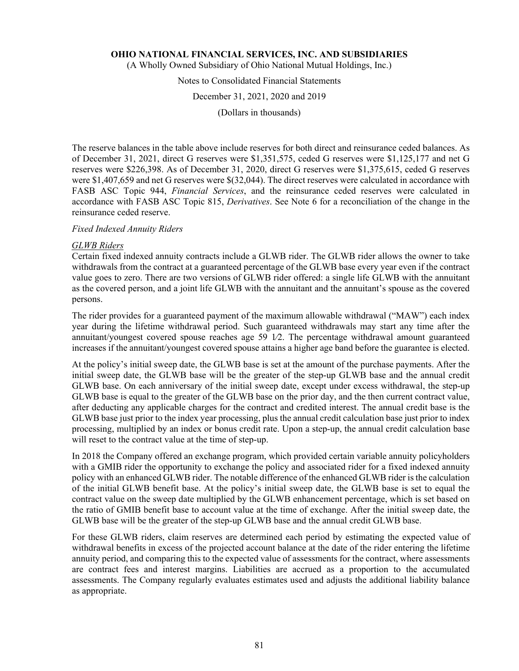(A Wholly Owned Subsidiary of Ohio National Mutual Holdings, Inc.)

## Notes to Consolidated Financial Statements

#### December 31, 2021, 2020 and 2019

(Dollars in thousands)

The reserve balances in the table above include reserves for both direct and reinsurance ceded balances. As of December 31, 2021, direct G reserves were \$1,351,575, ceded G reserves were \$1,125,177 and net G reserves were \$226,398. As of December 31, 2020, direct G reserves were \$1,375,615, ceded G reserves were \$1,407,659 and net G reserves were \$(32,044). The direct reserves were calculated in accordance with FASB ASC Topic 944, *Financial Services*, and the reinsurance ceded reserves were calculated in accordance with FASB ASC Topic 815, *Derivatives*. See Note 6 for a reconciliation of the change in the reinsurance ceded reserve.

#### *Fixed Indexed Annuity Riders*

#### *GLWB Riders*

Certain fixed indexed annuity contracts include a GLWB rider. The GLWB rider allows the owner to take withdrawals from the contract at a guaranteed percentage of the GLWB base every year even if the contract value goes to zero. There are two versions of GLWB rider offered: a single life GLWB with the annuitant as the covered person, and a joint life GLWB with the annuitant and the annuitant's spouse as the covered persons.

The rider provides for a guaranteed payment of the maximum allowable withdrawal ("MAW") each index year during the lifetime withdrawal period. Such guaranteed withdrawals may start any time after the annuitant/youngest covered spouse reaches age 59 1∕2. The percentage withdrawal amount guaranteed increases if the annuitant/youngest covered spouse attains a higher age band before the guarantee is elected.

At the policy's initial sweep date, the GLWB base is set at the amount of the purchase payments. After the initial sweep date, the GLWB base will be the greater of the step-up GLWB base and the annual credit GLWB base. On each anniversary of the initial sweep date, except under excess withdrawal, the step-up GLWB base is equal to the greater of the GLWB base on the prior day, and the then current contract value, after deducting any applicable charges for the contract and credited interest. The annual credit base is the GLWB base just prior to the index year processing, plus the annual credit calculation base just prior to index processing, multiplied by an index or bonus credit rate. Upon a step-up, the annual credit calculation base will reset to the contract value at the time of step-up.

In 2018 the Company offered an exchange program, which provided certain variable annuity policyholders with a GMIB rider the opportunity to exchange the policy and associated rider for a fixed indexed annuity policy with an enhanced GLWB rider. The notable difference of the enhanced GLWB rider is the calculation of the initial GLWB benefit base. At the policy's initial sweep date, the GLWB base is set to equal the contract value on the sweep date multiplied by the GLWB enhancement percentage, which is set based on the ratio of GMIB benefit base to account value at the time of exchange. After the initial sweep date, the GLWB base will be the greater of the step-up GLWB base and the annual credit GLWB base.

For these GLWB riders, claim reserves are determined each period by estimating the expected value of withdrawal benefits in excess of the projected account balance at the date of the rider entering the lifetime annuity period, and comparing this to the expected value of assessments for the contract, where assessments are contract fees and interest margins. Liabilities are accrued as a proportion to the accumulated assessments. The Company regularly evaluates estimates used and adjusts the additional liability balance as appropriate.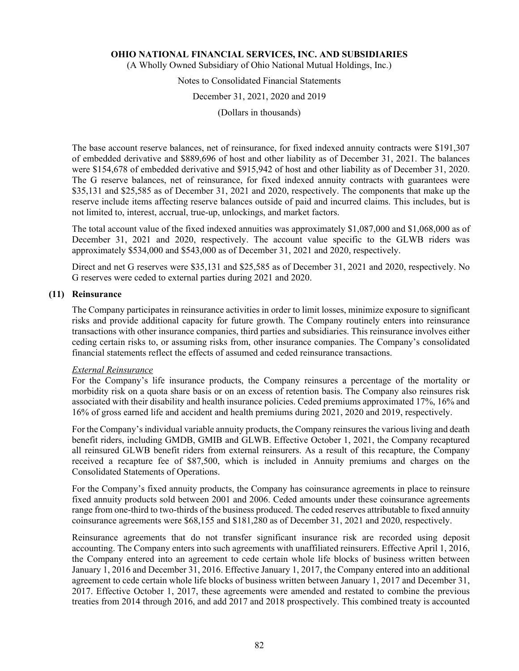(A Wholly Owned Subsidiary of Ohio National Mutual Holdings, Inc.)

## Notes to Consolidated Financial Statements

#### December 31, 2021, 2020 and 2019

(Dollars in thousands)

The base account reserve balances, net of reinsurance, for fixed indexed annuity contracts were \$191,307 of embedded derivative and \$889,696 of host and other liability as of December 31, 2021. The balances were \$154,678 of embedded derivative and \$915,942 of host and other liability as of December 31, 2020. The G reserve balances, net of reinsurance, for fixed indexed annuity contracts with guarantees were \$35,131 and \$25,585 as of December 31, 2021 and 2020, respectively. The components that make up the reserve include items affecting reserve balances outside of paid and incurred claims. This includes, but is not limited to, interest, accrual, true-up, unlockings, and market factors.

The total account value of the fixed indexed annuities was approximately \$1,087,000 and \$1,068,000 as of December 31, 2021 and 2020, respectively. The account value specific to the GLWB riders was approximately \$534,000 and \$543,000 as of December 31, 2021 and 2020, respectively.

Direct and net G reserves were \$35,131 and \$25,585 as of December 31, 2021 and 2020, respectively. No G reserves were ceded to external parties during 2021 and 2020.

## **(11) Reinsurance**

The Company participates in reinsurance activities in order to limit losses, minimize exposure to significant risks and provide additional capacity for future growth. The Company routinely enters into reinsurance transactions with other insurance companies, third parties and subsidiaries. This reinsurance involves either ceding certain risks to, or assuming risks from, other insurance companies. The Company's consolidated financial statements reflect the effects of assumed and ceded reinsurance transactions.

#### *External Reinsurance*

For the Company's life insurance products, the Company reinsures a percentage of the mortality or morbidity risk on a quota share basis or on an excess of retention basis. The Company also reinsures risk associated with their disability and health insurance policies. Ceded premiums approximated 17%, 16% and 16% of gross earned life and accident and health premiums during 2021, 2020 and 2019, respectively.

For the Company's individual variable annuity products, the Company reinsures the various living and death benefit riders, including GMDB, GMIB and GLWB. Effective October 1, 2021, the Company recaptured all reinsured GLWB benefit riders from external reinsurers. As a result of this recapture, the Company received a recapture fee of \$87,500, which is included in Annuity premiums and charges on the Consolidated Statements of Operations.

For the Company's fixed annuity products, the Company has coinsurance agreements in place to reinsure fixed annuity products sold between 2001 and 2006. Ceded amounts under these coinsurance agreements range from one-third to two-thirds of the business produced. The ceded reserves attributable to fixed annuity coinsurance agreements were \$68,155 and \$181,280 as of December 31, 2021 and 2020, respectively.

Reinsurance agreements that do not transfer significant insurance risk are recorded using deposit accounting. The Company enters into such agreements with unaffiliated reinsurers. Effective April 1, 2016, the Company entered into an agreement to cede certain whole life blocks of business written between January 1, 2016 and December 31, 2016. Effective January 1, 2017, the Company entered into an additional agreement to cede certain whole life blocks of business written between January 1, 2017 and December 31, 2017. Effective October 1, 2017, these agreements were amended and restated to combine the previous treaties from 2014 through 2016, and add 2017 and 2018 prospectively. This combined treaty is accounted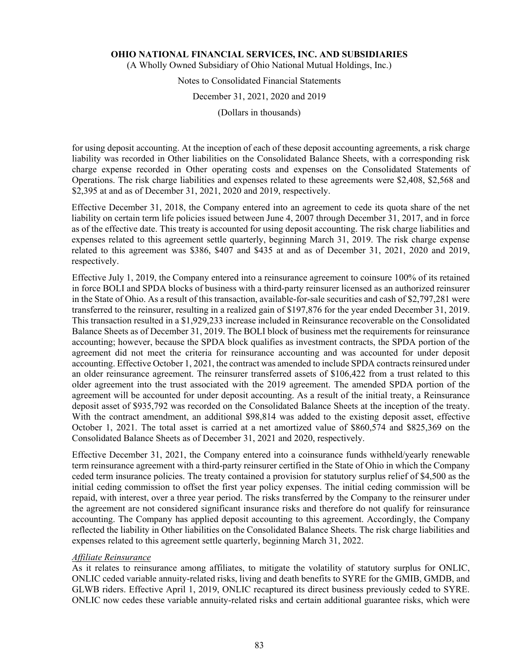(A Wholly Owned Subsidiary of Ohio National Mutual Holdings, Inc.)

## Notes to Consolidated Financial Statements

## December 31, 2021, 2020 and 2019

(Dollars in thousands)

for using deposit accounting. At the inception of each of these deposit accounting agreements, a risk charge liability was recorded in Other liabilities on the Consolidated Balance Sheets, with a corresponding risk charge expense recorded in Other operating costs and expenses on the Consolidated Statements of Operations. The risk charge liabilities and expenses related to these agreements were \$2,408, \$2,568 and \$2,395 at and as of December 31, 2021, 2020 and 2019, respectively.

Effective December 31, 2018, the Company entered into an agreement to cede its quota share of the net liability on certain term life policies issued between June 4, 2007 through December 31, 2017, and in force as of the effective date. This treaty is accounted for using deposit accounting. The risk charge liabilities and expenses related to this agreement settle quarterly, beginning March 31, 2019. The risk charge expense related to this agreement was \$386, \$407 and \$435 at and as of December 31, 2021, 2020 and 2019, respectively.

Effective July 1, 2019, the Company entered into a reinsurance agreement to coinsure 100% of its retained in force BOLI and SPDA blocks of business with a third-party reinsurer licensed as an authorized reinsurer in the State of Ohio. As a result of this transaction, available-for-sale securities and cash of \$2,797,281 were transferred to the reinsurer, resulting in a realized gain of \$197,876 for the year ended December 31, 2019. This transaction resulted in a \$1,929,233 increase included in Reinsurance recoverable on the Consolidated Balance Sheets as of December 31, 2019. The BOLI block of business met the requirements for reinsurance accounting; however, because the SPDA block qualifies as investment contracts, the SPDA portion of the agreement did not meet the criteria for reinsurance accounting and was accounted for under deposit accounting. Effective October 1, 2021, the contract was amended to include SPDA contracts reinsured under an older reinsurance agreement. The reinsurer transferred assets of \$106,422 from a trust related to this older agreement into the trust associated with the 2019 agreement. The amended SPDA portion of the agreement will be accounted for under deposit accounting. As a result of the initial treaty, a Reinsurance deposit asset of \$935,792 was recorded on the Consolidated Balance Sheets at the inception of the treaty. With the contract amendment, an additional \$98,814 was added to the existing deposit asset, effective October 1, 2021. The total asset is carried at a net amortized value of \$860,574 and \$825,369 on the Consolidated Balance Sheets as of December 31, 2021 and 2020, respectively.

Effective December 31, 2021, the Company entered into a coinsurance funds withheld/yearly renewable term reinsurance agreement with a third-party reinsurer certified in the State of Ohio in which the Company ceded term insurance policies. The treaty contained a provision for statutory surplus relief of \$4,500 as the initial ceding commission to offset the first year policy expenses. The initial ceding commission will be repaid, with interest, over a three year period. The risks transferred by the Company to the reinsurer under the agreement are not considered significant insurance risks and therefore do not qualify for reinsurance accounting. The Company has applied deposit accounting to this agreement. Accordingly, the Company reflected the liability in Other liabilities on the Consolidated Balance Sheets. The risk charge liabilities and expenses related to this agreement settle quarterly, beginning March 31, 2022.

#### *Affiliate Reinsurance*

As it relates to reinsurance among affiliates, to mitigate the volatility of statutory surplus for ONLIC, ONLIC ceded variable annuity-related risks, living and death benefits to SYRE for the GMIB, GMDB, and GLWB riders. Effective April 1, 2019, ONLIC recaptured its direct business previously ceded to SYRE. ONLIC now cedes these variable annuity-related risks and certain additional guarantee risks, which were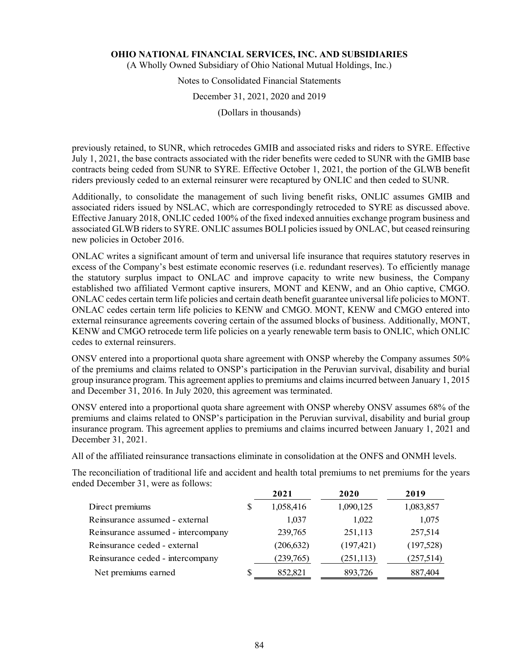(A Wholly Owned Subsidiary of Ohio National Mutual Holdings, Inc.)

## Notes to Consolidated Financial Statements

#### December 31, 2021, 2020 and 2019

(Dollars in thousands)

previously retained, to SUNR, which retrocedes GMIB and associated risks and riders to SYRE. Effective July 1, 2021, the base contracts associated with the rider benefits were ceded to SUNR with the GMIB base contracts being ceded from SUNR to SYRE. Effective October 1, 2021, the portion of the GLWB benefit riders previously ceded to an external reinsurer were recaptured by ONLIC and then ceded to SUNR.

Additionally, to consolidate the management of such living benefit risks, ONLIC assumes GMIB and associated riders issued by NSLAC, which are correspondingly retroceded to SYRE as discussed above. Effective January 2018, ONLIC ceded 100% of the fixed indexed annuities exchange program business and associated GLWB riders to SYRE. ONLIC assumes BOLI policies issued by ONLAC, but ceased reinsuring new policies in October 2016.

ONLAC writes a significant amount of term and universal life insurance that requires statutory reserves in excess of the Company's best estimate economic reserves (i.e. redundant reserves). To efficiently manage the statutory surplus impact to ONLAC and improve capacity to write new business, the Company established two affiliated Vermont captive insurers, MONT and KENW, and an Ohio captive, CMGO. ONLAC cedes certain term life policies and certain death benefit guarantee universal life policies to MONT. ONLAC cedes certain term life policies to KENW and CMGO. MONT, KENW and CMGO entered into external reinsurance agreements covering certain of the assumed blocks of business. Additionally, MONT, KENW and CMGO retrocede term life policies on a yearly renewable term basis to ONLIC, which ONLIC cedes to external reinsurers.

ONSV entered into a proportional quota share agreement with ONSP whereby the Company assumes 50% of the premiums and claims related to ONSP's participation in the Peruvian survival, disability and burial group insurance program. This agreement applies to premiums and claims incurred between January 1, 2015 and December 31, 2016. In July 2020, this agreement was terminated.

ONSV entered into a proportional quota share agreement with ONSP whereby ONSV assumes 68% of the premiums and claims related to ONSP's participation in the Peruvian survival, disability and burial group insurance program. This agreement applies to premiums and claims incurred between January 1, 2021 and December 31, 2021.

All of the affiliated reinsurance transactions eliminate in consolidation at the ONFS and ONMH levels.

The reconciliation of traditional life and accident and health total premiums to net premiums for the years ended December 31, were as follows:

|                                    |   | 2021       | 2020       | 2019      |
|------------------------------------|---|------------|------------|-----------|
| Direct premiums                    | S | 1,058,416  | 1,090,125  | 1,083,857 |
| Reinsurance assumed - external     |   | 1,037      | 1,022      | 1,075     |
| Reinsurance assumed - intercompany |   | 239,765    | 251,113    | 257,514   |
| Reinsurance ceded - external       |   | (206, 632) | (197,421)  | (197,528) |
| Reinsurance ceded - intercompany   |   | (239,765)  | (251, 113) | (257,514) |
| Net premiums earned                | S | 852,821    | 893,726    | 887,404   |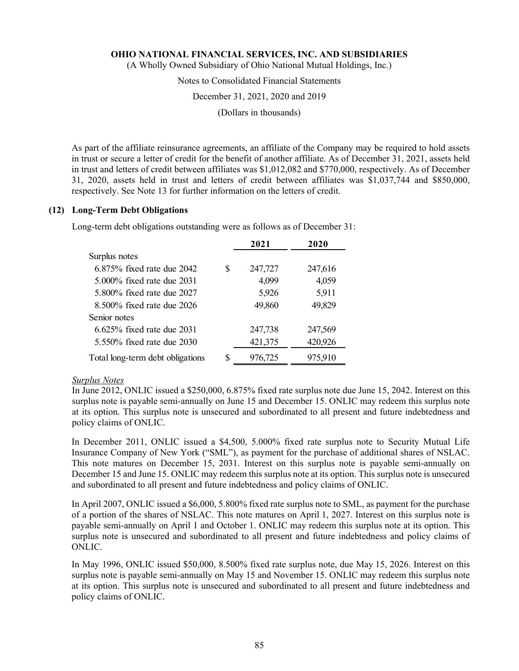(A Wholly Owned Subsidiary of Ohio National Mutual Holdings, Inc.)

#### Notes to Consolidated Financial Statements

December 31, 2021, 2020 and 2019

(Dollars in thousands)

As part of the affiliate reinsurance agreements, an affiliate of the Company may be required to hold assets in trust or secure a letter of credit for the benefit of another affiliate. As of December 31, 2021, assets held in trust and letters of credit between affiliates was \$1,012,082 and \$770,000, respectively. As of December 31, 2020, assets held in trust and letters of credit between affiliates was \$1,037,744 and \$850,000, respectively. See Note 13 for further information on the letters of credit.

#### **(12) Long-Term Debt Obligations**

Long-term debt obligations outstanding were as follows as of December 31:

|                                  |   | 2021    | 2020    |
|----------------------------------|---|---------|---------|
| Surplus notes                    |   |         |         |
| $6.875\%$ fixed rate due 2042    | S | 247,727 | 247,616 |
| 5,000% fixed rate due 2031       |   | 4,099   | 4,059   |
| 5.800% fixed rate due 2027       |   | 5,926   | 5,911   |
| $8.500\%$ fixed rate due 2026    |   | 49,860  | 49,829  |
| Senior notes                     |   |         |         |
| $6.625\%$ fixed rate due 2031    |   | 247,738 | 247,569 |
| 5.550% fixed rate due 2030       |   | 421,375 | 420,926 |
| Total long-term debt obligations | S | 976,725 | 975,910 |

#### *Surplus Notes*

In June 2012, ONLIC issued a \$250,000, 6.875% fixed rate surplus note due June 15, 2042. Interest on this surplus note is payable semi-annually on June 15 and December 15. ONLIC may redeem this surplus note at its option. This surplus note is unsecured and subordinated to all present and future indebtedness and policy claims of ONLIC.

In December 2011, ONLIC issued a \$4,500, 5.000% fixed rate surplus note to Security Mutual Life Insurance Company of New York ("SML"), as payment for the purchase of additional shares of NSLAC. This note matures on December 15, 2031. Interest on this surplus note is payable semi-annually on December 15 and June 15. ONLIC may redeem this surplus note at its option. This surplus note is unsecured and subordinated to all present and future indebtedness and policy claims of ONLIC.

In April 2007, ONLIC issued a \$6,000, 5.800% fixed rate surplus note to SML, as payment for the purchase of a portion of the shares of NSLAC. This note matures on April 1, 2027. Interest on this surplus note is payable semi-annually on April 1 and October 1. ONLIC may redeem this surplus note at its option. This surplus note is unsecured and subordinated to all present and future indebtedness and policy claims of ONLIC.

In May 1996, ONLIC issued \$50,000, 8.500% fixed rate surplus note, due May 15, 2026. Interest on this surplus note is payable semi-annually on May 15 and November 15. ONLIC may redeem this surplus note at its option. This surplus note is unsecured and subordinated to all present and future indebtedness and policy claims of ONLIC.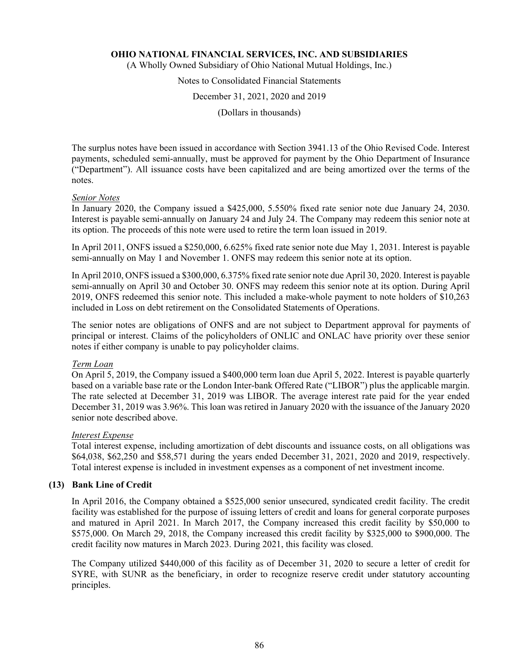(A Wholly Owned Subsidiary of Ohio National Mutual Holdings, Inc.)

## Notes to Consolidated Financial Statements

#### December 31, 2021, 2020 and 2019

(Dollars in thousands)

The surplus notes have been issued in accordance with Section 3941.13 of the Ohio Revised Code. Interest payments, scheduled semi-annually, must be approved for payment by the Ohio Department of Insurance ("Department"). All issuance costs have been capitalized and are being amortized over the terms of the notes.

#### *Senior Notes*

In January 2020, the Company issued a \$425,000, 5.550% fixed rate senior note due January 24, 2030. Interest is payable semi-annually on January 24 and July 24. The Company may redeem this senior note at its option. The proceeds of this note were used to retire the term loan issued in 2019.

In April 2011, ONFS issued a \$250,000, 6.625% fixed rate senior note due May 1, 2031. Interest is payable semi-annually on May 1 and November 1. ONFS may redeem this senior note at its option.

In April 2010, ONFS issued a \$300,000, 6.375% fixed rate senior note due April 30, 2020. Interest is payable semi-annually on April 30 and October 30. ONFS may redeem this senior note at its option. During April 2019, ONFS redeemed this senior note. This included a make-whole payment to note holders of \$10,263 included in Loss on debt retirement on the Consolidated Statements of Operations.

The senior notes are obligations of ONFS and are not subject to Department approval for payments of principal or interest. Claims of the policyholders of ONLIC and ONLAC have priority over these senior notes if either company is unable to pay policyholder claims.

## *Term Loan*

On April 5, 2019, the Company issued a \$400,000 term loan due April 5, 2022. Interest is payable quarterly based on a variable base rate or the London Inter-bank Offered Rate ("LIBOR") plus the applicable margin. The rate selected at December 31, 2019 was LIBOR. The average interest rate paid for the year ended December 31, 2019 was 3.96%. This loan was retired in January 2020 with the issuance of the January 2020 senior note described above.

#### *Interest Expense*

Total interest expense, including amortization of debt discounts and issuance costs, on all obligations was \$64,038, \$62,250 and \$58,571 during the years ended December 31, 2021, 2020 and 2019, respectively. Total interest expense is included in investment expenses as a component of net investment income.

#### **(13) Bank Line of Credit**

In April 2016, the Company obtained a \$525,000 senior unsecured, syndicated credit facility. The credit facility was established for the purpose of issuing letters of credit and loans for general corporate purposes and matured in April 2021. In March 2017, the Company increased this credit facility by \$50,000 to \$575,000. On March 29, 2018, the Company increased this credit facility by \$325,000 to \$900,000. The credit facility now matures in March 2023. During 2021, this facility was closed.

The Company utilized \$440,000 of this facility as of December 31, 2020 to secure a letter of credit for SYRE, with SUNR as the beneficiary, in order to recognize reserve credit under statutory accounting principles.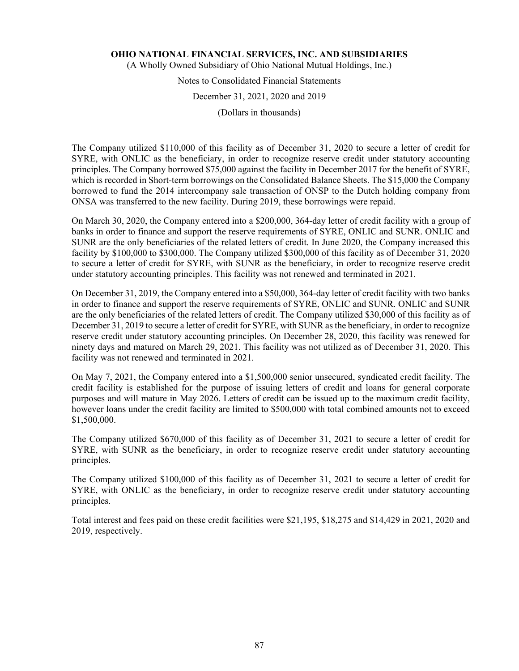(A Wholly Owned Subsidiary of Ohio National Mutual Holdings, Inc.)

## Notes to Consolidated Financial Statements

## December 31, 2021, 2020 and 2019

(Dollars in thousands)

The Company utilized \$110,000 of this facility as of December 31, 2020 to secure a letter of credit for SYRE, with ONLIC as the beneficiary, in order to recognize reserve credit under statutory accounting principles. The Company borrowed \$75,000 against the facility in December 2017 for the benefit of SYRE, which is recorded in Short-term borrowings on the Consolidated Balance Sheets. The \$15,000 the Company borrowed to fund the 2014 intercompany sale transaction of ONSP to the Dutch holding company from ONSA was transferred to the new facility. During 2019, these borrowings were repaid.

On March 30, 2020, the Company entered into a \$200,000, 364-day letter of credit facility with a group of banks in order to finance and support the reserve requirements of SYRE, ONLIC and SUNR. ONLIC and SUNR are the only beneficiaries of the related letters of credit. In June 2020, the Company increased this facility by \$100,000 to \$300,000. The Company utilized \$300,000 of this facility as of December 31, 2020 to secure a letter of credit for SYRE, with SUNR as the beneficiary, in order to recognize reserve credit under statutory accounting principles. This facility was not renewed and terminated in 2021.

On December 31, 2019, the Company entered into a \$50,000, 364-day letter of credit facility with two banks in order to finance and support the reserve requirements of SYRE, ONLIC and SUNR. ONLIC and SUNR are the only beneficiaries of the related letters of credit. The Company utilized \$30,000 of this facility as of December 31, 2019 to secure a letter of credit for SYRE, with SUNR as the beneficiary, in order to recognize reserve credit under statutory accounting principles. On December 28, 2020, this facility was renewed for ninety days and matured on March 29, 2021. This facility was not utilized as of December 31, 2020. This facility was not renewed and terminated in 2021.

On May 7, 2021, the Company entered into a \$1,500,000 senior unsecured, syndicated credit facility. The credit facility is established for the purpose of issuing letters of credit and loans for general corporate purposes and will mature in May 2026. Letters of credit can be issued up to the maximum credit facility, however loans under the credit facility are limited to \$500,000 with total combined amounts not to exceed \$1,500,000.

The Company utilized \$670,000 of this facility as of December 31, 2021 to secure a letter of credit for SYRE, with SUNR as the beneficiary, in order to recognize reserve credit under statutory accounting principles.

The Company utilized \$100,000 of this facility as of December 31, 2021 to secure a letter of credit for SYRE, with ONLIC as the beneficiary, in order to recognize reserve credit under statutory accounting principles.

Total interest and fees paid on these credit facilities were \$21,195, \$18,275 and \$14,429 in 2021, 2020 and 2019, respectively.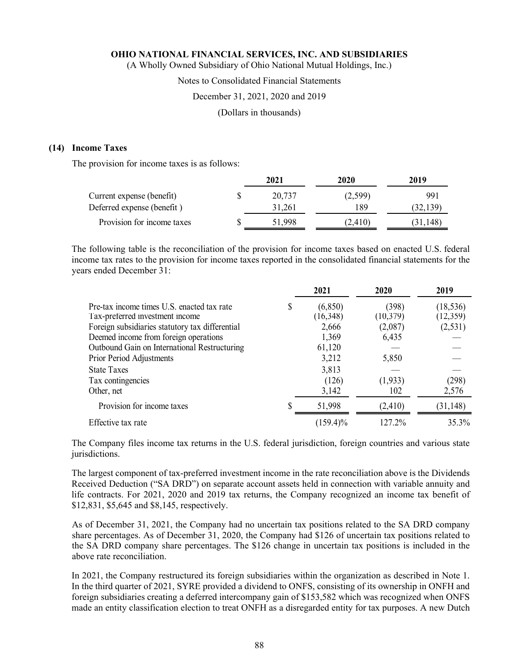(A Wholly Owned Subsidiary of Ohio National Mutual Holdings, Inc.)

## Notes to Consolidated Financial Statements

#### December 31, 2021, 2020 and 2019

(Dollars in thousands)

## **(14) Income Taxes**

The provision for income taxes is as follows:

|                            | 2021   | 2020    | 2019     |
|----------------------------|--------|---------|----------|
| Current expense (benefit)  | 20,737 | (2,599) | 991      |
| Deferred expense (benefit) | 31.261 | 189     | (32,139) |
| Provision for income taxes | 51.998 | (2,410) | (31.148) |

The following table is the reconciliation of the provision for income taxes based on enacted U.S. federal income tax rates to the provision for income taxes reported in the consolidated financial statements for the years ended December 31:

|                                                 | 2021          | 2020      | 2019      |
|-------------------------------------------------|---------------|-----------|-----------|
| Pre-tax income times U.S. enacted tax rate      | \$<br>(6,850) | (398)     | (18, 536) |
| Tax-preferred investment income                 | (16,348)      | (10, 379) | (12, 359) |
| Foreign subsidiaries statutory tax differential | 2,666         | (2,087)   | (2, 531)  |
| Deemed income from foreign operations           | 1,369         | 6,435     |           |
| Outbound Gain on International Restructuring    | 61,120        |           |           |
| Prior Period Adjustments                        | 3,212         | 5,850     |           |
| <b>State Taxes</b>                              | 3,813         |           |           |
| Tax contingencies                               | (126)         | (1,933)   | (298)     |
| Other, net                                      | 3,142         | 102       | 2,576     |
| Provision for income taxes                      | 51,998        | (2,410)   | (31, 148) |
| Effective tax rate                              | $(159.4)\%$   | 127.2%    | 35.3%     |

The Company files income tax returns in the U.S. federal jurisdiction, foreign countries and various state jurisdictions.

The largest component of tax-preferred investment income in the rate reconciliation above is the Dividends Received Deduction ("SA DRD") on separate account assets held in connection with variable annuity and life contracts. For 2021, 2020 and 2019 tax returns, the Company recognized an income tax benefit of \$12,831, \$5,645 and \$8,145, respectively.

As of December 31, 2021, the Company had no uncertain tax positions related to the SA DRD company share percentages. As of December 31, 2020, the Company had \$126 of uncertain tax positions related to the SA DRD company share percentages. The \$126 change in uncertain tax positions is included in the above rate reconciliation.

In 2021, the Company restructured its foreign subsidiaries within the organization as described in Note 1. In the third quarter of 2021, SYRE provided a dividend to ONFS, consisting of its ownership in ONFH and foreign subsidiaries creating a deferred intercompany gain of \$153,582 which was recognized when ONFS made an entity classification election to treat ONFH as a disregarded entity for tax purposes. A new Dutch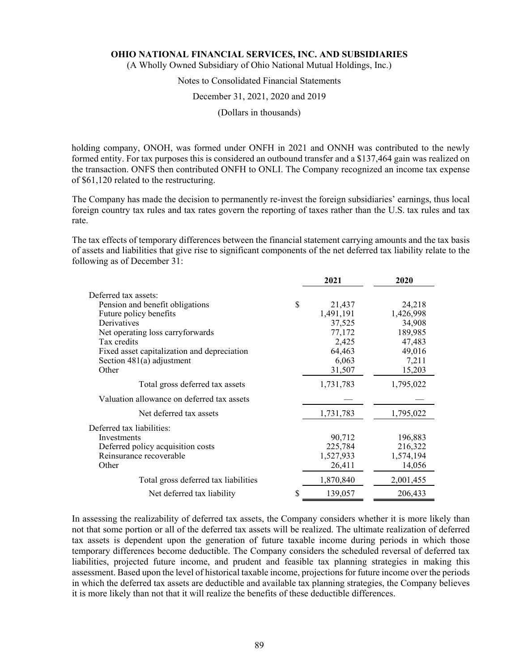(A Wholly Owned Subsidiary of Ohio National Mutual Holdings, Inc.)

## Notes to Consolidated Financial Statements

#### December 31, 2021, 2020 and 2019

(Dollars in thousands)

holding company, ONOH, was formed under ONFH in 2021 and ONNH was contributed to the newly formed entity. For tax purposes this is considered an outbound transfer and a \$137,464 gain was realized on the transaction. ONFS then contributed ONFH to ONLI. The Company recognized an income tax expense of \$61,120 related to the restructuring.

The Company has made the decision to permanently re-invest the foreign subsidiaries' earnings, thus local foreign country tax rules and tax rates govern the reporting of taxes rather than the U.S. tax rules and tax rate.

The tax effects of temporary differences between the financial statement carrying amounts and the tax basis of assets and liabilities that give rise to significant components of the net deferred tax liability relate to the following as of December 31:

|                                             |    | 2021      | 2020      |
|---------------------------------------------|----|-----------|-----------|
| Deferred tax assets:                        |    |           |           |
| Pension and benefit obligations             | \$ | 21,437    | 24,218    |
| Future policy benefits                      |    | 1,491,191 | 1,426,998 |
| Derivatives                                 |    | 37,525    | 34,908    |
| Net operating loss carryforwards            |    | 77,172    | 189,985   |
| Tax credits                                 |    | 2,425     | 47,483    |
| Fixed asset capitalization and depreciation |    | 64,463    | 49,016    |
| Section $481(a)$ adjustment                 |    | 6,063     | 7,211     |
| Other                                       |    | 31,507    | 15,203    |
| Total gross deferred tax assets             |    | 1,731,783 | 1,795,022 |
| Valuation allowance on deferred tax assets  |    |           |           |
| Net deferred tax assets                     |    | 1,731,783 | 1,795,022 |
| Deferred tax liabilities:                   |    |           |           |
| Investments                                 |    | 90,712    | 196,883   |
| Deferred policy acquisition costs           |    | 225,784   | 216,322   |
| Reinsurance recoverable                     |    | 1,527,933 | 1,574,194 |
| Other                                       |    | 26,411    | 14,056    |
| Total gross deferred tax liabilities        |    | 1,870,840 | 2,001,455 |
| Net deferred tax liability                  | S  | 139,057   | 206,433   |

In assessing the realizability of deferred tax assets, the Company considers whether it is more likely than not that some portion or all of the deferred tax assets will be realized. The ultimate realization of deferred tax assets is dependent upon the generation of future taxable income during periods in which those temporary differences become deductible. The Company considers the scheduled reversal of deferred tax liabilities, projected future income, and prudent and feasible tax planning strategies in making this assessment. Based upon the level of historical taxable income, projections for future income over the periods in which the deferred tax assets are deductible and available tax planning strategies, the Company believes it is more likely than not that it will realize the benefits of these deductible differences.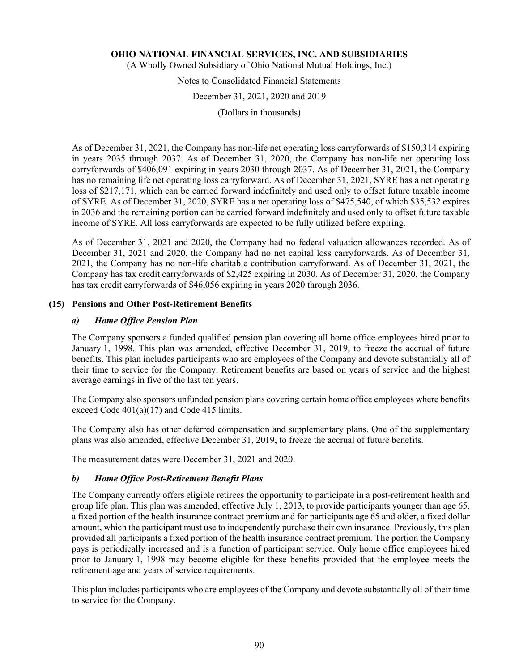(A Wholly Owned Subsidiary of Ohio National Mutual Holdings, Inc.)

## Notes to Consolidated Financial Statements

#### December 31, 2021, 2020 and 2019

(Dollars in thousands)

As of December 31, 2021, the Company has non-life net operating loss carryforwards of \$150,314 expiring in years 2035 through 2037. As of December 31, 2020, the Company has non-life net operating loss carryforwards of \$406,091 expiring in years 2030 through 2037. As of December 31, 2021, the Company has no remaining life net operating loss carryforward. As of December 31, 2021, SYRE has a net operating loss of \$217,171, which can be carried forward indefinitely and used only to offset future taxable income of SYRE. As of December 31, 2020, SYRE has a net operating loss of \$475,540, of which \$35,532 expires in 2036 and the remaining portion can be carried forward indefinitely and used only to offset future taxable income of SYRE. All loss carryforwards are expected to be fully utilized before expiring.

As of December 31, 2021 and 2020, the Company had no federal valuation allowances recorded. As of December 31, 2021 and 2020, the Company had no net capital loss carryforwards. As of December 31, 2021, the Company has no non-life charitable contribution carryforward. As of December 31, 2021, the Company has tax credit carryforwards of \$2,425 expiring in 2030. As of December 31, 2020, the Company has tax credit carryforwards of \$46,056 expiring in years 2020 through 2036.

#### **(15) Pensions and Other Post-Retirement Benefits**

## *a) Home Office Pension Plan*

The Company sponsors a funded qualified pension plan covering all home office employees hired prior to January 1, 1998. This plan was amended, effective December 31, 2019, to freeze the accrual of future benefits. This plan includes participants who are employees of the Company and devote substantially all of their time to service for the Company. Retirement benefits are based on years of service and the highest average earnings in five of the last ten years.

The Company also sponsors unfunded pension plans covering certain home office employees where benefits exceed Code 401(a)(17) and Code 415 limits.

The Company also has other deferred compensation and supplementary plans. One of the supplementary plans was also amended, effective December 31, 2019, to freeze the accrual of future benefits.

The measurement dates were December 31, 2021 and 2020.

## *b) Home Office Post-Retirement Benefit Plans*

The Company currently offers eligible retirees the opportunity to participate in a post-retirement health and group life plan. This plan was amended, effective July 1, 2013, to provide participants younger than age 65, a fixed portion of the health insurance contract premium and for participants age 65 and older, a fixed dollar amount, which the participant must use to independently purchase their own insurance. Previously, this plan provided all participants a fixed portion of the health insurance contract premium. The portion the Company pays is periodically increased and is a function of participant service. Only home office employees hired prior to January 1, 1998 may become eligible for these benefits provided that the employee meets the retirement age and years of service requirements.

This plan includes participants who are employees of the Company and devote substantially all of their time to service for the Company.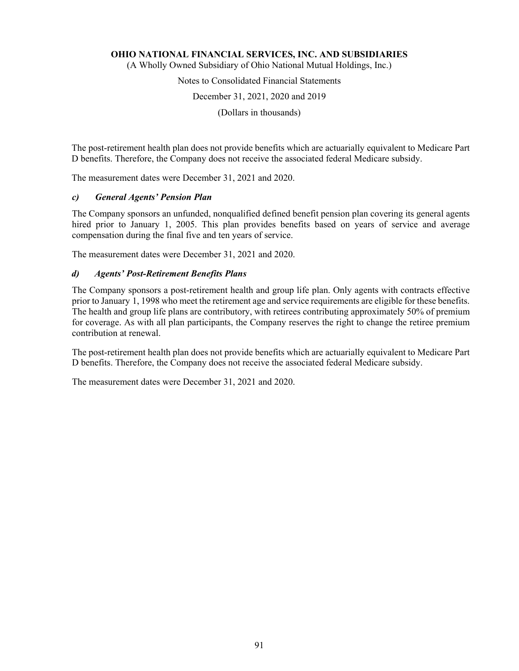(A Wholly Owned Subsidiary of Ohio National Mutual Holdings, Inc.)

## Notes to Consolidated Financial Statements

December 31, 2021, 2020 and 2019

(Dollars in thousands)

The post-retirement health plan does not provide benefits which are actuarially equivalent to Medicare Part D benefits. Therefore, the Company does not receive the associated federal Medicare subsidy.

The measurement dates were December 31, 2021 and 2020.

## *c) General Agents' Pension Plan*

The Company sponsors an unfunded, nonqualified defined benefit pension plan covering its general agents hired prior to January 1, 2005. This plan provides benefits based on years of service and average compensation during the final five and ten years of service.

The measurement dates were December 31, 2021 and 2020.

## *d) Agents' Post-Retirement Benefits Plans*

The Company sponsors a post-retirement health and group life plan. Only agents with contracts effective prior to January 1, 1998 who meet the retirement age and service requirements are eligible for these benefits. The health and group life plans are contributory, with retirees contributing approximately 50% of premium for coverage. As with all plan participants, the Company reserves the right to change the retiree premium contribution at renewal.

The post-retirement health plan does not provide benefits which are actuarially equivalent to Medicare Part D benefits. Therefore, the Company does not receive the associated federal Medicare subsidy.

The measurement dates were December 31, 2021 and 2020.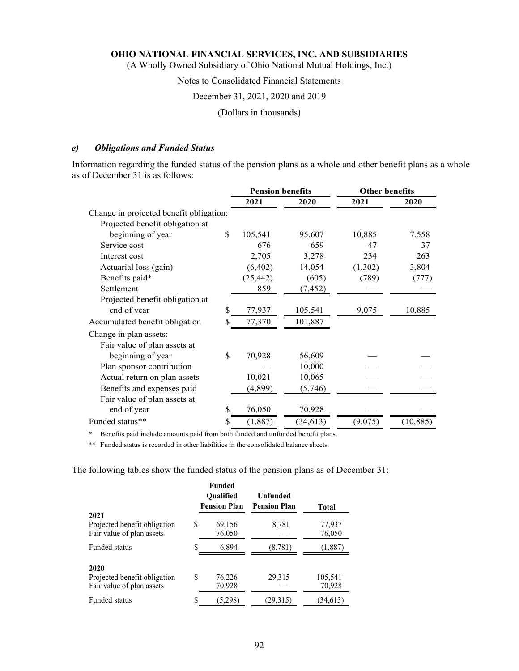(A Wholly Owned Subsidiary of Ohio National Mutual Holdings, Inc.)

## Notes to Consolidated Financial Statements

#### December 31, 2021, 2020 and 2019

(Dollars in thousands)

#### *e) Obligations and Funded Status*

Information regarding the funded status of the pension plans as a whole and other benefit plans as a whole as of December 31 is as follows:

|                                         |     | <b>Pension benefits</b> |           | <b>Other benefits</b> |             |
|-----------------------------------------|-----|-------------------------|-----------|-----------------------|-------------|
|                                         |     | 2021                    | 2020      | 2021                  | <b>2020</b> |
| Change in projected benefit obligation: |     |                         |           |                       |             |
| Projected benefit obligation at         |     |                         |           |                       |             |
| beginning of year                       | \$  | 105,541                 | 95,607    | 10,885                | 7,558       |
| Service cost                            |     | 676                     | 659       | 47                    | 37          |
| Interest cost                           |     | 2,705                   | 3,278     | 234                   | 263         |
| Actuarial loss (gain)                   |     | (6, 402)                | 14,054    | (1,302)               | 3,804       |
| Benefits paid*                          |     | (25, 442)               | (605)     | (789)                 | (777)       |
| Settlement                              |     | 859                     | (7, 452)  |                       |             |
| Projected benefit obligation at         |     |                         |           |                       |             |
| end of year                             | \$. | 77,937                  | 105,541   | 9,075                 | 10,885      |
| Accumulated benefit obligation          | S   | 77,370                  | 101,887   |                       |             |
| Change in plan assets:                  |     |                         |           |                       |             |
| Fair value of plan assets at            |     |                         |           |                       |             |
| beginning of year                       | \$. | 70,928                  | 56,609    |                       |             |
| Plan sponsor contribution               |     |                         | 10,000    |                       |             |
| Actual return on plan assets            |     | 10,021                  | 10,065    |                       |             |
| Benefits and expenses paid              |     | (4,899)                 | (5,746)   |                       |             |
| Fair value of plan assets at            |     |                         |           |                       |             |
| end of year                             | \$  | 76,050                  | 70,928    |                       |             |
| Funded status**                         | S   | (1,887)                 | (34, 613) | (9,075)               | (10, 885)   |

\* Benefits paid include amounts paid from both funded and unfunded benefit plans.

\*\* Funded status is recorded in other liabilities in the consolidated balance sheets.

The following tables show the funded status of the pension plans as of December 31:

|                                                                   |   | Funded<br><b>Oualified</b><br><b>Pension Plan</b> | Unfunded<br><b>Pension Plan</b> | Total             |
|-------------------------------------------------------------------|---|---------------------------------------------------|---------------------------------|-------------------|
| 2021<br>Projected benefit obligation<br>Fair value of plan assets | S | 69,156<br>76,050                                  | 8,781                           | 77,937<br>76,050  |
| <b>Funded status</b>                                              |   | 6,894                                             | (8,781)                         | (1,887)           |
| 2020<br>Projected benefit obligation<br>Fair value of plan assets | S | 76,226<br>70,928                                  | 29,315                          | 105,541<br>70,928 |
| <b>Funded status</b>                                              |   | (5,298)                                           | (29,315)                        | (34,613)          |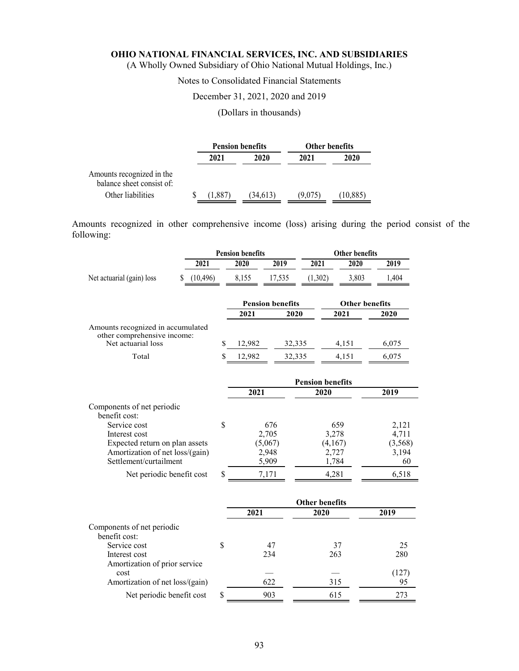(A Wholly Owned Subsidiary of Ohio National Mutual Holdings, Inc.)

## Notes to Consolidated Financial Statements

## December 31, 2021, 2020 and 2019

#### (Dollars in thousands)

|                                                        | <b>Pension benefits</b> |          | <b>Other benefits</b> |         |
|--------------------------------------------------------|-------------------------|----------|-----------------------|---------|
|                                                        | 2021                    | 2020     | 2021                  | 2020    |
| Amounts recognized in the<br>balance sheet consist of: |                         |          |                       |         |
| Other liabilities                                      | 1,887                   | (34.613) | (9,075)               | 10,885) |

Amounts recognized in other comprehensive income (loss) arising during the period consist of the following:

|                                                                  |           | <b>Pension benefits</b> |                         |                         | Other benefits        |             |
|------------------------------------------------------------------|-----------|-------------------------|-------------------------|-------------------------|-----------------------|-------------|
|                                                                  | 2021      | 2020                    | 2019                    | 2021                    | 2020                  | 2019        |
| Net actuarial (gain) loss<br>S                                   | (10, 496) | 8,155                   | 17,535                  | (1,302)                 | 3,803                 | 1,404       |
|                                                                  |           |                         | <b>Pension benefits</b> |                         | <b>Other benefits</b> |             |
|                                                                  |           | 2021                    | 2020                    | 2021                    |                       | 2020        |
| Amounts recognized in accumulated<br>other comprehensive income: |           |                         |                         |                         |                       |             |
| Net actuarial loss                                               | \$        | 12,982                  | 32,335                  |                         | 4,151                 | 6,075       |
| Total                                                            | S         | 12,982                  | 32,335                  |                         | 4,151                 | 6,075       |
|                                                                  |           |                         |                         | <b>Pension benefits</b> |                       |             |
|                                                                  |           | 2021                    |                         | 2020                    |                       | 2019        |
| Components of net periodic<br>benefit cost:                      |           |                         |                         |                         |                       |             |
| Service cost                                                     | \$        |                         | 676                     | 659                     |                       | 2,121       |
| Interest cost                                                    |           |                         | 2,705                   | 3,278                   |                       | 4,711       |
| Expected return on plan assets                                   |           |                         | (5,067)                 | (4,167)                 |                       | (3,568)     |
| Amortization of net loss/(gain)<br>Settlement/curtailment        |           |                         | 2,948<br>5,909          | 2,727<br>1,784          |                       | 3,194<br>60 |
| Net periodic benefit cost                                        | \$        |                         | 7,171                   | 4,281                   |                       | 6,518       |
|                                                                  |           |                         |                         |                         |                       |             |
|                                                                  |           |                         |                         | <b>Other benefits</b>   |                       |             |
|                                                                  |           | 2021                    |                         | 2020                    |                       | 2019        |
| Components of net periodic<br>benefit cost:                      |           |                         |                         |                         |                       |             |
| Service cost                                                     | \$        |                         | 47                      | 37                      |                       | 25          |
| Interest cost                                                    |           |                         | 234                     | 263                     |                       | 280         |
| Amortization of prior service<br>cost                            |           |                         |                         |                         |                       | (127)       |

Amortization of net loss/(gain) 622 315 95 Net periodic benefit cost \$ 903 615 273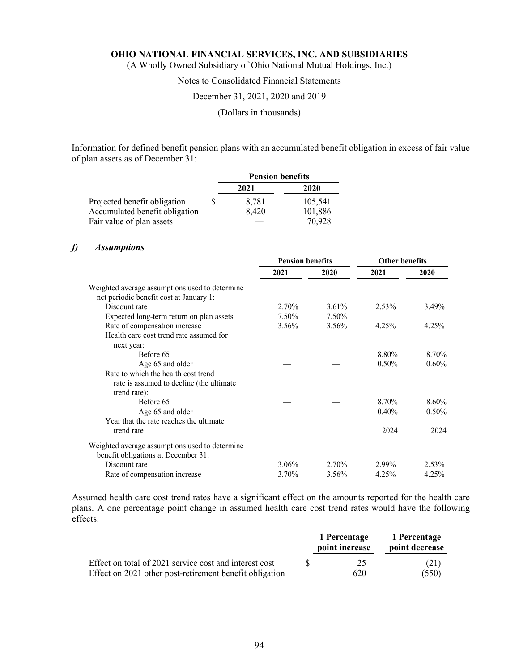(A Wholly Owned Subsidiary of Ohio National Mutual Holdings, Inc.)

## Notes to Consolidated Financial Statements

#### December 31, 2021, 2020 and 2019

(Dollars in thousands)

Information for defined benefit pension plans with an accumulated benefit obligation in excess of fair value of plan assets as of December 31:

|                                | <b>Pension benefits</b> |         |  |
|--------------------------------|-------------------------|---------|--|
|                                | 2021                    | 2020    |  |
| Projected benefit obligation   | 8.781                   | 105,541 |  |
| Accumulated benefit obligation | 8,420                   | 101,886 |  |
| Fair value of plan assets      |                         | 70,928  |  |

## *f) Assumptions*

|                                                | <b>Pension benefits</b> |          | <b>Other benefits</b> |          |
|------------------------------------------------|-------------------------|----------|-----------------------|----------|
|                                                | 2021                    | 2020     | 2021                  | 2020     |
| Weighted average assumptions used to determine |                         |          |                       |          |
| net periodic benefit cost at January 1:        |                         |          |                       |          |
| Discount rate                                  | 2.70%                   | $3.61\%$ | 2.53%                 | 3.49%    |
| Expected long-term return on plan assets       | 7.50%                   | 7.50%    |                       |          |
| Rate of compensation increase                  | $3.56\%$                | $3.56\%$ | $4.25\%$              | 4.25%    |
| Health care cost trend rate assumed for        |                         |          |                       |          |
| next year:                                     |                         |          |                       |          |
| Before 65                                      |                         |          | 8.80%                 | 8.70%    |
| Age 65 and older                               |                         |          | $0.50\%$              | $0.60\%$ |
| Rate to which the health cost trend            |                         |          |                       |          |
| rate is assumed to decline (the ultimate)      |                         |          |                       |          |
| trend rate):                                   |                         |          |                       |          |
| Before 65                                      |                         |          | 8.70%                 | 8.60%    |
| Age 65 and older                               |                         |          | 0.40%                 | $0.50\%$ |
| Year that the rate reaches the ultimate        |                         |          |                       |          |
| trend rate                                     |                         |          | 2024                  | 2024     |
| Weighted average assumptions used to determine |                         |          |                       |          |
| benefit obligations at December 31:            |                         |          |                       |          |
| Discount rate                                  | $3.06\%$                | 2.70%    | 2.99%                 | 2.53%    |
| Rate of compensation increase                  | 3.70%                   | 3.56%    | 4.25%                 | 4.25%    |

Assumed health care cost trend rates have a significant effect on the amounts reported for the health care plans. A one percentage point change in assumed health care cost trend rates would have the following effects:

|                                                         | 1 Percentage<br>point increase | 1 Percentage<br>point decrease |
|---------------------------------------------------------|--------------------------------|--------------------------------|
| Effect on total of 2021 service cost and interest cost  | 25                             | (21)                           |
| Effect on 2021 other post-retirement benefit obligation | 620                            | (550)                          |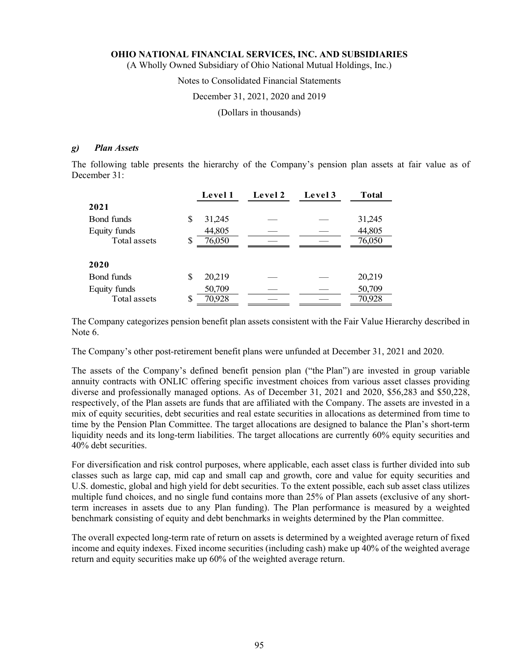(A Wholly Owned Subsidiary of Ohio National Mutual Holdings, Inc.)

Notes to Consolidated Financial Statements

December 31, 2021, 2020 and 2019

(Dollars in thousands)

#### *g) Plan Assets*

The following table presents the hierarchy of the Company's pension plan assets at fair value as of December 31:

|              |   | Level 1 | Level 2 | Level 3 | <b>Total</b> |
|--------------|---|---------|---------|---------|--------------|
| 2021         |   |         |         |         |              |
| Bond funds   | S | 31,245  |         |         | 31,245       |
| Equity funds |   | 44,805  |         |         | 44,805       |
| Total assets | S | 76,050  |         |         | 76,050       |
|              |   |         |         |         |              |
| 2020         |   |         |         |         |              |
| Bond funds   | S | 20,219  |         |         | 20,219       |
| Equity funds |   | 50,709  |         |         | 50,709       |
| Total assets | S | 70,928  |         |         | 70,928       |

The Company categorizes pension benefit plan assets consistent with the Fair Value Hierarchy described in Note 6.

The Company's other post-retirement benefit plans were unfunded at December 31, 2021 and 2020.

The assets of the Company's defined benefit pension plan ("the Plan") are invested in group variable annuity contracts with ONLIC offering specific investment choices from various asset classes providing diverse and professionally managed options. As of December 31, 2021 and 2020, \$56,283 and \$50,228, respectively, of the Plan assets are funds that are affiliated with the Company. The assets are invested in a mix of equity securities, debt securities and real estate securities in allocations as determined from time to time by the Pension Plan Committee. The target allocations are designed to balance the Plan's short-term liquidity needs and its long-term liabilities. The target allocations are currently 60% equity securities and 40% debt securities.

For diversification and risk control purposes, where applicable, each asset class is further divided into sub classes such as large cap, mid cap and small cap and growth, core and value for equity securities and U.S. domestic, global and high yield for debt securities. To the extent possible, each sub asset class utilizes multiple fund choices, and no single fund contains more than 25% of Plan assets (exclusive of any shortterm increases in assets due to any Plan funding). The Plan performance is measured by a weighted benchmark consisting of equity and debt benchmarks in weights determined by the Plan committee.

The overall expected long-term rate of return on assets is determined by a weighted average return of fixed income and equity indexes. Fixed income securities (including cash) make up 40% of the weighted average return and equity securities make up 60% of the weighted average return.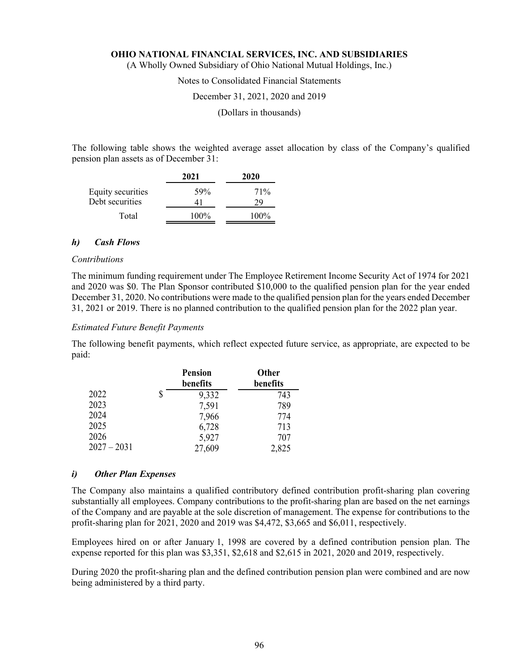(A Wholly Owned Subsidiary of Ohio National Mutual Holdings, Inc.)

Notes to Consolidated Financial Statements

#### December 31, 2021, 2020 and 2019

(Dollars in thousands)

The following table shows the weighted average asset allocation by class of the Company's qualified pension plan assets as of December 31:

|                   | 2021    | 2020    |
|-------------------|---------|---------|
| Equity securities | 59%     | 71%     |
| Debt securities   | 41      | 29      |
| Total             | $100\%$ | $100\%$ |

## *h) Cash Flows*

#### *Contributions*

The minimum funding requirement under The Employee Retirement Income Security Act of 1974 for 2021 and 2020 was \$0. The Plan Sponsor contributed \$10,000 to the qualified pension plan for the year ended December 31, 2020. No contributions were made to the qualified pension plan for the years ended December 31, 2021 or 2019. There is no planned contribution to the qualified pension plan for the 2022 plan year.

#### *Estimated Future Benefit Payments*

The following benefit payments, which reflect expected future service, as appropriate, are expected to be paid:

|               | <b>Pension</b><br>benefits |        | <b>Other</b><br>benefits |
|---------------|----------------------------|--------|--------------------------|
| 2022          | \$                         | 9,332  | 743                      |
| 2023          |                            | 7,591  | 789                      |
| 2024          |                            | 7,966  | 774                      |
| 2025          |                            | 6,728  | 713                      |
| 2026          |                            | 5,927  | 707                      |
| $2027 - 2031$ |                            | 27,609 | 2,825                    |

#### *i) Other Plan Expenses*

The Company also maintains a qualified contributory defined contribution profit-sharing plan covering substantially all employees. Company contributions to the profit-sharing plan are based on the net earnings of the Company and are payable at the sole discretion of management. The expense for contributions to the profit-sharing plan for 2021, 2020 and 2019 was \$4,472, \$3,665 and \$6,011, respectively.

Employees hired on or after January 1, 1998 are covered by a defined contribution pension plan. The expense reported for this plan was \$3,351, \$2,618 and \$2,615 in 2021, 2020 and 2019, respectively.

During 2020 the profit-sharing plan and the defined contribution pension plan were combined and are now being administered by a third party.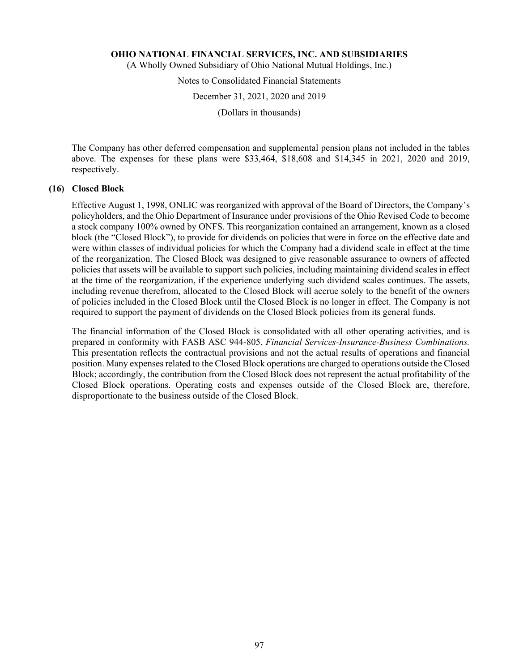(A Wholly Owned Subsidiary of Ohio National Mutual Holdings, Inc.)

## Notes to Consolidated Financial Statements

December 31, 2021, 2020 and 2019

(Dollars in thousands)

The Company has other deferred compensation and supplemental pension plans not included in the tables above. The expenses for these plans were \$33,464, \$18,608 and \$14,345 in 2021, 2020 and 2019, respectively.

## **(16) Closed Block**

Effective August 1, 1998, ONLIC was reorganized with approval of the Board of Directors, the Company's policyholders, and the Ohio Department of Insurance under provisions of the Ohio Revised Code to become a stock company 100% owned by ONFS. This reorganization contained an arrangement, known as a closed block (the "Closed Block"), to provide for dividends on policies that were in force on the effective date and were within classes of individual policies for which the Company had a dividend scale in effect at the time of the reorganization. The Closed Block was designed to give reasonable assurance to owners of affected policies that assets will be available to support such policies, including maintaining dividend scales in effect at the time of the reorganization, if the experience underlying such dividend scales continues. The assets, including revenue therefrom, allocated to the Closed Block will accrue solely to the benefit of the owners of policies included in the Closed Block until the Closed Block is no longer in effect. The Company is not required to support the payment of dividends on the Closed Block policies from its general funds.

The financial information of the Closed Block is consolidated with all other operating activities, and is prepared in conformity with FASB ASC 944-805, *Financial Services-Insurance-Business Combinations.*  This presentation reflects the contractual provisions and not the actual results of operations and financial position. Many expenses related to the Closed Block operations are charged to operations outside the Closed Block; accordingly, the contribution from the Closed Block does not represent the actual profitability of the Closed Block operations. Operating costs and expenses outside of the Closed Block are, therefore, disproportionate to the business outside of the Closed Block.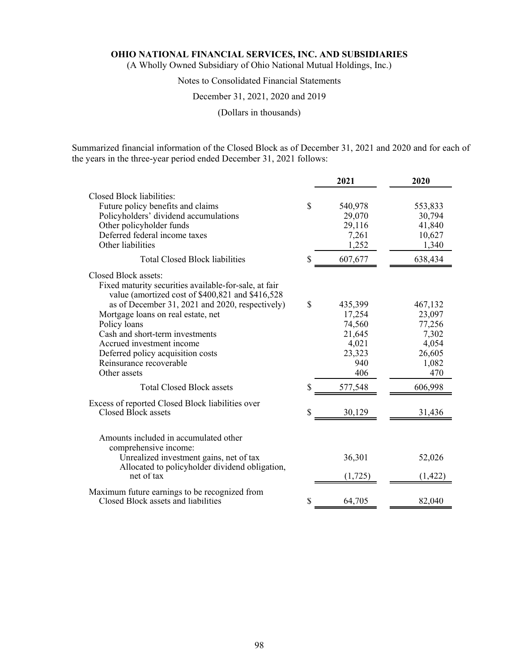(A Wholly Owned Subsidiary of Ohio National Mutual Holdings, Inc.)

## Notes to Consolidated Financial Statements

## December 31, 2021, 2020 and 2019

(Dollars in thousands)

Summarized financial information of the Closed Block as of December 31, 2021 and 2020 and for each of the years in the three-year period ended December 31, 2021 follows:

|                                                                                                                                                                                                                                                                                                                                                                             | 2021                                                                  | 2020                                                             |
|-----------------------------------------------------------------------------------------------------------------------------------------------------------------------------------------------------------------------------------------------------------------------------------------------------------------------------------------------------------------------------|-----------------------------------------------------------------------|------------------------------------------------------------------|
| Closed Block liabilities:<br>Future policy benefits and claims<br>Policyholders' dividend accumulations<br>Other policyholder funds<br>Deferred federal income taxes<br>Other liabilities                                                                                                                                                                                   | \$<br>540,978<br>29,070<br>29,116<br>7,261<br>1,252                   | 553,833<br>30,794<br>41,840<br>10,627<br>1,340                   |
| <b>Total Closed Block liabilities</b>                                                                                                                                                                                                                                                                                                                                       | \$<br>607,677                                                         | 638,434                                                          |
| Closed Block assets:<br>Fixed maturity securities available-for-sale, at fair<br>value (amortized cost of \$400,821 and \$416,528)<br>as of December 31, 2021 and 2020, respectively)<br>Mortgage loans on real estate, net<br>Policy loans<br>Cash and short-term investments<br>Accrued investment income<br>Deferred policy acquisition costs<br>Reinsurance recoverable | \$<br>435,399<br>17,254<br>74,560<br>21,645<br>4,021<br>23,323<br>940 | 467,132<br>23,097<br>77,256<br>7,302<br>4,054<br>26,605<br>1,082 |
| Other assets                                                                                                                                                                                                                                                                                                                                                                | 406                                                                   | 470                                                              |
| <b>Total Closed Block assets</b>                                                                                                                                                                                                                                                                                                                                            | \$<br>577,548                                                         | 606,998                                                          |
| Excess of reported Closed Block liabilities over<br>Closed Block assets                                                                                                                                                                                                                                                                                                     | \$<br>30,129                                                          | 31,436                                                           |
| Amounts included in accumulated other<br>comprehensive income:<br>Unrealized investment gains, net of tax<br>Allocated to policyholder dividend obligation,<br>net of tax                                                                                                                                                                                                   | 36,301<br>(1,725)                                                     | 52,026<br>(1, 422)                                               |
| Maximum future earnings to be recognized from<br>Closed Block assets and liabilities                                                                                                                                                                                                                                                                                        | \$<br>64,705                                                          | 82,040                                                           |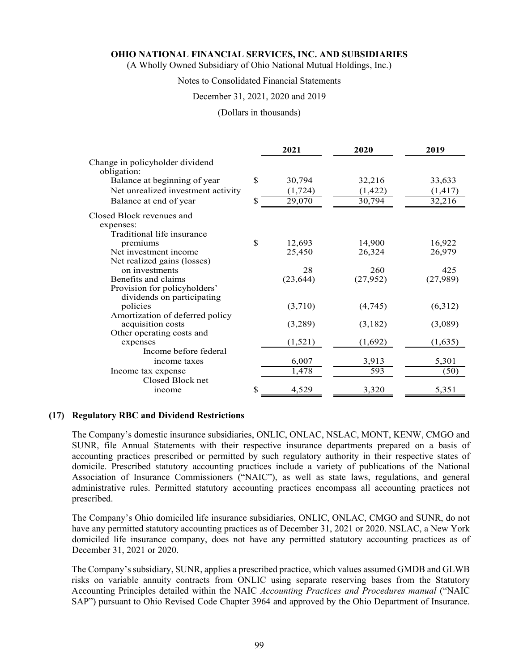(A Wholly Owned Subsidiary of Ohio National Mutual Holdings, Inc.)

#### Notes to Consolidated Financial Statements

#### December 31, 2021, 2020 and 2019

(Dollars in thousands)

|                                    |    | 2021      | 2020      | 2019     |
|------------------------------------|----|-----------|-----------|----------|
| Change in policyholder dividend    |    |           |           |          |
| obligation:                        |    |           |           |          |
| Balance at beginning of year       | \$ | 30,794    | 32,216    | 33,633   |
| Net unrealized investment activity |    | (1,724)   | (1, 422)  | (1, 417) |
| Balance at end of year             | S  | 29,070    | 30,794    | 32,216   |
| Closed Block revenues and          |    |           |           |          |
| expenses:                          |    |           |           |          |
| Traditional life insurance         |    |           |           |          |
| premiums                           | \$ | 12,693    | 14,900    | 16,922   |
| Net investment income              |    | 25,450    | 26,324    | 26,979   |
| Net realized gains (losses)        |    |           |           |          |
| on investments                     |    | 28        | 260       | 425      |
| Benefits and claims                |    | (23, 644) | (27, 952) | (27,989) |
| Provision for policyholders'       |    |           |           |          |
| dividends on participating         |    |           |           |          |
| policies                           |    | (3,710)   | (4,745)   | (6,312)  |
| Amortization of deferred policy    |    |           |           |          |
| acquisition costs                  |    | (3,289)   | (3,182)   | (3,089)  |
| Other operating costs and          |    |           |           |          |
| expenses                           |    | (1,521)   | (1,692)   | (1,635)  |
| Income before federal              |    |           |           |          |
| income taxes                       |    | 6,007     | 3,913     | 5,301    |
| Income tax expense                 |    | 1,478     | 593       | (50)     |
| Closed Block net                   |    |           |           |          |
| <i>n</i> come                      | \$ | 4,529     | 3,320     | 5,351    |

#### **(17) Regulatory RBC and Dividend Restrictions**

The Company's domestic insurance subsidiaries, ONLIC, ONLAC, NSLAC, MONT, KENW, CMGO and SUNR, file Annual Statements with their respective insurance departments prepared on a basis of accounting practices prescribed or permitted by such regulatory authority in their respective states of domicile. Prescribed statutory accounting practices include a variety of publications of the National Association of Insurance Commissioners ("NAIC"), as well as state laws, regulations, and general administrative rules. Permitted statutory accounting practices encompass all accounting practices not prescribed.

The Company's Ohio domiciled life insurance subsidiaries, ONLIC, ONLAC, CMGO and SUNR, do not have any permitted statutory accounting practices as of December 31, 2021 or 2020. NSLAC, a New York domiciled life insurance company, does not have any permitted statutory accounting practices as of December 31, 2021 or 2020.

The Company's subsidiary, SUNR, applies a prescribed practice, which values assumed GMDB and GLWB risks on variable annuity contracts from ONLIC using separate reserving bases from the Statutory Accounting Principles detailed within the NAIC *Accounting Practices and Procedures manual* ("NAIC SAP") pursuant to Ohio Revised Code Chapter 3964 and approved by the Ohio Department of Insurance.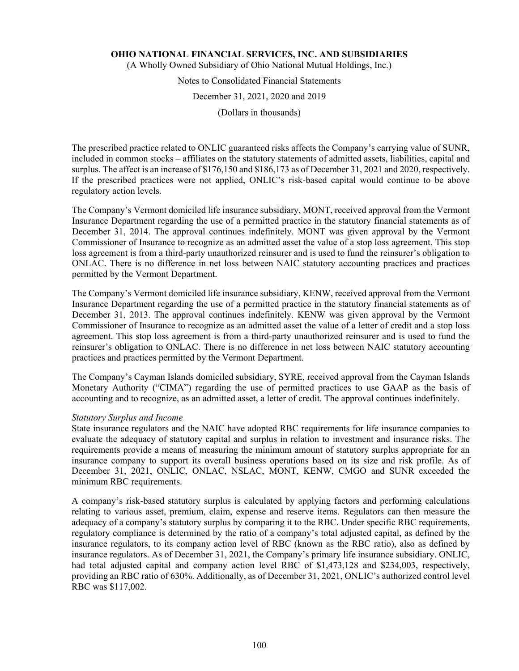(A Wholly Owned Subsidiary of Ohio National Mutual Holdings, Inc.)

## Notes to Consolidated Financial Statements

## December 31, 2021, 2020 and 2019

(Dollars in thousands)

The prescribed practice related to ONLIC guaranteed risks affects the Company's carrying value of SUNR, included in common stocks – affiliates on the statutory statements of admitted assets, liabilities, capital and surplus. The affect is an increase of \$176,150 and \$186,173 as of December 31, 2021 and 2020, respectively. If the prescribed practices were not applied, ONLIC's risk-based capital would continue to be above regulatory action levels.

The Company's Vermont domiciled life insurance subsidiary, MONT, received approval from the Vermont Insurance Department regarding the use of a permitted practice in the statutory financial statements as of December 31, 2014. The approval continues indefinitely. MONT was given approval by the Vermont Commissioner of Insurance to recognize as an admitted asset the value of a stop loss agreement. This stop loss agreement is from a third-party unauthorized reinsurer and is used to fund the reinsurer's obligation to ONLAC. There is no difference in net loss between NAIC statutory accounting practices and practices permitted by the Vermont Department.

The Company's Vermont domiciled life insurance subsidiary, KENW, received approval from the Vermont Insurance Department regarding the use of a permitted practice in the statutory financial statements as of December 31, 2013. The approval continues indefinitely. KENW was given approval by the Vermont Commissioner of Insurance to recognize as an admitted asset the value of a letter of credit and a stop loss agreement. This stop loss agreement is from a third-party unauthorized reinsurer and is used to fund the reinsurer's obligation to ONLAC. There is no difference in net loss between NAIC statutory accounting practices and practices permitted by the Vermont Department.

The Company's Cayman Islands domiciled subsidiary, SYRE, received approval from the Cayman Islands Monetary Authority ("CIMA") regarding the use of permitted practices to use GAAP as the basis of accounting and to recognize, as an admitted asset, a letter of credit. The approval continues indefinitely.

## *Statutory Surplus and Income*

State insurance regulators and the NAIC have adopted RBC requirements for life insurance companies to evaluate the adequacy of statutory capital and surplus in relation to investment and insurance risks. The requirements provide a means of measuring the minimum amount of statutory surplus appropriate for an insurance company to support its overall business operations based on its size and risk profile. As of December 31, 2021, ONLIC, ONLAC, NSLAC, MONT, KENW, CMGO and SUNR exceeded the minimum RBC requirements.

A company's risk-based statutory surplus is calculated by applying factors and performing calculations relating to various asset, premium, claim, expense and reserve items. Regulators can then measure the adequacy of a company's statutory surplus by comparing it to the RBC. Under specific RBC requirements, regulatory compliance is determined by the ratio of a company's total adjusted capital, as defined by the insurance regulators, to its company action level of RBC (known as the RBC ratio), also as defined by insurance regulators. As of December 31, 2021, the Company's primary life insurance subsidiary. ONLIC, had total adjusted capital and company action level RBC of \$1,473,128 and \$234,003, respectively, providing an RBC ratio of 630%. Additionally, as of December 31, 2021, ONLIC's authorized control level RBC was \$117,002.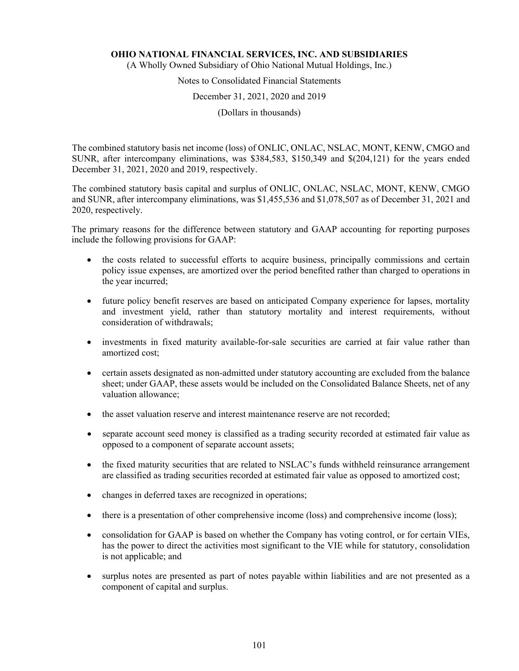(A Wholly Owned Subsidiary of Ohio National Mutual Holdings, Inc.)

## Notes to Consolidated Financial Statements

#### December 31, 2021, 2020 and 2019

(Dollars in thousands)

The combined statutory basis net income (loss) of ONLIC, ONLAC, NSLAC, MONT, KENW, CMGO and SUNR, after intercompany eliminations, was \$384,583, \$150,349 and \$(204,121) for the years ended December 31, 2021, 2020 and 2019, respectively.

The combined statutory basis capital and surplus of ONLIC, ONLAC, NSLAC, MONT, KENW, CMGO and SUNR, after intercompany eliminations, was \$1,455,536 and \$1,078,507 as of December 31, 2021 and 2020, respectively.

The primary reasons for the difference between statutory and GAAP accounting for reporting purposes include the following provisions for GAAP:

- the costs related to successful efforts to acquire business, principally commissions and certain policy issue expenses, are amortized over the period benefited rather than charged to operations in the year incurred;
- future policy benefit reserves are based on anticipated Company experience for lapses, mortality and investment yield, rather than statutory mortality and interest requirements, without consideration of withdrawals;
- investments in fixed maturity available-for-sale securities are carried at fair value rather than amortized cost;
- certain assets designated as non-admitted under statutory accounting are excluded from the balance sheet; under GAAP, these assets would be included on the Consolidated Balance Sheets, net of any valuation allowance;
- the asset valuation reserve and interest maintenance reserve are not recorded;
- separate account seed money is classified as a trading security recorded at estimated fair value as opposed to a component of separate account assets;
- the fixed maturity securities that are related to NSLAC's funds withheld reinsurance arrangement are classified as trading securities recorded at estimated fair value as opposed to amortized cost;
- changes in deferred taxes are recognized in operations;
- there is a presentation of other comprehensive income (loss) and comprehensive income (loss);
- consolidation for GAAP is based on whether the Company has voting control, or for certain VIEs, has the power to direct the activities most significant to the VIE while for statutory, consolidation is not applicable; and
- surplus notes are presented as part of notes payable within liabilities and are not presented as a component of capital and surplus.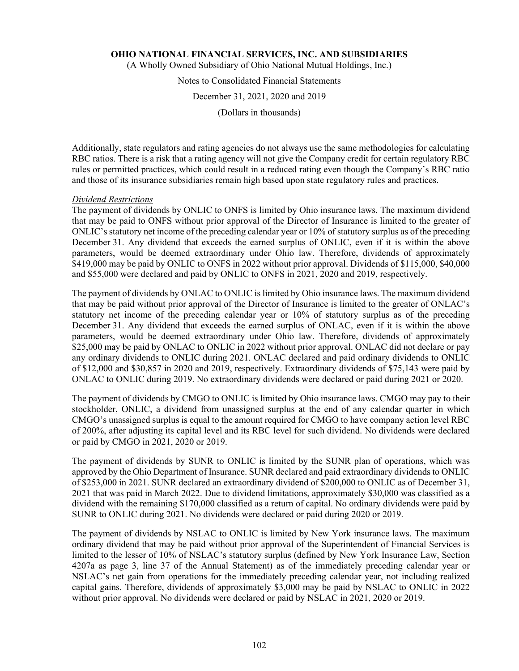(A Wholly Owned Subsidiary of Ohio National Mutual Holdings, Inc.)

## Notes to Consolidated Financial Statements

#### December 31, 2021, 2020 and 2019

(Dollars in thousands)

Additionally, state regulators and rating agencies do not always use the same methodologies for calculating RBC ratios. There is a risk that a rating agency will not give the Company credit for certain regulatory RBC rules or permitted practices, which could result in a reduced rating even though the Company's RBC ratio and those of its insurance subsidiaries remain high based upon state regulatory rules and practices.

#### *Dividend Restrictions*

The payment of dividends by ONLIC to ONFS is limited by Ohio insurance laws. The maximum dividend that may be paid to ONFS without prior approval of the Director of Insurance is limited to the greater of ONLIC's statutory net income of the preceding calendar year or 10% of statutory surplus as of the preceding December 31. Any dividend that exceeds the earned surplus of ONLIC, even if it is within the above parameters, would be deemed extraordinary under Ohio law. Therefore, dividends of approximately \$419,000 may be paid by ONLIC to ONFS in 2022 without prior approval. Dividends of \$115,000, \$40,000 and \$55,000 were declared and paid by ONLIC to ONFS in 2021, 2020 and 2019, respectively.

The payment of dividends by ONLAC to ONLIC is limited by Ohio insurance laws. The maximum dividend that may be paid without prior approval of the Director of Insurance is limited to the greater of ONLAC's statutory net income of the preceding calendar year or 10% of statutory surplus as of the preceding December 31. Any dividend that exceeds the earned surplus of ONLAC, even if it is within the above parameters, would be deemed extraordinary under Ohio law. Therefore, dividends of approximately \$25,000 may be paid by ONLAC to ONLIC in 2022 without prior approval. ONLAC did not declare or pay any ordinary dividends to ONLIC during 2021. ONLAC declared and paid ordinary dividends to ONLIC of \$12,000 and \$30,857 in 2020 and 2019, respectively. Extraordinary dividends of \$75,143 were paid by ONLAC to ONLIC during 2019. No extraordinary dividends were declared or paid during 2021 or 2020.

The payment of dividends by CMGO to ONLIC is limited by Ohio insurance laws. CMGO may pay to their stockholder, ONLIC, a dividend from unassigned surplus at the end of any calendar quarter in which CMGO's unassigned surplus is equal to the amount required for CMGO to have company action level RBC of 200%, after adjusting its capital level and its RBC level for such dividend. No dividends were declared or paid by CMGO in 2021, 2020 or 2019.

The payment of dividends by SUNR to ONLIC is limited by the SUNR plan of operations, which was approved by the Ohio Department of Insurance. SUNR declared and paid extraordinary dividends to ONLIC of \$253,000 in 2021. SUNR declared an extraordinary dividend of \$200,000 to ONLIC as of December 31, 2021 that was paid in March 2022. Due to dividend limitations, approximately \$30,000 was classified as a dividend with the remaining \$170,000 classified as a return of capital. No ordinary dividends were paid by SUNR to ONLIC during 2021. No dividends were declared or paid during 2020 or 2019.

The payment of dividends by NSLAC to ONLIC is limited by New York insurance laws. The maximum ordinary dividend that may be paid without prior approval of the Superintendent of Financial Services is limited to the lesser of 10% of NSLAC's statutory surplus (defined by New York Insurance Law, Section 4207a as page 3, line 37 of the Annual Statement) as of the immediately preceding calendar year or NSLAC's net gain from operations for the immediately preceding calendar year, not including realized capital gains. Therefore, dividends of approximately \$3,000 may be paid by NSLAC to ONLIC in 2022 without prior approval. No dividends were declared or paid by NSLAC in 2021, 2020 or 2019.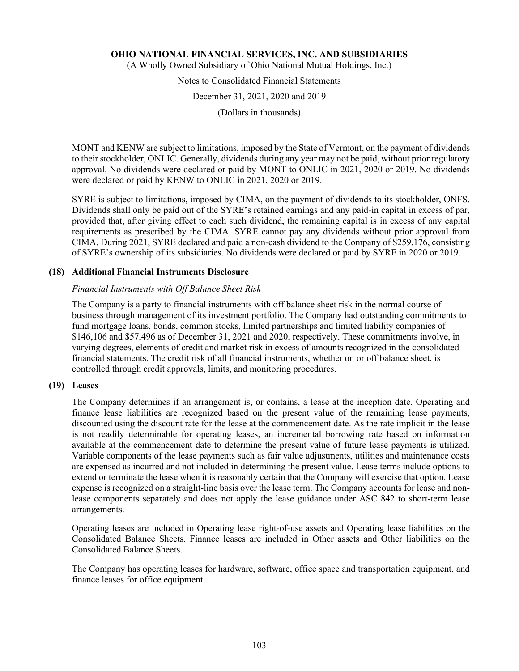(A Wholly Owned Subsidiary of Ohio National Mutual Holdings, Inc.)

# Notes to Consolidated Financial Statements

December 31, 2021, 2020 and 2019

(Dollars in thousands)

MONT and KENW are subject to limitations, imposed by the State of Vermont, on the payment of dividends to their stockholder, ONLIC. Generally, dividends during any year may not be paid, without prior regulatory approval. No dividends were declared or paid by MONT to ONLIC in 2021, 2020 or 2019. No dividends were declared or paid by KENW to ONLIC in 2021, 2020 or 2019.

SYRE is subject to limitations, imposed by CIMA, on the payment of dividends to its stockholder, ONFS. Dividends shall only be paid out of the SYRE's retained earnings and any paid-in capital in excess of par, provided that, after giving effect to each such dividend, the remaining capital is in excess of any capital requirements as prescribed by the CIMA. SYRE cannot pay any dividends without prior approval from CIMA. During 2021, SYRE declared and paid a non-cash dividend to the Company of \$259,176, consisting of SYRE's ownership of its subsidiaries. No dividends were declared or paid by SYRE in 2020 or 2019.

## **(18) Additional Financial Instruments Disclosure**

#### *Financial Instruments with Off Balance Sheet Risk*

The Company is a party to financial instruments with off balance sheet risk in the normal course of business through management of its investment portfolio. The Company had outstanding commitments to fund mortgage loans, bonds, common stocks, limited partnerships and limited liability companies of \$146,106 and \$57,496 as of December 31, 2021 and 2020, respectively. These commitments involve, in varying degrees, elements of credit and market risk in excess of amounts recognized in the consolidated financial statements. The credit risk of all financial instruments, whether on or off balance sheet, is controlled through credit approvals, limits, and monitoring procedures.

#### **(19) Leases**

The Company determines if an arrangement is, or contains, a lease at the inception date. Operating and finance lease liabilities are recognized based on the present value of the remaining lease payments, discounted using the discount rate for the lease at the commencement date. As the rate implicit in the lease is not readily determinable for operating leases, an incremental borrowing rate based on information available at the commencement date to determine the present value of future lease payments is utilized. Variable components of the lease payments such as fair value adjustments, utilities and maintenance costs are expensed as incurred and not included in determining the present value. Lease terms include options to extend or terminate the lease when it is reasonably certain that the Company will exercise that option. Lease expense is recognized on a straight-line basis over the lease term. The Company accounts for lease and nonlease components separately and does not apply the lease guidance under ASC 842 to short-term lease arrangements.

Operating leases are included in Operating lease right-of-use assets and Operating lease liabilities on the Consolidated Balance Sheets. Finance leases are included in Other assets and Other liabilities on the Consolidated Balance Sheets.

The Company has operating leases for hardware, software, office space and transportation equipment, and finance leases for office equipment.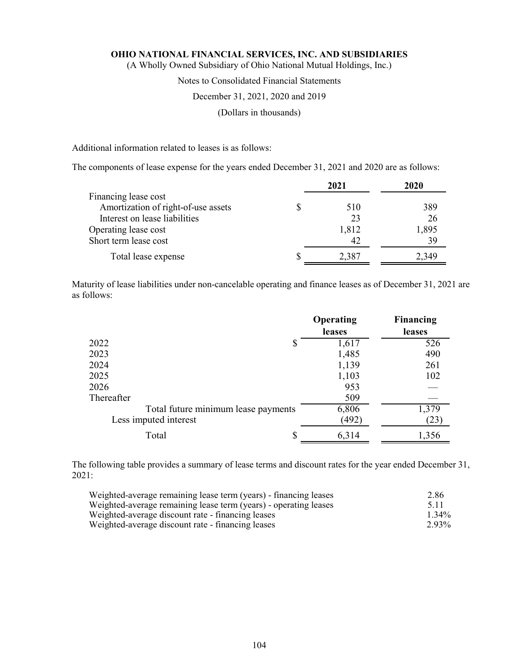(A Wholly Owned Subsidiary of Ohio National Mutual Holdings, Inc.)

## Notes to Consolidated Financial Statements

#### December 31, 2021, 2020 and 2019

(Dollars in thousands)

Additional information related to leases is as follows:

The components of lease expense for the years ended December 31, 2021 and 2020 are as follows:

|                                     | 2021  | 2020  |
|-------------------------------------|-------|-------|
| Financing lease cost                |       |       |
| Amortization of right-of-use assets | 510   | 389   |
| Interest on lease liabilities       | 23    | 26    |
| Operating lease cost                | 1,812 | 1,895 |
| Short term lease cost               |       | 39    |
| Total lease expense                 | 2,387 | 2.349 |

Maturity of lease liabilities under non-cancelable operating and finance leases as of December 31, 2021 are as follows:

|                                     | Operating | Financing |  |
|-------------------------------------|-----------|-----------|--|
|                                     | leases    | leases    |  |
| 2022<br>\$                          | 1,617     | 526       |  |
| 2023                                | 1,485     | 490       |  |
| 2024                                | 1,139     | 261       |  |
| 2025                                | 1,103     | 102       |  |
| 2026                                | 953       |           |  |
| Thereafter                          | 509       |           |  |
| Total future minimum lease payments | 6,806     | 1,379     |  |
| Less imputed interest               | (492)     | (23)      |  |
| S<br>Total                          | 6,314     | 1,356     |  |

The following table provides a summary of lease terms and discount rates for the year ended December 31, 2021:

| Weighted-average remaining lease term (years) - financing leases | 2.86     |
|------------------------------------------------------------------|----------|
| Weighted-average remaining lease term (years) - operating leases | 5.11     |
| Weighted-average discount rate - financing leases                | $1.34\%$ |
| Weighted-average discount rate - financing leases                | 2.93%    |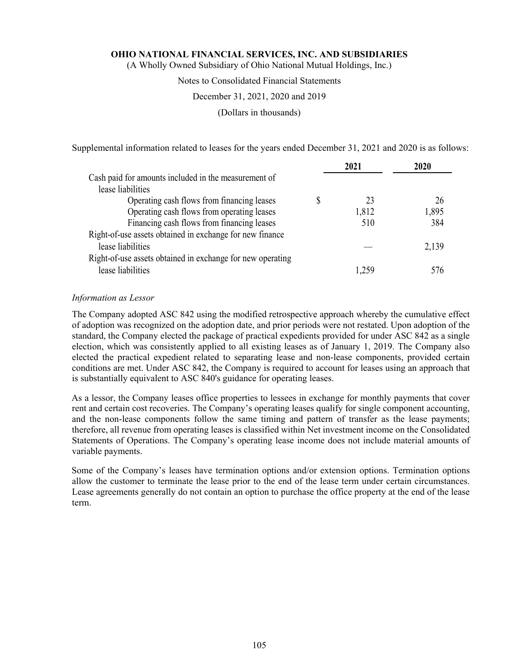(A Wholly Owned Subsidiary of Ohio National Mutual Holdings, Inc.)

## Notes to Consolidated Financial Statements

#### December 31, 2021, 2020 and 2019

(Dollars in thousands)

Supplemental information related to leases for the years ended December 31, 2021 and 2020 is as follows:

|                                                            | 2021  | <b>2020</b> |
|------------------------------------------------------------|-------|-------------|
| Cash paid for amounts included in the measurement of       |       |             |
| lease liabilities                                          |       |             |
| Operating cash flows from financing leases                 | 23    | 26          |
| Operating cash flows from operating leases                 | 1,812 | 1,895       |
| Financing cash flows from financing leases                 | 510   | 384         |
| Right-of-use assets obtained in exchange for new finance   |       |             |
| lease liabilities                                          |       | 2,139       |
| Right-of-use assets obtained in exchange for new operating |       |             |
| lease liabilities                                          |       |             |

#### *Information as Lessor*

The Company adopted ASC 842 using the modified retrospective approach whereby the cumulative effect of adoption was recognized on the adoption date, and prior periods were not restated. Upon adoption of the standard, the Company elected the package of practical expedients provided for under ASC 842 as a single election, which was consistently applied to all existing leases as of January 1, 2019. The Company also elected the practical expedient related to separating lease and non-lease components, provided certain conditions are met. Under ASC 842, the Company is required to account for leases using an approach that is substantially equivalent to ASC 840's guidance for operating leases.

As a lessor, the Company leases office properties to lessees in exchange for monthly payments that cover rent and certain cost recoveries. The Company's operating leases qualify for single component accounting, and the non-lease components follow the same timing and pattern of transfer as the lease payments; therefore, all revenue from operating leases is classified within Net investment income on the Consolidated Statements of Operations. The Company's operating lease income does not include material amounts of variable payments.

Some of the Company's leases have termination options and/or extension options. Termination options allow the customer to terminate the lease prior to the end of the lease term under certain circumstances. Lease agreements generally do not contain an option to purchase the office property at the end of the lease term.